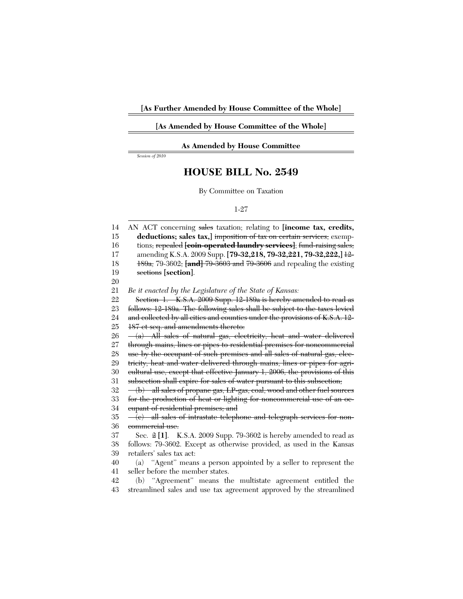## **[As Amended by House Committee of the Whole]**

## **As Amended by House Committee**

*Session of 2010*

## **HOUSE BILL No. 2549**

By Committee on Taxation

## 1-27

14 15 16 17 18 19 20 21 22 23 24 25 26 27 28 29 30 31 32 33 34 35 36 37 38 39 40 41 42 AN ACT concerning sales taxation; relating to **[income tax, credits,** deductions; sales tax,] imposition of tax on certain services; exemptions, repealed **[coin-operated laundry services]**; fund-raising sales; amending K.S.A. 2009 Supp. **[79-32,218, 79-32,221, 79-32,222,]** 12- 189a, 79-3602, **[and]** 79-3603 and 79-3606 and repealing the existing sections **[section]**. *Be it enacted by the Legislature of the State of Kansas:* Section 1. K.S.A. 2009 Supp. 12-189a is hereby amended to read as follows: 12-189a. The following sales shall be subject to the taxes levied and collected by all cities and counties under the provisions of K.S.A. 12- 187 et seq. and amendments thereto: (a) All sales of natural gas, electricity, heat and water delivered through mains, lines or pipes to residential premises for noncommercial use by the occupant of such premises and all sales of natural gas, electricity, heat and water delivered through mains, lines or pipes for agricultural use, except that effective January 1, 2006, the provisions of this subsection shall expire for sales of water pursuant to this subsection; (b) all sales of propane gas, LP-gas, coal, wood and other fuel sources for the production of heat or lighting for noncommercial use of an occupant of residential premises; and  $-(e)$  all sales of intrastate telephone and telegraph services for noncommercial use. Sec. 2 **[1]**. K.S.A. 2009 Supp. 79-3602 is hereby amended to read as follows: 79-3602. Except as otherwise provided, as used in the Kansas retailers' sales tax act: (a) ''Agent'' means a person appointed by a seller to represent the seller before the member states. (b) ''Agreement'' means the multistate agreement entitled the

43 streamlined sales and use tax agreement approved by the streamlined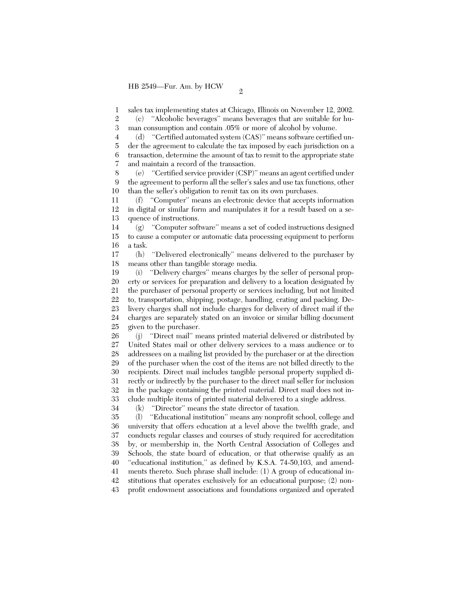1 sales tax implementing states at Chicago, Illinois on November 12, 2002.

2 3 (c) ''Alcoholic beverages'' means beverages that are suitable for human consumption and contain .05% or more of alcohol by volume.

4 5 6 7 (d) ''Certified automated system (CAS)'' means software certified under the agreement to calculate the tax imposed by each jurisdiction on a transaction, determine the amount of tax to remit to the appropriate state and maintain a record of the transaction.

8 9 10 (e) ''Certified service provider (CSP)'' means an agent certified under the agreement to perform all the seller's sales and use tax functions, other than the seller's obligation to remit tax on its own purchases.

11 12 13 (f) ''Computer'' means an electronic device that accepts information in digital or similar form and manipulates it for a result based on a sequence of instructions.

14 15 16 (g) ''Computer software'' means a set of coded instructions designed to cause a computer or automatic data processing equipment to perform a task.

17 18 (h) ''Delivered electronically'' means delivered to the purchaser by means other than tangible storage media.

19 20 21 22 23 24 25 (i) ''Delivery charges'' means charges by the seller of personal property or services for preparation and delivery to a location designated by the purchaser of personal property or services including, but not limited to, transportation, shipping, postage, handling, crating and packing. Delivery charges shall not include charges for delivery of direct mail if the charges are separately stated on an invoice or similar billing document given to the purchaser.

26 27 28 29 30 31 32 33 34 (j) ''Direct mail'' means printed material delivered or distributed by United States mail or other delivery services to a mass audience or to addressees on a mailing list provided by the purchaser or at the direction of the purchaser when the cost of the items are not billed directly to the recipients. Direct mail includes tangible personal property supplied directly or indirectly by the purchaser to the direct mail seller for inclusion in the package containing the printed material. Direct mail does not include multiple items of printed material delivered to a single address.

(k) ''Director'' means the state director of taxation.

35 36 37 38 39 40 41 42 43 (l) ''Educational institution'' means any nonprofit school, college and university that offers education at a level above the twelfth grade, and conducts regular classes and courses of study required for accreditation by, or membership in, the North Central Association of Colleges and Schools, the state board of education, or that otherwise qualify as an ''educational institution,'' as defined by K.S.A. 74-50,103, and amendments thereto. Such phrase shall include: (1) A group of educational institutions that operates exclusively for an educational purpose; (2) nonprofit endowment associations and foundations organized and operated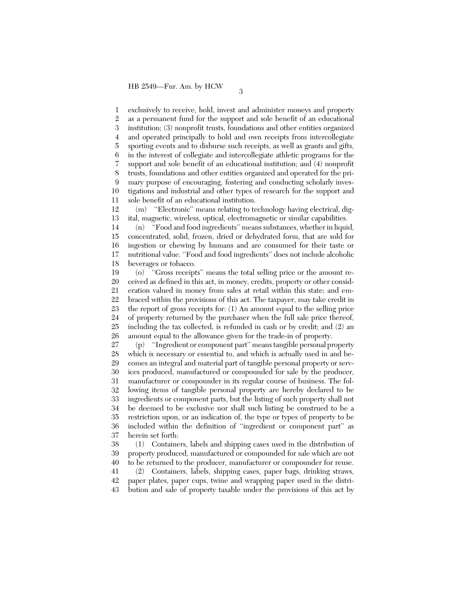1 2 3 4 5 6 7 8 9 10 11 exclusively to receive, hold, invest and administer moneys and property as a permanent fund for the support and sole benefit of an educational institution; (3) nonprofit trusts, foundations and other entities organized and operated principally to hold and own receipts from intercollegiate sporting events and to disburse such receipts, as well as grants and gifts, in the interest of collegiate and intercollegiate athletic programs for the support and sole benefit of an educational institution; and (4) nonprofit trusts, foundations and other entities organized and operated for the primary purpose of encouraging, fostering and conducting scholarly investigations and industrial and other types of research for the support and sole benefit of an educational institution.

12 13 (m) ''Electronic'' means relating to technology having electrical, digital, magnetic, wireless, optical, electromagnetic or similar capabilities.

14 15 16 17 18 (n) ''Food and food ingredients'' means substances, whether in liquid, concentrated, solid, frozen, dried or dehydrated form, that are sold for ingestion or chewing by humans and are consumed for their taste or nutritional value. ''Food and food ingredients'' does not include alcoholic beverages or tobacco.

19 20 21 22 23 24 25 26 (o) ''Gross receipts'' means the total selling price or the amount received as defined in this act, in money, credits, property or other consideration valued in money from sales at retail within this state; and embraced within the provisions of this act. The taxpayer, may take credit in the report of gross receipts for: (1) An amount equal to the selling price of property returned by the purchaser when the full sale price thereof, including the tax collected, is refunded in cash or by credit; and (2) an amount equal to the allowance given for the trade-in of property.

27 28 29 30 31 32 33 34 35 36 37 (p) ''Ingredient or component part'' means tangible personal property which is necessary or essential to, and which is actually used in and becomes an integral and material part of tangible personal property or services produced, manufactured or compounded for sale by the producer, manufacturer or compounder in its regular course of business. The following items of tangible personal property are hereby declared to be ingredients or component parts, but the listing of such property shall not be deemed to be exclusive nor shall such listing be construed to be a restriction upon, or an indication of, the type or types of property to be included within the definition of ''ingredient or component part'' as herein set forth:

38 39 40 (1) Containers, labels and shipping cases used in the distribution of property produced, manufactured or compounded for sale which are not to be returned to the producer, manufacturer or compounder for reuse.

41 42 43 (2) Containers, labels, shipping cases, paper bags, drinking straws, paper plates, paper cups, twine and wrapping paper used in the distribution and sale of property taxable under the provisions of this act by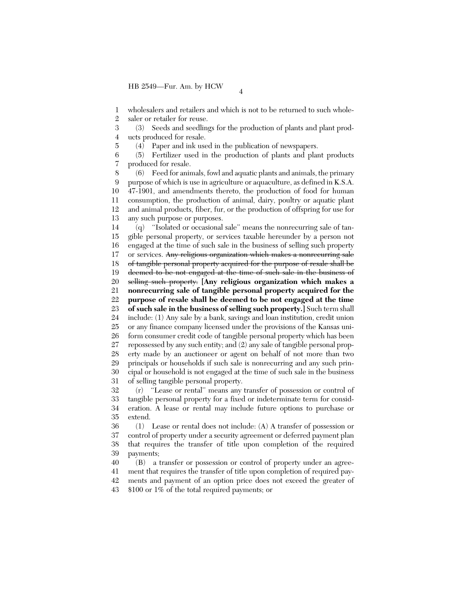5

1 2 wholesalers and retailers and which is not to be returned to such wholesaler or retailer for reuse.

3 4 (3) Seeds and seedlings for the production of plants and plant products produced for resale.

(4) Paper and ink used in the publication of newspapers.

6 7 (5) Fertilizer used in the production of plants and plant products produced for resale.

8 9 10 11 12 13 (6) Feed for animals, fowl and aquatic plants and animals, the primary purpose of which is use in agriculture or aquaculture, as defined in K.S.A. 47-1901, and amendments thereto, the production of food for human consumption, the production of animal, dairy, poultry or aquatic plant and animal products, fiber, fur, or the production of offspring for use for any such purpose or purposes.

14 15 16 17 18 19 20 21 22 23 24 25 26 27 28 29 30 31 (q) ''Isolated or occasional sale'' means the nonrecurring sale of tangible personal property, or services taxable hereunder by a person not engaged at the time of such sale in the business of selling such property or services. Any religious organization which makes a nonrecurring sale of tangible personal property acquired for the purpose of resale shall be deemed to be not engaged at the time of such sale in the business of selling such property. **[Any religious organization which makes a nonrecurring sale of tangible personal property acquired for the purpose of resale shall be deemed to be not engaged at the time of such sale in the business of selling such property.]** Such term shall include: (1) Any sale by a bank, savings and loan institution, credit union or any finance company licensed under the provisions of the Kansas uniform consumer credit code of tangible personal property which has been repossessed by any such entity; and (2) any sale of tangible personal property made by an auctioneer or agent on behalf of not more than two principals or households if such sale is nonrecurring and any such principal or household is not engaged at the time of such sale in the business of selling tangible personal property.

32 33 34 35 (r) ''Lease or rental'' means any transfer of possession or control of tangible personal property for a fixed or indeterminate term for consideration. A lease or rental may include future options to purchase or extend.

36 37 38 39 (1) Lease or rental does not include: (A) A transfer of possession or control of property under a security agreement or deferred payment plan that requires the transfer of title upon completion of the required payments;

40 41 42 43 (B) a transfer or possession or control of property under an agreement that requires the transfer of title upon completion of required payments and payment of an option price does not exceed the greater of \$100 or 1% of the total required payments; or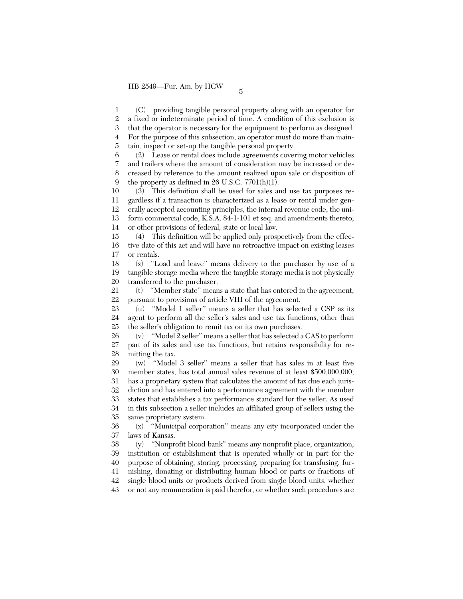1 2 3 4 5 (C) providing tangible personal property along with an operator for a fixed or indeterminate period of time. A condition of this exclusion is that the operator is necessary for the equipment to perform as designed. For the purpose of this subsection, an operator must do more than maintain, inspect or set-up the tangible personal property.

6 7 8  $\mathbf{Q}$ (2) Lease or rental does include agreements covering motor vehicles and trailers where the amount of consideration may be increased or decreased by reference to the amount realized upon sale or disposition of the property as defined in  $26$  U.S.C.  $7701(h)(1)$ .

10 11 12 13 14 (3) This definition shall be used for sales and use tax purposes regardless if a transaction is characterized as a lease or rental under generally accepted accounting principles, the internal revenue code, the uniform commercial code, K.S.A. 84-1-101 et seq. and amendments thereto, or other provisions of federal, state or local law.

15 16 17 (4) This definition will be applied only prospectively from the effective date of this act and will have no retroactive impact on existing leases or rentals.

18 19 20 (s) ''Load and leave'' means delivery to the purchaser by use of a tangible storage media where the tangible storage media is not physically transferred to the purchaser.

21 22 (t) ''Member state'' means a state that has entered in the agreement, pursuant to provisions of article VIII of the agreement.

23 24 25 (u) ''Model 1 seller'' means a seller that has selected a CSP as its agent to perform all the seller's sales and use tax functions, other than the seller's obligation to remit tax on its own purchases.

26 27 28 (v) ''Model 2 seller'' means a seller that has selected a CAS to perform part of its sales and use tax functions, but retains responsibility for remitting the tax.

29 30 31 32 33 34 35 (w) ''Model 3 seller'' means a seller that has sales in at least five member states, has total annual sales revenue of at least \$500,000,000, has a proprietary system that calculates the amount of tax due each jurisdiction and has entered into a performance agreement with the member states that establishes a tax performance standard for the seller. As used in this subsection a seller includes an affiliated group of sellers using the same proprietary system.

36 37 (x) ''Municipal corporation'' means any city incorporated under the laws of Kansas.

38 39 40 41 42 43 (y) ''Nonprofit blood bank'' means any nonprofit place, organization, institution or establishment that is operated wholly or in part for the purpose of obtaining, storing, processing, preparing for transfusing, furnishing, donating or distributing human blood or parts or fractions of single blood units or products derived from single blood units, whether or not any remuneration is paid therefor, or whether such procedures are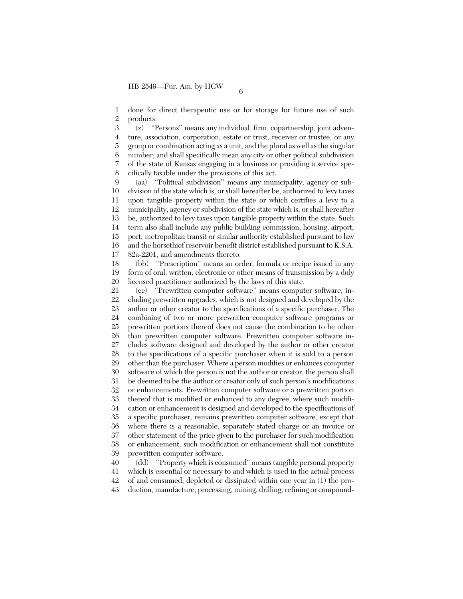1 2 done for direct therapeutic use or for storage for future use of such products.

3 4 5 6 7 8 (z) ''Persons'' means any individual, firm, copartnership, joint adventure, association, corporation, estate or trust, receiver or trustee, or any group or combination acting as a unit, and the plural as well as the singular number; and shall specifically mean any city or other political subdivision of the state of Kansas engaging in a business or providing a service specifically taxable under the provisions of this act.

 $\mathbf{Q}$ 10 11 12 13 14 15 16 17 (aa) ''Political subdivision'' means any municipality, agency or subdivision of the state which is, or shall hereafter be, authorized to levy taxes upon tangible property within the state or which certifies a levy to a municipality, agency or subdivision of the state which is, or shall hereafter be, authorized to levy taxes upon tangible property within the state. Such term also shall include any public building commission, housing, airport, port, metropolitan transit or similar authority established pursuant to law and the horsethief reservoir benefit district established pursuant to K.S.A. 82a-2201, and amendments thereto.

18 19 20 (bb) ''Prescription'' means an order, formula or recipe issued in any form of oral, written, electronic or other means of transmission by a duly licensed practitioner authorized by the laws of this state.

21 22 23 24 25 26 27 28 29 30 31 32 33 34 35 36 37 38 39 (cc) ''Prewritten computer software'' means computer software, including prewritten upgrades, which is not designed and developed by the author or other creator to the specifications of a specific purchaser. The combining of two or more prewritten computer software programs or prewritten portions thereof does not cause the combination to be other than prewritten computer software. Prewritten computer software includes software designed and developed by the author or other creator to the specifications of a specific purchaser when it is sold to a person other than the purchaser. Where a person modifies or enhances computer software of which the person is not the author or creator, the person shall be deemed to be the author or creator only of such person's modifications or enhancements. Prewritten computer software or a prewritten portion thereof that is modified or enhanced to any degree, where such modification or enhancement is designed and developed to the specifications of a specific purchaser, remains prewritten computer software, except that where there is a reasonable, separately stated charge or an invoice or other statement of the price given to the purchaser for such modification or enhancement, such modification or enhancement shall not constitute prewritten computer software.

40 41 42 43 (dd) ''Property which is consumed'' means tangible personal property which is essential or necessary to and which is used in the actual process of and consumed, depleted or dissipated within one year in (1) the production, manufacture, processing, mining, drilling, refining or compound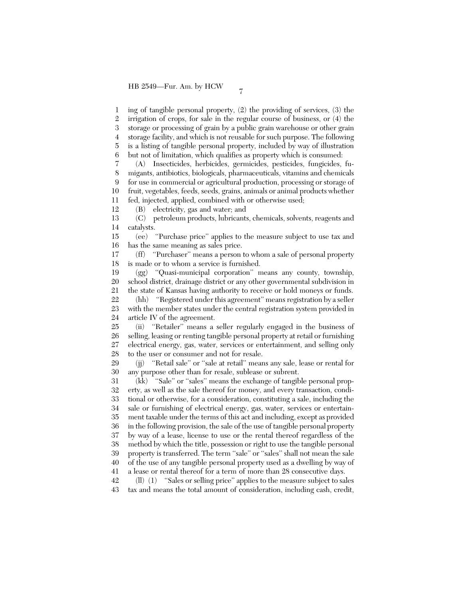1 2 3 4 5 6 ing of tangible personal property, (2) the providing of services, (3) the irrigation of crops, for sale in the regular course of business, or (4) the storage or processing of grain by a public grain warehouse or other grain storage facility, and which is not reusable for such purpose. The following is a listing of tangible personal property, included by way of illustration but not of limitation, which qualifies as property which is consumed:

7 8 9 10 11 (A) Insecticides, herbicides, germicides, pesticides, fungicides, fumigants, antibiotics, biologicals, pharmaceuticals, vitamins and chemicals for use in commercial or agricultural production, processing or storage of fruit, vegetables, feeds, seeds, grains, animals or animal products whether fed, injected, applied, combined with or otherwise used;

12 (B) electricity, gas and water; and

13 14 (C) petroleum products, lubricants, chemicals, solvents, reagents and catalysts.

15 16 (ee) ''Purchase price'' applies to the measure subject to use tax and has the same meaning as sales price.

17 18 (ff) ''Purchaser'' means a person to whom a sale of personal property is made or to whom a service is furnished.

19 20 21 (gg) ''Quasi-municipal corporation'' means any county, township, school district, drainage district or any other governmental subdivision in the state of Kansas having authority to receive or hold moneys or funds.

22 23 24 (hh) ''Registered under this agreement'' means registration by a seller with the member states under the central registration system provided in article IV of the agreement.

25 26 27 28 (ii) ''Retailer'' means a seller regularly engaged in the business of selling, leasing or renting tangible personal property at retail or furnishing electrical energy, gas, water, services or entertainment, and selling only to the user or consumer and not for resale.

29 30 (jj) ''Retail sale'' or ''sale at retail'' means any sale, lease or rental for any purpose other than for resale, sublease or subrent.

31 32 33 34 35 36 37 38 39 40 41 (kk) ''Sale'' or ''sales'' means the exchange of tangible personal property, as well as the sale thereof for money, and every transaction, conditional or otherwise, for a consideration, constituting a sale, including the sale or furnishing of electrical energy, gas, water, services or entertainment taxable under the terms of this act and including, except as provided in the following provision, the sale of the use of tangible personal property by way of a lease, license to use or the rental thereof regardless of the method by which the title, possession or right to use the tangible personal property is transferred. The term ''sale'' or ''sales'' shall not mean the sale of the use of any tangible personal property used as a dwelling by way of a lease or rental thereof for a term of more than 28 consecutive days.

42 43 (ll) (1) ''Sales or selling price'' applies to the measure subject to sales tax and means the total amount of consideration, including cash, credit,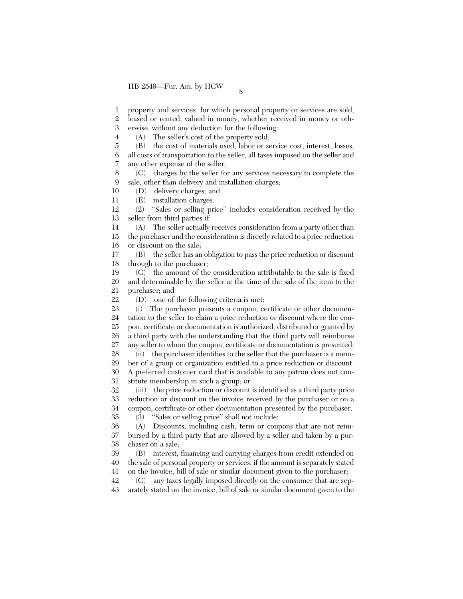1 property and services, for which personal property or services are sold,

2 leased or rented, valued in money, whether received in money or oth-

3 erwise, without any deduction for the following:

(A) The seller's cost of the property sold;

5 6 (B) the cost of materials used, labor or service cost, interest, losses, all costs of transportation to the seller, all taxes imposed on the seller and

7 any other expense of the seller;

4

10

8 9 (C) charges by the seller for any services necessary to complete the sale, other than delivery and installation charges;

(D) delivery charges; and

11 (E) installation charges.

12 13 (2) ''Sales or selling price'' includes consideration received by the seller from third parties if:

14 15 16 (A) The seller actually receives consideration from a party other than the purchaser and the consideration is directly related to a price reduction or discount on the sale;

17 18 (B) the seller has an obligation to pass the price reduction or discount through to the purchaser;

19 20 21 (C) the amount of the consideration attributable to the sale is fixed and determinable by the seller at the time of the sale of the item to the purchaser; and

22 (D) one of the following criteria is met:

23 24 25 26 27 (i) The purchaser presents a coupon, certificate or other documentation to the seller to claim a price reduction or discount where the coupon, certificate or documentation is authorized, distributed or granted by a third party with the understanding that the third party will reimburse any seller to whom the coupon, certificate or documentation is presented;

28 29 30 31 (ii) the purchaser identifies to the seller that the purchaser is a member of a group or organization entitled to a price reduction or discount. A preferred customer card that is available to any patron does not constitute membership in such a group; or

32 33 34 35 (iii) the price reduction or discount is identified as a third party price reduction or discount on the invoice received by the purchaser or on a coupon, certificate or other documentation presented by the purchaser.

(3) ''Sales or selling price'' shall not include:

36 37 38 (A) Discounts, including cash, term or coupons that are not reimbursed by a third party that are allowed by a seller and taken by a purchaser on a sale;

39 40 41 (B) interest, financing and carrying charges from credit extended on the sale of personal property or services, if the amount is separately stated on the invoice, bill of sale or similar document given to the purchaser;

42 43 (C) any taxes legally imposed directly on the consumer that are separately stated on the invoice, bill of sale or similar document given to the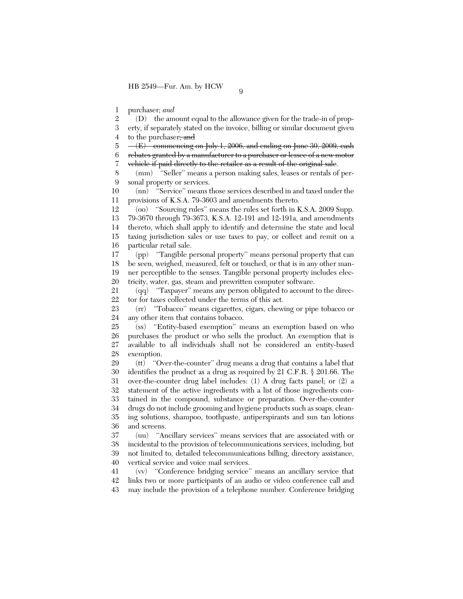1 purchaser; *and*

2 3 (D) the amount equal to the allowance given for the trade-in of property, if separately stated on the invoice, billing or similar document given

4 to the purchaser, and

5 6 7  $-$ (E) commencing on July 1, 2006, and ending on June 30, 2009, eash rebates granted by a manufacturer to a purchaser or lessee of a new motor vehiele if paid directly to the retailer as a result of the original sale.

8 9 (mm) "Seller" means a person making sales, leases or rentals of personal property or services.

10 11 (nn) ''Service'' means those services described in and taxed under the provisions of K.S.A. 79-3603 and amendments thereto.

12 13 14 15 16 (oo) ''Sourcing rules'' means the rules set forth in K.S.A. 2009 Supp. 79-3670 through 79-3673, K.S.A. 12-191 and 12-191a, and amendments thereto, which shall apply to identify and determine the state and local taxing jurisdiction sales or use taxes to pay, or collect and remit on a particular retail sale.

17 18 19 20 (pp) ''Tangible personal property'' means personal property that can be seen, weighed, measured, felt or touched, or that is in any other manner perceptible to the senses. Tangible personal property includes electricity, water, gas, steam and prewritten computer software.

21 22 (qq) ''Taxpayer'' means any person obligated to account to the director for taxes collected under the terms of this act.

23 24 (rr) ''Tobacco'' means cigarettes, cigars, chewing or pipe tobacco or any other item that contains tobacco.

25 26 27 28 (ss) ''Entity-based exemption'' means an exemption based on who purchases the product or who sells the product. An exemption that is available to all individuals shall not be considered an entity-based exemption.

29 30 31 32 33 34 35 36 (tt) ''Over-the-counter'' drug means a drug that contains a label that identifies the product as a drug as required by 21 C.F.R. § 201.66. The over-the-counter drug label includes: (1) A drug facts panel; or (2) a statement of the active ingredients with a list of those ingredients contained in the compound, substance or preparation. Over-the-counter drugs do not include grooming and hygiene products such as soaps, cleaning solutions, shampoo, toothpaste, antiperspirants and sun tan lotions and screens.

37 38 39 40 (uu) ''Ancillary services'' means services that are associated with or incidental to the provision of telecommunications services, including, but not limited to, detailed telecommunications billing, directory assistance, vertical service and voice mail services.

41 42 43 (vv) ''Conference bridging service'' means an ancillary service that links two or more participants of an audio or video conference call and may include the provision of a telephone number. Conference bridging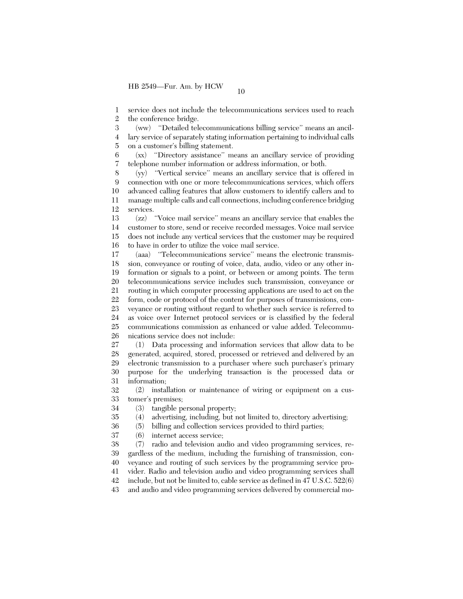1 2 service does not include the telecommunications services used to reach the conference bridge.

3 4 5 (ww) ''Detailed telecommunications billing service'' means an ancillary service of separately stating information pertaining to individual calls on a customer's billing statement.

6 7 (xx) ''Directory assistance'' means an ancillary service of providing telephone number information or address information, or both.

8 9 10 11 12 (yy) ''Vertical service'' means an ancillary service that is offered in connection with one or more telecommunications services, which offers advanced calling features that allow customers to identify callers and to manage multiple calls and call connections, including conference bridging services.

13 14 15 16 (zz) ''Voice mail service'' means an ancillary service that enables the customer to store, send or receive recorded messages. Voice mail service does not include any vertical services that the customer may be required to have in order to utilize the voice mail service.

17 18 19 20 21 22 23 24 25 26 (aaa) ''Telecommunications service'' means the electronic transmission, conveyance or routing of voice, data, audio, video or any other information or signals to a point, or between or among points. The term telecommunications service includes such transmission, conveyance or routing in which computer processing applications are used to act on the form, code or protocol of the content for purposes of transmissions, conveyance or routing without regard to whether such service is referred to as voice over Internet protocol services or is classified by the federal communications commission as enhanced or value added. Telecommunications service does not include:

27 28 29 30 31 (1) Data processing and information services that allow data to be generated, acquired, stored, processed or retrieved and delivered by an electronic transmission to a purchaser where such purchaser's primary purpose for the underlying transaction is the processed data or information;

32 33 (2) installation or maintenance of wiring or equipment on a customer's premises;

34 (3) tangible personal property;

35 (4) advertising, including, but not limited to, directory advertising;

36 (5) billing and collection services provided to third parties;

37 (6) internet access service;

38 39 40 41 42 (7) radio and television audio and video programming services, regardless of the medium, including the furnishing of transmission, conveyance and routing of such services by the programming service provider. Radio and television audio and video programming services shall include, but not be limited to, cable service as defined in 47 U.S.C. 522(6)

43 and audio and video programming services delivered by commercial mo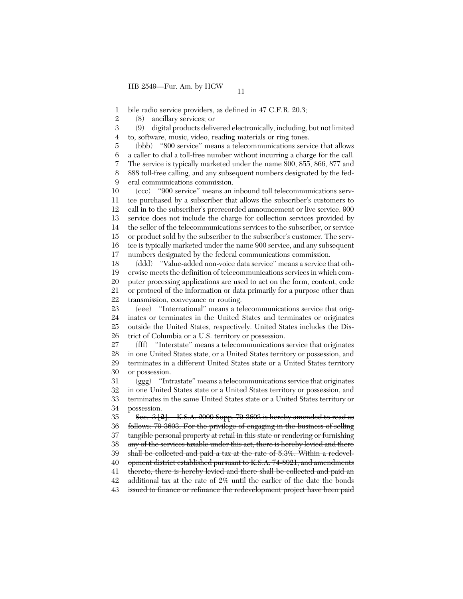1 bile radio service providers, as defined in 47 C.F.R. 20.3;

2 (8) ancillary services; or

3 4 (9) digital products delivered electronically, including, but not limited to, software, music, video, reading materials or ring tones.

5 6 7 8  $\mathbf{Q}$ (bbb) ''800 service'' means a telecommunications service that allows a caller to dial a toll-free number without incurring a charge for the call. The service is typically marketed under the name 800, 855, 866, 877 and 888 toll-free calling, and any subsequent numbers designated by the federal communications commission.

10 11 12 13 14 15 16 17 (ccc) ''900 service'' means an inbound toll telecommunications service purchased by a subscriber that allows the subscriber's customers to call in to the subscriber's prerecorded announcement or live service. 900 service does not include the charge for collection services provided by the seller of the telecommunications services to the subscriber, or service or product sold by the subscriber to the subscriber's customer. The service is typically marketed under the name 900 service, and any subsequent numbers designated by the federal communications commission.

18 19 20 21 22 (ddd) ''Value-added non-voice data service'' means a service that otherwise meets the definition of telecommunications services in which computer processing applications are used to act on the form, content, code or protocol of the information or data primarily for a purpose other than transmission, conveyance or routing.

23 24 25 26 (eee) ''International'' means a telecommunications service that originates or terminates in the United States and terminates or originates outside the United States, respectively. United States includes the District of Columbia or a U.S. territory or possession.

27 28 29 30 (fff) ''Interstate'' means a telecommunications service that originates in one United States state, or a United States territory or possession, and terminates in a different United States state or a United States territory or possession.

31 32 33 34 (ggg) ''Intrastate'' means a telecommunications service that originates in one United States state or a United States territory or possession, and terminates in the same United States state or a United States territory or possession.

35 36 37 38 39 40 41 42 Sec. 3 **[2]**. K.S.A. 2009 Supp. 79-3603 is hereby amended to read as follows: 79-3603. For the privilege of engaging in the business of selling tangible personal property at retail in this state or rendering or furnishing any of the services taxable under this act, there is hereby levied and there shall be collected and paid a tax at the rate of 5.3%. Within a redevelopment district established pursuant to K.S.A. 74-8921, and amendments thereto, there is hereby levied and there shall be collected and paid an additional tax at the rate of 2% until the earlier of the date the bonds

43 issued to finance or refinance the redevelopment project have been paid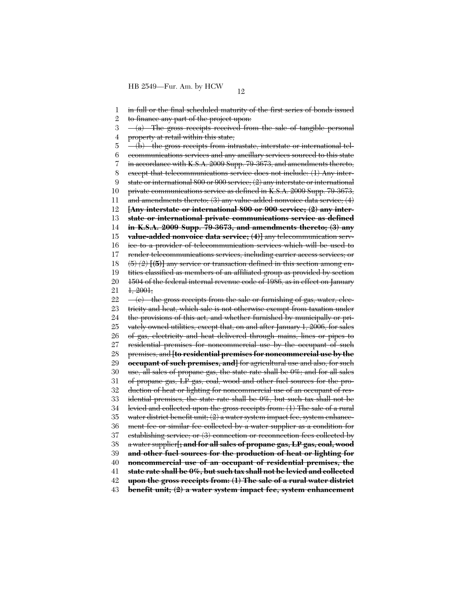1 2 3 4 5 6 7 8  $\mathbf{Q}$ 10 11 12 13 14 15 16 17 18 19 20 21 22 23 24 25 26 27 28 29 30 31 32 33 34 35 36 37 38 39 40 41 42 43 in full or the final scheduled maturity of the first series of bonds issued to finance any part of the project upon:  $-(a)$  The gross receipts received from the sale of tangible personal property at retail within this state; (b) the gross receipts from intrastate, interstate or international telecommunications services and any ancillary services sourced to this state in accordance with K.S.A. 2009 Supp. 79-3673, and amendments thereto, except that telecommunications service does not include: (1) Any interstate or international 800 or 900 service; (2) any interstate or international private communications service as defined in K.S.A. 2009 Supp. 79-3673, and amendments thereto;  $(3)$  any value-added nonvoice data service;  $(4)$ **[Any interstate or international 800 or 900 service; (2) any interstate or international private communications service as defined in K.S.A. 2009 Supp. 79-3673, and amendments thereto; (3) any value-added nonvoice data service; (4)]** any telecommunication service to a provider of telecommunication services which will be used to render telecommunications services, including carrier access services; or (5) *(2)* **[(5)]** any service or transaction defined in this section among entities classified as members of an affiliated group as provided by section 1504 of the federal internal revenue code of 1986, as in effect on January 1, 2001;  $\langle e \rangle$  the gross receipts from the sale or furnishing of gas, water, electricity and heat, which sale is not otherwise exempt from taxation under the provisions of this act, and whether furnished by municipally or privately owned utilities, except that, on and after January 1, 2006, for sales of gas, electricity and heat delivered through mains, lines or pipes to residential premises for noncommercial use by the occupant of such premises, and **[to residential premises for noncommercial use by the occupant of such premises, and]** for agricultural use and also, for such use, all sales of propane gas, the state rate shall be 0%; and for all sales of propane gas, LP gas, coal, wood and other fuel sources for the production of heat or lighting for noncommercial use of an occupant of residential premises, the state rate shall be 0%, but such tax shall not be levied and collected upon the gross receipts from: (1) The sale of a rural water district benefit unit;  $(2)$  a water system impact fee, system enhancement fee or similar fee collected by a water supplier as a condition for establishing service; or (3) connection or reconnection fees collected by a water supplier**[; and for all sales of propane gas, LP gas, coal, wood and other fuel sources for the production of heat or lighting for noncommercial use of an occupant of residential premises, the state rate shall be 0%, but such tax shall not be levied and collected upon the gross receipts from: (1) The sale of a rural water district benefit unit; (2) a water system impact fee, system enhancement**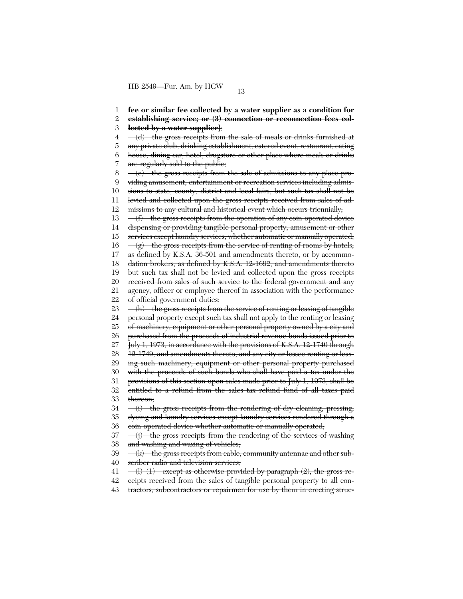1 2 3 4 5 6 7 8 9 10 11 12 13 14 15 16 17 18 19 20 21 22 23 24 25 26 27 28 29 30 31 32 33 34 35 36 37 38 39 40 41 42 **fee or similar fee collected by a water supplier as a condition for establishing service; or (3) connection or reconnection fees collected by a water supplier]**;  $-\left(\frac{d}{dt}\right)$  the gross receipts from the sale of meals or drinks furnished at any private club, drinking establishment, catered event, restaurant, eating house, dining car, hotel, drugstore or other place where meals or drinks are regularly sold to the public; (e) the gross receipts from the sale of admissions to any place providing amusement, entertainment or recreation services including admissions to state, county, district and local fairs, but such tax shall not be levied and collected upon the gross receipts received from sales of admissions to any cultural and historical event which occurs triennially; (f) the gross receipts from the operation of any coin-operated device dispensing or providing tangible personal property, amusement or other services except laundry services, whether automatic or manually operated;  $-(g)$  the gross receipts from the service of renting of rooms by hotels, as defined by K.S.A. 36-501 and amendments thereto, or by accommodation brokers, as defined by K.S.A. 12-1692, and amendments thereto but such tax shall not be levied and collected upon the gross receipts received from sales of such service to the federal government and any agency, officer or employee thereof in association with the performance of official government duties;  $\langle h \rangle$  the gross receipts from the service of renting or leasing of tangible personal property except such tax shall not apply to the renting or leasing of machinery, equipment or other personal property owned by a city and purchased from the proceeds of industrial revenue bonds issued prior to July 1, 1973, in accordance with the provisions of K.S.A. 12-1740 through 12-1749, and amendments thereto, and any city or lessee renting or leasing such machinery, equipment or other personal property purchased with the proceeds of such bonds who shall have paid a tax under the provisions of this section upon sales made prior to July 1, 1973, shall be entitled to a refund from the sales tax refund fund of all taxes paid thereon;  $(i)$  the gross receipts from the rendering of dry cleaning, pressing, dyeing and laundry services except laundry services rendered through a coin-operated device whether automatic or manually operated;  $-$ (j) the gross receipts from the rendering of the services of washing and washing and waxing of vehicles;  $(k)$  the gross receipts from cable, community antennae and other subscriber radio and television services;  $\langle$ [1)  $(1)$  except as otherwise provided by paragraph  $(2)$ , the gross receipts received from the sales of tangible personal property to all con-

43 tractors, subcontractors or repairmen for use by them in erecting struc-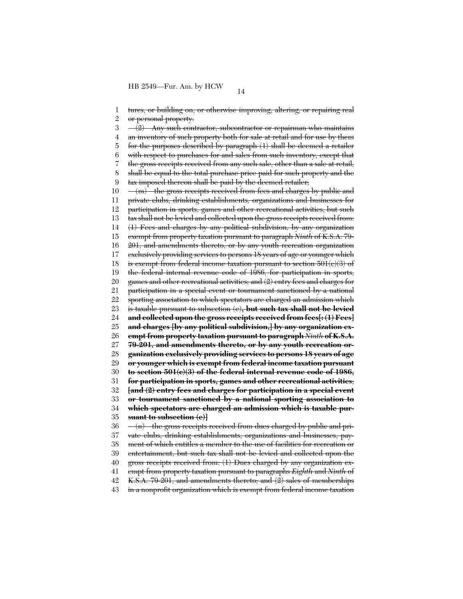1 2 3 4 5 6 7 8 9 10 11 12 13 14 15 16 17 18 19 20 21 22 23 24 25 26 27 28 29 30 31 32 33 34 35 36 37 38 39 40 41 42 43 tures, or building on, or otherwise improving, altering, or repairing real or personal property.  $-(2)$  Any such contractor, subcontractor or repairman who maintains an inventory of such property both for sale at retail and for use by them for the purposes described by paragraph (1) shall be deemed a retailer with respect to purchases for and sales from such inventory, except that the gross receipts received from any such sale, other than a sale at retail, shall be equal to the total purchase price paid for such property and the tax imposed thereon shall be paid by the deemed retailer;  $-(m)$  the gross receipts received from fees and charges by public and private clubs, drinking establishments, organizations and businesses for participation in sports, games and other recreational activities, but such tax shall not be levied and collected upon the gross receipts received from: (1) Fees and charges by any political subdivision, by any organization exempt from property taxation pursuant to paragraph *Ninth* of K.S.A. 79- 201, and amendments thereto, or by any youth recreation organization exclusively providing services to persons 18 years of age or younger which is exempt from federal income taxation pursuant to section  $501(c)(3)$  of the federal internal revenue code of 1986, for participation in sports, games and other recreational activities; and (2) entry fees and charges for participation in a special event or tournament sanctioned by a national sporting association to which spectators are charged an admission which is taxable pursuant to subsection (e)**, but such tax shall not be levied and collected upon the gross receipts received from fees[: (1) Fees] and charges [by any political subdivision,] by any organization exempt from property taxation pursuant to paragraph** *Ninth* **of K.S.A. 79-201, and amendments thereto, or by any youth recreation organization exclusively providing services to persons 18 years of age or younger which is exempt from federal income taxation pursuant to section 501(c)(3) of the federal internal revenue code of 1986, for participation in sports, games and other recreational activities**; **[and (2) entry fees and charges for participation in a special event or tournament sanctioned by a national sporting association to which spectators are charged an admission which is taxable pursuant to subsection (e)]**  $-(n)$  the gross receipts received from dues charged by public and private clubs, drinking establishments, organizations and businesses, payment of which entitles a member to the use of facilities for recreation or entertainment, but such tax shall not be levied and collected upon the gross receipts received from: (1) Dues charged by any organization exempt from property taxation pursuant to paragraphs *Eighth* and *Ninth* of K.S.A. 79-201, and amendments thereto; and (2) sales of memberships in a nonprofit organization which is exempt from federal income taxation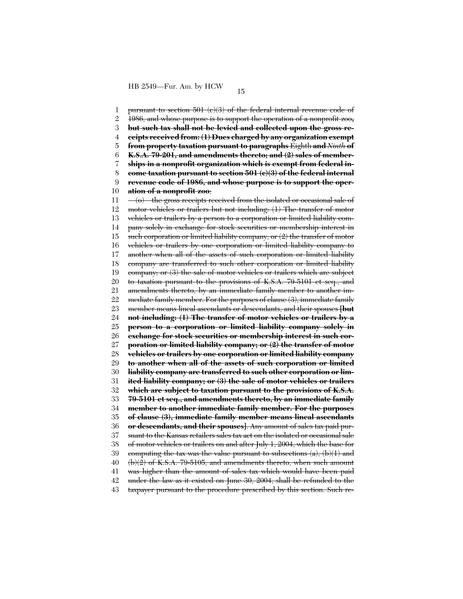1 2 3 4 5 6 7 8  $\mathbf{Q}$ 10 11 12 13 14 15 16 17 18 19 20 21 22 23 24 25 26 27 28 29 30 31 32 33 34 35 36 37 38 39 40 41 42 43 pursuant to section 501 (c)(3) of the federal internal revenue code of 1986, and whose purpose is to support the operation of a nonprofit zoo**, but such tax shall not be levied and collected upon the gross receipts received from: (1) Dues charged by any organization exempt from property taxation pursuant to paragraphs** Eighth **and** *Ninth* **of K.S.A. 79-201, and amendments thereto; and (2) sales of memberships in a nonprofit organization which is exempt from federal income taxation pursuant to section 501 (c)(3) of the federal internal revenue code of 1986, and whose purpose is to support the operation of a nonprofit zoo**; (o) the gross receipts received from the isolated or occasional sale of motor vehicles or trailers but not including: (1) The transfer of motor vehicles or trailers by a person to a corporation or limited liability company solely in exchange for stock securities or membership interest in such corporation or limited liability company; or  $(2)$  the transfer of motor vehicles or trailers by one corporation or limited liability company to another when all of the assets of such corporation or limited liability company are transferred to such other corporation or limited liability company; or (3) the sale of motor vehicles or trailers which are subject to taxation pursuant to the provisions of K.S.A. 79-5101 et seq., and amendments thereto, by an immediate family member to another immediate family member. For the purposes of clause (3), immediate family member means lineal ascendants or descendants, and their spouses **[but not including: (1) The transfer of motor vehicles or trailers by a person to a corporation or limited liability company solely in exchange for stock securities or membership interest in such corporation or limited liability company; or (2) the transfer of motor vehicles or trailers by one corporation or limited liability company to another when all of the assets of such corporation or limited liability company are transferred to such other corporation or limited liability company; or (3) the sale of motor vehicles or trailers which are subject to taxation pursuant to the provisions of K.S.A. 79-5101 et seq., and amendments thereto, by an immediate family member to another immediate family member. For the purposes of clause (3), immediate family member means lineal ascendants or descendants, and their spouses]**. Any amount of sales tax paid pursuant to the Kansas retailers sales tax act on the isolated or occasional sale of motor vehicles or trailers on and after July 1, 2004, which the base for computing the tax was the value pursuant to subsections  $(a)$ ,  $(b)(1)$  and (b)(2) of K.S.A. 79-5105, and amendments thereto, when such amount was higher than the amount of sales tax which would have been paid under the law as it existed on June 30, 2004, shall be refunded to the taxpayer pursuant to the procedure prescribed by this section. Such re-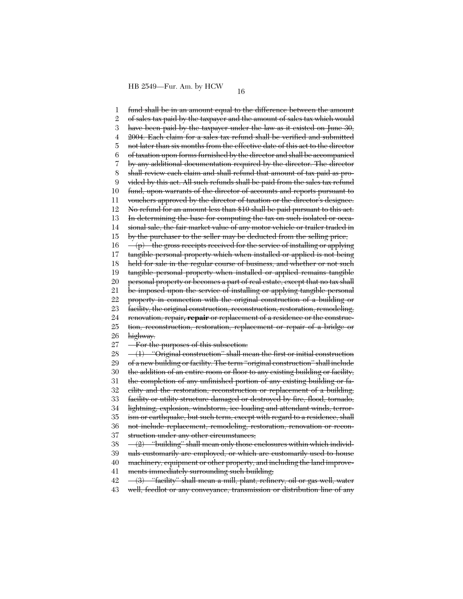1 2 3 4 5 6 7 8  $\mathbf{Q}$ 10 11 12 13 14 15 16 17 18 19 20 21 22 23 24 25 26 27 28 29 30 31 32 33 34 35 36 37 38 39 40 41 42 fund shall be in an amount equal to the difference between the amount of sales tax paid by the taxpayer and the amount of sales tax which would have been paid by the taxpayer under the law as it existed on June 30, 2004. Each claim for a sales tax refund shall be verified and submitted not later than six months from the effective date of this act to the director of taxation upon forms furnished by the director and shall be accompanied by any additional documentation required by the director. The director shall review each claim and shall refund that amount of tax paid as provided by this act. All such refunds shall be paid from the sales tax refund fund, upon warrants of the director of accounts and reports pursuant to vouchers approved by the director of taxation or the director's designee. No refund for an amount less than \$10 shall be paid pursuant to this act. In determining the base for computing the tax on such isolated or occasional sale, the fair market value of any motor vehicle or trailer traded in by the purchaser to the seller may be deducted from the selling price;  $(p)$  the gross receipts received for the service of installing or applying tangible personal property which when installed or applied is not being held for sale in the regular course of business, and whether or not such tangible personal property when installed or applied remains tangible personal property or becomes a part of real estate, except that no tax shall be imposed upon the service of installing or applying tangible personal property in connection with the original construction of a building or facility, the original construction, reconstruction, restoration, remodeling, renovation, repair**, repair** or replacement of a residence or the construction, reconstruction, restoration, replacement or repair of a bridge or highway. For the purposes of this subsection:  $-(1)$  "Original construction" shall mean the first or initial construction of a new building or facility. The term ''original construction'' shall include the addition of an entire room or floor to any existing building or facility, the completion of any unfinished portion of any existing building or facility and the restoration, reconstruction or replacement of a building, facility or utility structure damaged or destroyed by fire, flood, tornado, lightning, explosion, windstorm, ice loading and attendant winds, terrorism or earthquake, but such term, except with regard to a residence, shall not include replacement, remodeling, restoration, renovation or reconstruction under any other circumstances;  $-(2)$  "building" shall mean only those enclosures within which individuals customarily are employed, or which are customarily used to house machinery, equipment or other property, and including the land improvements immediately surrounding such building; (3) ''facility'' shall mean a mill, plant, refinery, oil or gas well, water

43 well, feedlot or any conveyance, transmission or distribution line of any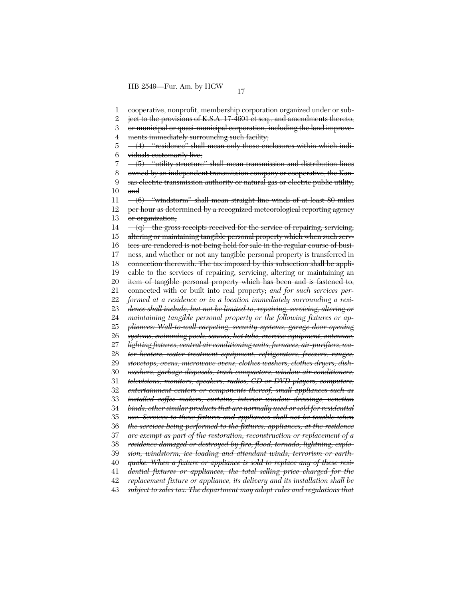1 2 3 4 5 6 7 8 9 10 11 12 13 14 15 16 17 18 19 20 21 22 23 24 25 26 27 28 29 30 31 32 33 34 35 36 37 38 39 40 41 42 43 cooperative, nonprofit, membership corporation organized under or subject to the provisions of K.S.A. 17-4601 et seq., and amendments thereto, or municipal or quasi-municipal corporation, including the land improvements immediately surrounding such facility;  $-(4)$  "residence" shall mean only those enclosures within which individuals customarily live; (5) ''utility structure'' shall mean transmission and distribution lines owned by an independent transmission company or cooperative, the Kansas electric transmission authority or natural gas or electric public utility; and (6) ''windstorm'' shall mean straight line winds of at least 80 miles per hour as determined by a recognized meteorological reporting agency or organization;  $-\langle q \rangle$  the gross receipts received for the service of repairing, servicing, altering or maintaining tangible personal property which when such services are rendered is not being held for sale in the regular course of business, and whether or not any tangible personal property is transferred in connection therewith. The tax imposed by this subsection shall be applicable to the services of repairing, servicing, altering or maintaining an item of tangible personal property which has been and is fastened to, connected with or built into real property; *and for such services performed at a residence or in a location immediately surrounding a residence shall include, but not be limited to, repairing, servicing, altering or maintaining tangible personal property or the following fixtures or appliances: Wall-to-wall carpeting, security systems, garage door opening systems, swimming pools, saunas, hot tubs, exercise equipment, antennae, lighting fixtures, central air conditioning units, furnaces, air-purifiers, water heaters, water treatment equipment, refrigerators, freezers, ranges, stovetops, ovens, microwave ovens, clothes washers, clothes dryers, dishwashers, garbage disposals, trash compactors, window air-conditioners, televisions, monitors, speakers, radios, CD or DVD players, computers, entertainment centers or components thereof, small appliances such as installed coffee makers, curtains, interior window dressings, venetian binds, other similar products that are normally used or sold for residential use. Services to these fixtures and appliances shall not be taxable when the services being performed to the fixtures, appliances, at the residence are exempt as part of the restoration, reconstruction or replacement of a residence damaged or destroyed by fire, flood, tornado, lightning, explosion, windstorm, ice loading and attendant winds, terrorism or earthquake. When a fixture or appliance is sold to replace any of these residential fixtures or appliances, the total selling price charged for the replacement fixture or appliance, its delivery and its installation shall be subject to sales tax. The department may adopt rules and regulations that*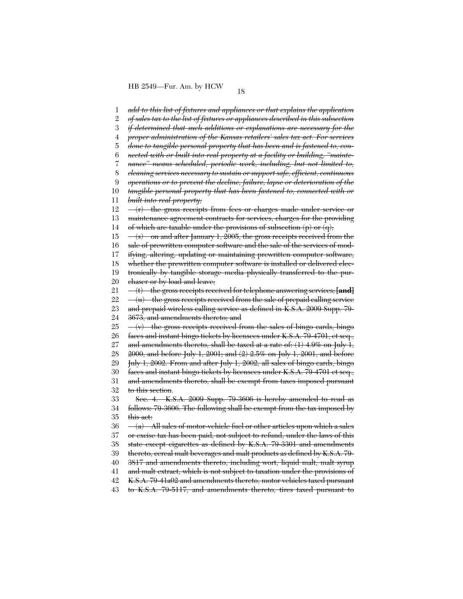1 2 3 4 5 6 7 8 9 10 11 12 13 14 15 16 17 18 19 20 21 22 23 24 25 26 27 28 29 30 31 32 33 34 35 36 37 38 39 40 41 42 43 *add to this list of fixtures and appliances or that explains the application of sales tax to the list of fixtures or appliances described in this subsection if determined that such additions or explanations are necessary for the proper administration of the Kansas retailers' sales tax act. For services done to tangible personal property that has been and is fastened to, connected with or built into real property at a facility or building, ''maintenance'' means scheduled, periodic work, including, but not limited to, cleaning services necessary to sustain or support safe, efficient, continuous operations or to prevent the decline, failure, lapse or deterioration of the tangible personal property that has been fastened to, connected with or built into real property;*  $-\left(r\right)$  the gross receipts from fees or charges made under service or maintenance agreement contracts for services, charges for the providing of which are taxable under the provisions of subsection  $(p)$  or  $(q)$ ;  $-(s)$  on and after January 1, 2005, the gross receipts received from the sale of prewritten computer software and the sale of the services of modifying, altering, updating or maintaining prewritten computer software, whether the prewritten computer software is installed or delivered electronically by tangible storage media physically transferred to the purchaser or by load and leave; (t) the gross receipts received for telephone answering services; **[and]**  $(u)$  the gross receipts received from the sale of prepaid calling service and prepaid wireless calling service as defined in K.S.A. 2009 Supp. 79- 3673, and amendments thereto; and  $(v)$  the gross receipts received from the sales of bingo cards, bingo faces and instant bingo tickets by licensees under K.S.A. 79-4701, et seq., and amendments thereto, shall be taxed at a rate of:  $(1)$  4.9% on July 1, 2000, and before July 1, 2001; and (2) 2.5% on July 1, 2001, and before July 1, 2002. From and after July 1, 2002, all sales of bingo cards, bingo faces and instant bingo tickets by licensees under K.S.A. 79-4701 et seq., and amendments thereto, shall be exempt from taxes imposed pursuant to this section. Sec. 4. K.S.A. 2009 Supp. 79-3606 is hereby amended to read as follows: 79-3606. The following shall be exempt from the tax imposed by this act:  $(a)$  All sales of motor-vehicle fuel or other articles upon which a sales or excise tax has been paid, not subject to refund, under the laws of this state except cigarettes as defined by K.S.A. 79-3301 and amendments thereto, cereal malt beverages and malt products as defined by K.S.A. 79- 3817 and amendments thereto, including wort, liquid malt, malt syrup and malt extract, which is not subject to taxation under the provisions of K.S.A. 79-41a02 and amendments thereto, motor vehicles taxed pursuant to K.S.A. 79-5117, and amendments thereto, tires taxed pursuant to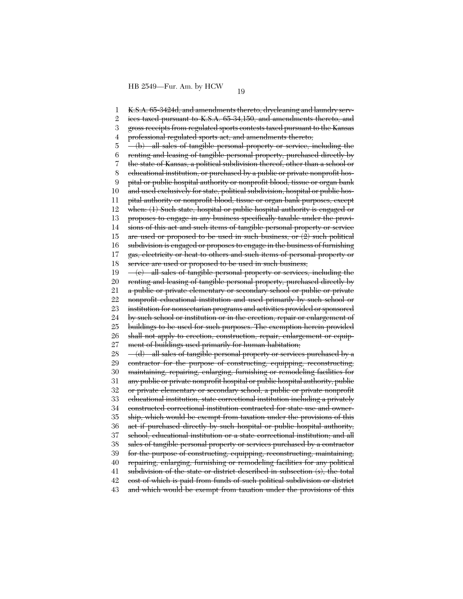1 2 3 4 5 6 7 8 9 10 11 12 13 14 15 16 17 18 19 20 21 22 23 24 25 26 27 28 29 30 31 32 33 34 35 36 37 38 39 40 41 42 43 K.S.A. 65-3424d, and amendments thereto, drycleaning and laundry services taxed pursuant to K.S.A. 65-34,150, and amendments thereto, and gross receipts from regulated sports contests taxed pursuant to the Kansas professional regulated sports act, and amendments thereto; (b) all sales of tangible personal property or service, including the renting and leasing of tangible personal property, purchased directly by the state of Kansas, a political subdivision thereof, other than a school or educational institution, or purchased by a public or private nonprofit hospital or public hospital authority or nonprofit blood, tissue or organ bank and used exclusively for state, political subdivision, hospital or public hospital authority or nonprofit blood, tissue or organ bank purposes, except when: (1) Such state, hospital or public hospital authority is engaged or proposes to engage in any business specifically taxable under the provisions of this act and such items of tangible personal property or service are used or proposed to be used in such business, or  $(2)$  such political subdivision is engaged or proposes to engage in the business of furnishing gas, electricity or heat to others and such items of personal property or service are used or proposed to be used in such business;  $-(e)$  all sales of tangible personal property or services, including the renting and leasing of tangible personal property, purchased directly by a public or private elementary or secondary school or public or private nonprofit educational institution and used primarily by such school or institution for nonsectarian programs and activities provided or sponsored by such school or institution or in the erection, repair or enlargement of buildings to be used for such purposes. The exemption herein provided shall not apply to erection, construction, repair, enlargement or equipment of buildings used primarily for human habitation;  $-\left(\frac{d}{d}\right)$  all sales of tangible personal property or services purchased by a contractor for the purpose of constructing, equipping, reconstructing, maintaining, repairing, enlarging, furnishing or remodeling facilities for any public or private nonprofit hospital or public hospital authority, public or private elementary or secondary school, a public or private nonprofit educational institution, state correctional institution including a privately constructed correctional institution contracted for state use and ownership, which would be exempt from taxation under the provisions of this act if purchased directly by such hospital or public hospital authority, school, educational institution or a state correctional institution; and all sales of tangible personal property or services purchased by a contractor for the purpose of constructing, equipping, reconstructing, maintaining, repairing, enlarging, furnishing or remodeling facilities for any political subdivision of the state or district described in subsection (s), the total cost of which is paid from funds of such political subdivision or district and which would be exempt from taxation under the provisions of this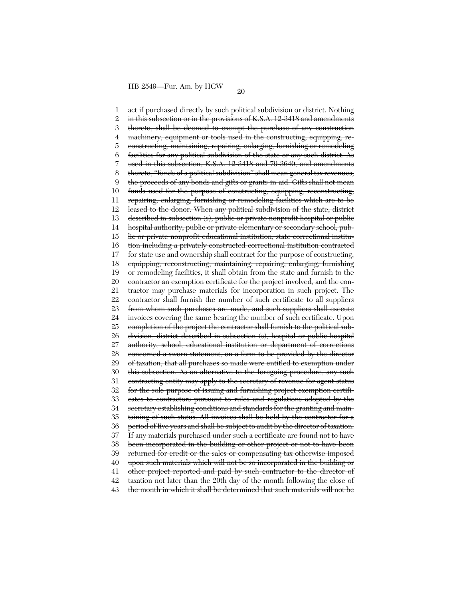1 2 3 4 5 6 7 8 9 10 11 12 13 14 15 16 17 18 19 20 21 22 23 24 25 26 27 28 29 30 31 32 33 34 35 36 37 38 39 40 41 42 43 act if purchased directly by such political subdivision or district. Nothing in this subsection or in the provisions of K.S.A. 12-3418 and amendments thereto, shall be deemed to exempt the purchase of any construction machinery, equipment or tools used in the constructing, equipping, reconstructing, maintaining, repairing, enlarging, furnishing or remodeling facilities for any political subdivision of the state or any such district. As used in this subsection, K.S.A. 12-3418 and 79-3640, and amendments thereto, ''funds of a political subdivision'' shall mean general tax revenues, the proceeds of any bonds and gifts or grants-in-aid. Gifts shall not mean funds used for the purpose of constructing, equipping, reconstructing, repairing, enlarging, furnishing or remodeling facilities which are to be leased to the donor. When any political subdivision of the state, district described in subsection (s), public or private nonprofit hospital or public hospital authority, public or private elementary or secondary school, public or private nonprofit educational institution, state correctional institution including a privately constructed correctional institution contracted for state use and ownership shall contract for the purpose of constructing, equipping, reconstructing, maintaining, repairing, enlarging, furnishing or remodeling facilities, it shall obtain from the state and furnish to the contractor an exemption certificate for the project involved, and the contractor may purchase materials for incorporation in such project. The contractor shall furnish the number of such certificate to all suppliers from whom such purchases are made, and such suppliers shall execute invoices covering the same bearing the number of such certificate. Upon completion of the project the contractor shall furnish to the political subdivision, district described in subsection (s), hospital or public hospital authority, school, educational institution or department of corrections concerned a sworn statement, on a form to be provided by the director of taxation, that all purchases so made were entitled to exemption under this subsection. As an alternative to the foregoing procedure, any such contracting entity may apply to the secretary of revenue for agent status for the sole purpose of issuing and furnishing project exemption certificates to contractors pursuant to rules and regulations adopted by the secretary establishing conditions and standards for the granting and maintaining of such status. All invoices shall be held by the contractor for a period of five years and shall be subject to audit by the director of taxation. If any materials purchased under such a certificate are found not to have been incorporated in the building or other project or not to have been returned for credit or the sales or compensating tax otherwise imposed upon such materials which will not be so incorporated in the building or other project reported and paid by such contractor to the director of taxation not later than the 20th day of the month following the close of the month in which it shall be determined that such materials will not be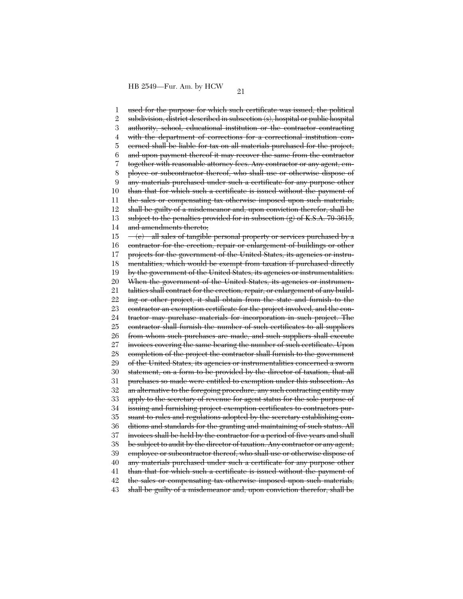1 2 3 4 5 6 7 8 9 10 11 12 13 14 15 16 17 18 19 20 21 22 23 24 25 26 27 28 29 30 31 32 33 34 35 36 37 38 39 40 41 42 43 used for the purpose for which such certificate was issued, the political subdivision, district described in subsection (s), hospital or public hospital authority, school, educational institution or the contractor contracting with the department of corrections for a correctional institution concerned shall be liable for tax on all materials purchased for the project, and upon payment thereof it may recover the same from the contractor together with reasonable attorney fees. Any contractor or any agent, employee or subcontractor thereof, who shall use or otherwise dispose of any materials purchased under such a certificate for any purpose other than that for which such a certificate is issued without the payment of the sales or compensating tax otherwise imposed upon such materials, shall be guilty of a misdemeanor and, upon conviction therefor, shall be subject to the penalties provided for in subsection  $(g)$  of K.S.A. 79-3615, and amendments thereto; (e) all sales of tangible personal property or services purchased by a contractor for the erection, repair or enlargement of buildings or other projects for the government of the United States, its agencies or instrumentalities, which would be exempt from taxation if purchased directly by the government of the United States, its agencies or instrumentalities. When the government of the United States, its agencies or instrumentalities shall contract for the erection, repair, or enlargement of any building or other project, it shall obtain from the state and furnish to the contractor an exemption certificate for the project involved, and the contractor may purchase materials for incorporation in such project. The contractor shall furnish the number of such certificates to all suppliers from whom such purchases are made, and such suppliers shall execute invoices covering the same bearing the number of such certificate. Upon completion of the project the contractor shall furnish to the government of the United States, its agencies or instrumentalities concerned a sworn statement, on a form to be provided by the director of taxation, that all purchases so made were entitled to exemption under this subsection. As an alternative to the foregoing procedure, any such contracting entity may apply to the secretary of revenue for agent status for the sole purpose of issuing and furnishing project exemption certificates to contractors pursuant to rules and regulations adopted by the secretary establishing conditions and standards for the granting and maintaining of such status. All invoices shall be held by the contractor for a period of five years and shall be subject to audit by the director of taxation. Any contractor or any agent, employee or subcontractor thereof, who shall use or otherwise dispose of any materials purchased under such a certificate for any purpose other than that for which such a certificate is issued without the payment of the sales or compensating tax otherwise imposed upon such materials, shall be guilty of a misdemeanor and, upon conviction therefor, shall be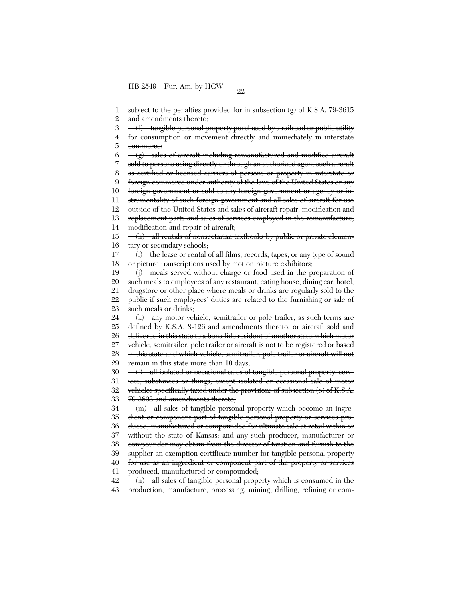1 2 3 4 5 6 7 8 9 10 11 12 13 14 15 16 17 18 19 20 21 22 23 24 25 26 27 28 29 30 31 32 33 34 35 36 37 38 39 40 41 42 43 subject to the penalties provided for in subsection  $(g)$  of K.S.A. 79-3615 and amendments thereto; (f) tangible personal property purchased by a railroad or public utility for consumption or movement directly and immediately in interstate commerce;  $-(g)$  sales of aircraft including remanufactured and modified aircraft sold to persons using directly or through an authorized agent such aircraft as certified or licensed carriers of persons or property in interstate or foreign commerce under authority of the laws of the United States or any foreign government or sold to any foreign government or agency or instrumentality of such foreign government and all sales of aircraft for use outside of the United States and sales of aircraft repair, modification and replacement parts and sales of services employed in the remanufacture, modification and repair of aircraft; (h) all rentals of nonsectarian textbooks by public or private elementary or secondary schools; (i) the lease or rental of all films, records, tapes, or any type of sound or picture transcriptions used by motion picture exhibitors; (j) meals served without charge or food used in the preparation of such meals to employees of any restaurant, eating house, dining car, hotel, drugstore or other place where meals or drinks are regularly sold to the public if such employees' duties are related to the furnishing or sale of such meals or drinks; (k) any motor vehicle, semitrailer or pole trailer, as such terms are defined by K.S.A. 8-126 and amendments thereto, or aircraft sold and delivered in this state to a bona fide resident of another state, which motor vehicle, semitrailer, pole trailer or aircraft is not to be registered or based in this state and which vehicle, semitrailer, pole trailer or aircraft will not remain in this state more than 10 days; (l) all isolated or occasional sales of tangible personal property, services, substances or things, except isolated or occasional sale of motor vehicles specifically taxed under the provisions of subsection (o) of K.S.A. 79-3603 and amendments thereto; (m) all sales of tangible personal property which become an ingredient or component part of tangible personal property or services produced, manufactured or compounded for ultimate sale at retail within or without the state of Kansas; and any such producer, manufacturer or compounder may obtain from the director of taxation and furnish to the supplier an exemption certificate number for tangible personal property for use as an ingredient or component part of the property or services produced, manufactured or compounded;  $-(n)$  all sales of tangible personal property which is consumed in the production, manufacture, processing, mining, drilling, refining or com-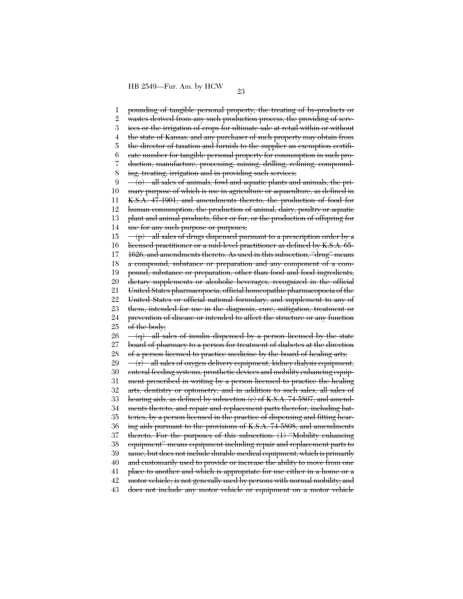1 2 3 4 5 6 7 8 9 10 11 12 13 14 15 16 17 18 19 20 21 22 23 24 25 26 27 28 29 30 31 32 33 34 35 36 37 38 39 40 41 42 43 pounding of tangible personal property, the treating of by-products or wastes derived from any such production process, the providing of services or the irrigation of crops for ultimate sale at retail within or without the state of Kansas; and any purchaser of such property may obtain from the director of taxation and furnish to the supplier an exemption certificate number for tangible personal property for consumption in such production, manufacture, processing, mining, drilling, refining, compounding, treating, irrigation and in providing such services; (o) all sales of animals, fowl and aquatic plants and animals, the primary purpose of which is use in agriculture or aquaculture, as defined in K.S.A. 47-1901, and amendments thereto, the production of food for human consumption, the production of animal, dairy, poultry or aquatic plant and animal products, fiber or fur, or the production of offspring for use for any such purpose or purposes;  $(p)$  all sales of drugs dispensed pursuant to a prescription order by a licensed practitioner or a mid-level practitioner as defined by K.S.A. 65- 1626, and amendments thereto. As used in this subsection, ''drug'' means a compound, substance or preparation and any component of a compound, substance or preparation, other than food and food ingredients, dietary supplements or alcoholic beverages, recognized in the official United States pharmacopoeia, official homeopathic pharmacopoeia of the United States or official national formulary, and supplement to any of them, intended for use in the diagnosis, cure, mitigation, treatment or prevention of disease or intended to affect the structure or any function of the body;  $-(q)$  all sales of insulin dispensed by a person licensed by the state board of pharmacy to a person for treatment of diabetes at the direction of a person licensed to practice medicine by the board of healing arts;  $-\left(r\right)$  all sales of oxygen delivery equipment, kidney dialysis equipment, enteral feeding systems, prosthetic devices and mobility enhancing equipment prescribed in writing by a person licensed to practice the healing arts, dentistry or optometry, and in addition to such sales, all sales of hearing aids, as defined by subsection (c) of K.S.A. 74-5807, and amendments thereto, and repair and replacement parts therefor, including batteries, by a person licensed in the practice of dispensing and fitting hearing aids pursuant to the provisions of K.S.A. 74-5808, and amendments thereto. For the purposes of this subsection: (1) ''Mobility enhancing equipment'' means equipment including repair and replacement parts to same, but does not include durable medical equipment, which is primarily and customarily used to provide or increase the ability to move from one place to another and which is appropriate for use either in a home or a motor vehicle; is not generally used by persons with normal mobility; and does not include any motor vehicle or equipment on a motor vehicle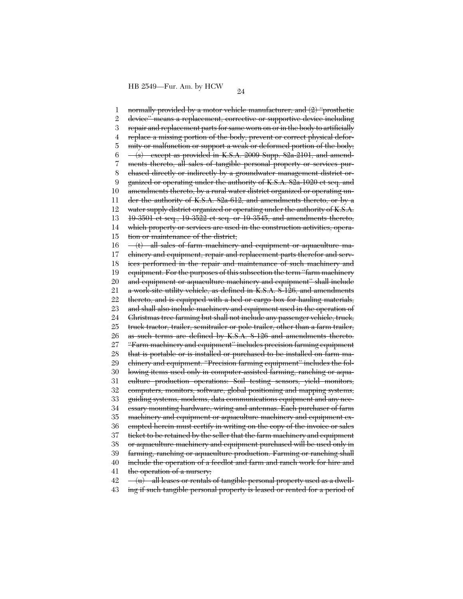1 2 3 4 5 6 7 8 9 10 11 12 13 14 15 16 17 18 19 20 21 22 23 24 25 26 27 28 29 30 31 32 33 34 35 36 37 38 39 40 41 42 normally provided by a motor vehicle manufacturer; and (2) ''prosthetic device'' means a replacement, corrective or supportive device including repair and replacement parts for same worn on or in the body to artificially replace a missing portion of the body, prevent or correct physical deformity or malfunction or support a weak or deformed portion of the body;  $-\langle s \rangle$  except as provided in K.S.A. 2009 Supp. 82a-2101, and amendments thereto, all sales of tangible personal property or services purchased directly or indirectly by a groundwater management district organized or operating under the authority of K.S.A. 82a-1020 et seq. and amendments thereto, by a rural water district organized or operating under the authority of K.S.A. 82a-612, and amendments thereto, or by a water supply district organized or operating under the authority of K.S.A. 19-3501 et seq., 19-3522 et seq. or 19-3545, and amendments thereto, which property or services are used in the construction activities, operation or maintenance of the district; (t) all sales of farm machinery and equipment or aquaculture machinery and equipment, repair and replacement parts therefor and services performed in the repair and maintenance of such machinery and equipment. For the purposes of this subsection the term ''farm machinery and equipment or aquaculture machinery and equipment'' shall include a work-site utility vehicle, as defined in K.S.A. 8-126, and amendments thereto, and is equipped with a bed or cargo box for hauling materials, and shall also include machinery and equipment used in the operation of Christmas tree farming but shall not include any passenger vehicle, truck, truck tractor, trailer, semitrailer or pole trailer, other than a farm trailer, as such terms are defined by K.S.A. 8-126 and amendments thereto. ''Farm machinery and equipment'' includes precision farming equipment that is portable or is installed or purchased to be installed on farm machinery and equipment. ''Precision farming equipment'' includes the following items used only in computer-assisted farming, ranching or aquaculture production operations: Soil testing sensors, yield monitors, computers, monitors, software, global positioning and mapping systems, guiding systems, modems, data communications equipment and any necessary mounting hardware, wiring and antennas. Each purchaser of farm machinery and equipment or aquaculture machinery and equipment exempted herein must certify in writing on the copy of the invoice or sales ticket to be retained by the seller that the farm machinery and equipment or aquaculture machinery and equipment purchased will be used only in farming, ranching or aquaculture production. Farming or ranching shall include the operation of a feedlot and farm and ranch work for hire and the operation of a nursery;  $-\overline{u}$  all leases or rentals of tangible personal property used as a dwell-

43 ing if such tangible personal property is leased or rented for a period of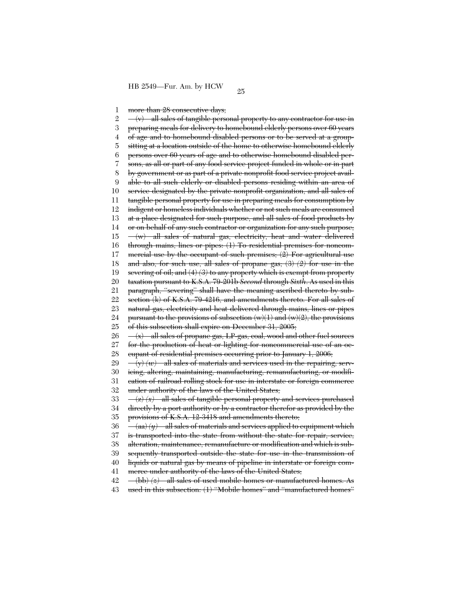1 more than 28 consecutive days:

2 3 4 5 6 7 8 9 10 11 12 13 14 15 16 17 18 19 20 21 22 23 24 25 26 27 28 29 30 31 32 33 34 35 36 37 38 39 40 41 42 43  $-(v)$  all sales of tangible personal property to any contractor for use in preparing meals for delivery to homebound elderly persons over 60 years of age and to homebound disabled persons or to be served at a groupsitting at a location outside of the home to otherwise homebound elderly persons over 60 years of age and to otherwise homebound disabled persons, as all or part of any food service project funded in whole or in part by government or as part of a private nonprofit food service project available to all such elderly or disabled persons residing within an area of service designated by the private nonprofit organization, and all sales of tangible personal property for use in preparing meals for consumption by indigent or homeless individuals whether or not such meals are consumed at a place designated for such purpose, and all sales of food products by or on behalf of any such contractor or organization for any such purpose; (w) all sales of natural gas, electricity, heat and water delivered through mains, lines or pipes: (1) To residential premises for noncommercial use by the occupant of such premises; (2) For agricultural use and also, for such use, all sales of propane gas; (3) *(2)* for use in the severing of oil; and (4) *(3)* to any property which is exempt from property taxation pursuant to K.S.A. 79-201b *Second* through *Sixth*. As used in this paragraph, ''severing'' shall have the meaning ascribed thereto by subsection (k) of K.S.A. 79-4216, and amendments thereto. For all sales of natural gas, electricity and heat delivered through mains, lines or pipes pursuant to the provisions of subsection (w)(1) and (w)(2), the provisions of this subsection shall expire on December 31, 2005; (x) all sales of propane gas, LP-gas, coal, wood and other fuel sources for the production of heat or lighting for noncommercial use of an occupant of residential premises occurring prior to January 1, 2006;  $(v)(w)$  all sales of materials and services used in the repairing, servicing, altering, maintaining, manufacturing, remanufacturing, or modification of railroad rolling stock for use in interstate or foreign commerce under authority of the laws of the United States; (z) *(x)* all sales of tangible personal property and services purchased directly by a port authority or by a contractor therefor as provided by the provisions of K.S.A. 12-3418 and amendments thereto;  $-\langle aa \rangle \langle y \rangle$  all sales of materials and services applied to equipment which is transported into the state from without the state for repair, service, alteration, maintenance, remanufacture or modification and which is subsequently transported outside the state for use in the transmission of liquids or natural gas by means of pipeline in interstate or foreign commerce under authority of the laws of the United States;  $(-16b)$   $(z)$  all sales of used mobile homes or manufactured homes. As used in this subsection: (1) ''Mobile homes'' and ''manufactured homes''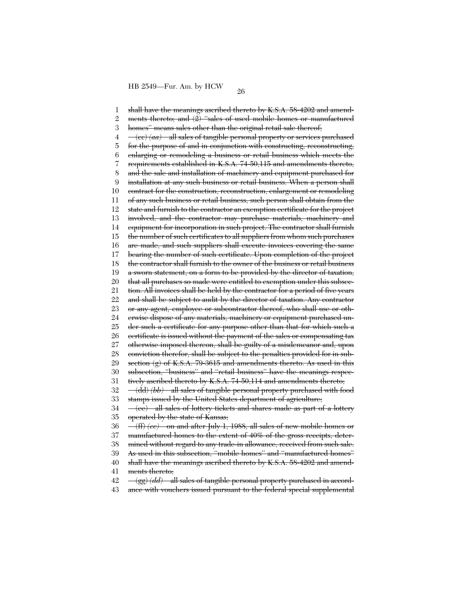1 2 3 4 5 6 7 8 9 10 11 12 13 14 15 16 17 18 19 20 21 22 23 24 25 26 27 28 29 30 31 32 33 34 35 36 37 38 39 40 41 42 43 shall have the meanings ascribed thereto by K.S.A. 58-4202 and amendments thereto; and  $(2)$  "sales of used mobile homes or manufactured homes" means sales other than the original retail sale thereof; (cc) *(aa)* all sales of tangible personal property or services purchased for the purpose of and in conjunction with constructing, reconstructing, enlarging or remodeling a business or retail business which meets the requirements established in K.S.A. 74-50,115 and amendments thereto, and the sale and installation of machinery and equipment purchased for installation at any such business or retail business. When a person shall contract for the construction, reconstruction, enlargement or remodeling of any such business or retail business, such person shall obtain from the state and furnish to the contractor an exemption certificate for the project involved, and the contractor may purchase materials, machinery and equipment for incorporation in such project. The contractor shall furnish the number of such certificates to all suppliers from whom such purchases are made, and such suppliers shall execute invoices covering the same bearing the number of such certificate. Upon completion of the project the contractor shall furnish to the owner of the business or retail business a sworn statement, on a form to be provided by the director of taxation, that all purchases so made were entitled to exemption under this subsection. All invoices shall be held by the contractor for a period of five years and shall be subject to audit by the director of taxation. Any contractor or any agent, employee or subcontractor thereof, who shall use or otherwise dispose of any materials, machinery or equipment purchased under such a certificate for any purpose other than that for which such a certificate is issued without the payment of the sales or compensating tax otherwise imposed thereon, shall be guilty of a misdemeanor and, upon conviction therefor, shall be subject to the penalties provided for in subsection  $(g)$  of K.S.A. 79-3615 and amendments thereto. As used in this subsection, "business" and "retail business" have the meanings respectively ascribed thereto by K.S.A. 74-50,114 and amendments thereto; (dd) *(bb)* all sales of tangible personal property purchased with food stamps issued by the United States department of agriculture; (ee) all sales of lottery tickets and shares made as part of a lottery operated by the state of Kansas; (ff) *(cc)* on and after July 1, 1988, all sales of new mobile homes or manufactured homes to the extent of 40% of the gross receipts, determined without regard to any trade-in allowance, received from such sale. As used in this subsection, ''mobile homes'' and ''manufactured homes'' shall have the meanings ascribed thereto by K.S.A. 58-4202 and amendments thereto; (gg) *(dd)* all sales of tangible personal property purchased in accordance with vouchers issued pursuant to the federal special supplemental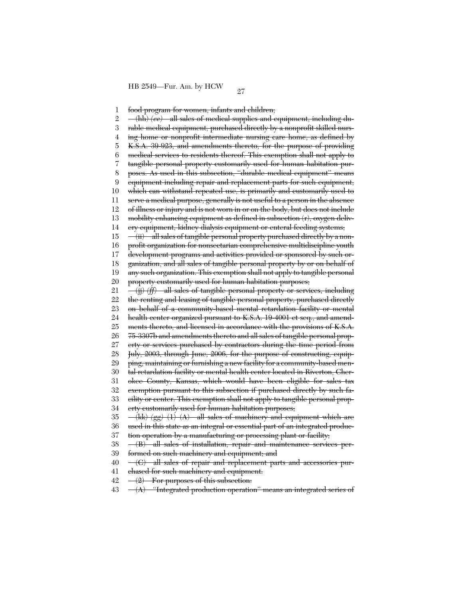1 2 3 4 5 6 7 8 9 10 11 12 13 14 15 16 17 18 19 20 21 22 23 24 25 26 27 28 29 30 31 32 33 34 35 36 37 38 39 40 41 42 food program for women, infants and children; (hh) *(ee)* all sales of medical supplies and equipment, including durable medical equipment, purchased directly by a nonprofit skilled nursing home or nonprofit intermediate nursing care home, as defined by K.S.A. 39-923, and amendments thereto, for the purpose of providing medical services to residents thereof. This exemption shall not apply to tangible personal property customarily used for human habitation purposes. As used in this subsection, ''durable medical equipment'' means equipment including repair and replacement parts for such equipment, which can withstand repeated use, is primarily and customarily used to serve a medical purpose, generally is not useful to a person in the absence of illness or injury and is not worn in or on the body, but does not include mobility enhancing equipment as defined in subsection (r), oxygen delivery equipment, kidney dialysis equipment or enteral feeding systems; (ii) all sales of tangible personal property purchased directly by a nonprofit organization for nonsectarian comprehensive multidiscipline youth development programs and activities provided or sponsored by such organization, and all sales of tangible personal property by or on behalf of any such organization. This exemption shall not apply to tangible personal property customarily used for human habitation purposes; (jj) *(ff)* all sales of tangible personal property or services, including the renting and leasing of tangible personal property, purchased directly on behalf of a community-based mental retardation facility or mental health center organized pursuant to K.S.A. 19-4001 et seq., and amendments thereto, and licensed in accordance with the provisions of K.S.A. 75-3307b and amendments thereto and all sales of tangible personal property or services purchased by contractors during the time period from July, 2003, through June, 2006, for the purpose of constructing, equipping, maintaining or furnishing a new facility for a community-based mental retardation facility or mental health center located in Riverton, Cherokee County, Kansas, which would have been eligible for sales tax exemption pursuant to this subsection if purchased directly by such facility or center. This exemption shall not apply to tangible personal property customarily used for human habitation purposes; (kk) *(gg)* (1) (A) all sales of machinery and equipment which are used in this state as an integral or essential part of an integrated production operation by a manufacturing or processing plant or facility; (B) all sales of installation, repair and maintenance services performed on such machinery and equipment; and (C) all sales of repair and replacement parts and accessories purchased for such machinery and equipment.  $-(2)$  For purposes of this subsection:

43  $-(A)$  "Integrated production operation" means an integrated series of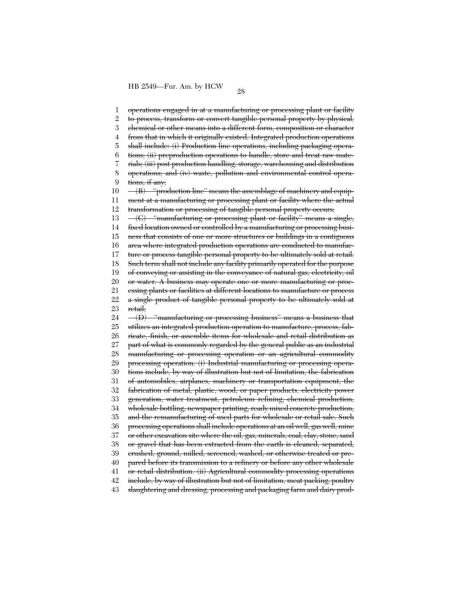1 2 3 4 5 6 7 8 9 10 11 12 13 14 15 16 17 18 19 20 21 22 23 24 25 26 27 28 29 30 31 32 33 34 35 36 37 38 39 40 41 42 43 operations engaged in at a manufacturing or processing plant or facility to process, transform or convert tangible personal property by physical, chemical or other means into a different form, composition or character from that in which it originally existed. Integrated production operations shall include: (i) Production line operations, including packaging operations; (ii) preproduction operations to handle, store and treat raw materials; (iii) post production handling, storage, warehousing and distribution operations; and (iv) waste, pollution and environmental control operations, if any;  $-(B)$  "production line" means the assemblage of machinery and equipment at a manufacturing or processing plant or facility where the actual transformation or processing of tangible personal property occurs; (C) ''manufacturing or processing plant or facility'' means a single, fixed location owned or controlled by a manufacturing or processing business that consists of one or more structures or buildings in a contiguous area where integrated production operations are conducted to manufacture or process tangible personal property to be ultimately sold at retail. Such term shall not include any facility primarily operated for the purpose of conveying or assisting in the conveyance of natural gas, electricity, oil or water. A business may operate one or more manufacturing or processing plants or facilities at different locations to manufacture or process a single product of tangible personal property to be ultimately sold at retail; (D) ''manufacturing or processing business'' means a business that utilizes an integrated production operation to manufacture, process, fabricate, finish, or assemble items for wholesale and retail distribution as part of what is commonly regarded by the general public as an industrial manufacturing or processing operation or an agricultural commodity processing operation. (i) Industrial manufacturing or processing operations include, by way of illustration but not of limitation, the fabrication of automobiles, airplanes, machinery or transportation equipment, the fabrication of metal, plastie, wood, or paper products, electricity power generation, water treatment, petroleum refining, chemical production, wholesale bottling, newspaper printing, ready mixed concrete production, and the remanufacturing of used parts for wholesale or retail sale. Such processing operations shall include operations at an oil well, gas well, mine or other excavation site where the oil, gas, minerals, coal, clay, stone, sand or gravel that has been extracted from the earth is cleaned, separated, crushed, ground, milled, screened, washed, or otherwise treated or prepared before its transmission to a refinery or before any other wholesale or retail distribution. (ii) Agricultural commodity processing operations include, by way of illustration but not of limitation, meat packing, poultry slaughtering and dressing, processing and packaging farm and dairy prod-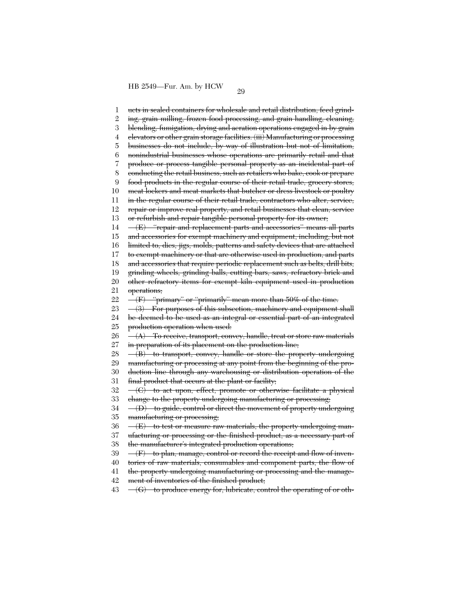1 2 3 4 5 6 7 8 9 10 11 12 13 14 15 16 17 18 19 20 21 22 23 24 25 26 27 28 29 30 31 32 33 34 35 36 37 38 39 40 41 42 ucts in sealed containers for wholesale and retail distribution, feed grinding, grain milling, frozen food processing, and grain handling, cleaning, blending, fumigation, drying and aeration operations engaged in by grain elevators or other grain storage facilities. (iii) Manufacturing or processing businesses do not include, by way of illustration but not of limitation, nonindustrial businesses whose operations are primarily retail and that produce or process tangible personal property as an incidental part of conducting the retail business, such as retailers who bake, cook or prepare food products in the regular course of their retail trade, grocery stores, meat lockers and meat markets that butcher or dress livestock or poultry in the regular course of their retail trade, contractors who alter, service, repair or improve real property, and retail businesses that clean, service or refurbish and repair tangible personal property for its owner; (E) ''repair and replacement parts and accessories'' means all parts and accessories for exempt machinery and equipment, including, but not limited to, dies, jigs, molds, patterns and safety devices that are attached to exempt machinery or that are otherwise used in production, and parts and accessories that require periodic replacement such as belts, drill bits, grinding wheels, grinding balls, cutting bars, saws, refractory brick and other refractory items for exempt kiln equipment used in production operations; (F) ''primary'' or ''primarily'' mean more than 50% of the time.  $-(3)$  For purposes of this subsection, machinery and equipment shall be deemed to be used as an integral or essential part of an integrated production operation when used: (A) To receive, transport, convey, handle, treat or store raw materials in preparation of its placement on the production line;  $-(B)$  to transport, convey, handle or store the property undergoing manufacturing or processing at any point from the beginning of the production line through any warehousing or distribution operation of the final product that occurs at the plant or facility; (C) to act upon, effect, promote or otherwise facilitate a physical change to the property undergoing manufacturing or processing; (D) to guide, control or direct the movement of property undergoing manufacturing or processing; (E) to test or measure raw materials, the property undergoing manufacturing or processing or the finished product, as a necessary part of the manufacturer's integrated production operations;  $(F)$  to plan, manage, control or record the receipt and flow of inventories of raw materials, consumables and component parts, the flow of the property undergoing manufacturing or processing and the management of inventories of the finished product;

43  $-(G)$  to produce energy for, lubricate, control the operating of or oth-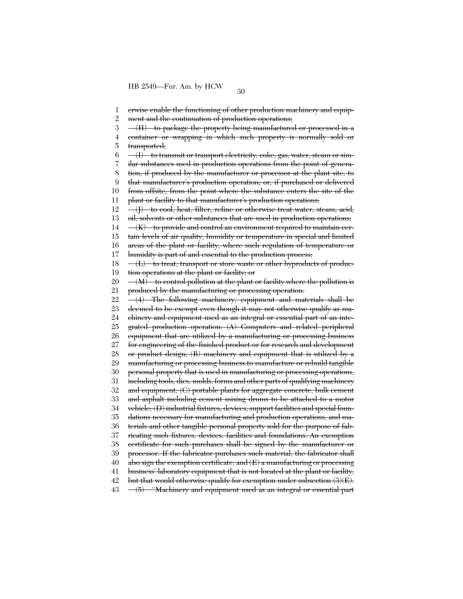1 2 3 4 5 6 7 8 9 10 11 12 13 14 15 16 17 18 19 20 21 22 23 24 25 26 27 28 29 30 31 32 33 34 35 36 37 38 39 40 41 42 43 erwise enable the functioning of other production machinery and equipment and the continuation of production operations; (H) to package the property being manufactured or processed in a container or wrapping in which such property is normally sold or transported;  $-\left\langle \mathrm{I}\right\rangle$  to transmit or transport electricity, coke, gas, water, steam or similar substances used in production operations from the point of generation, if produced by the manufacturer or processor at the plant site, to that manufacturer's production operation; or, if purchased or delivered from offsite, from the point where the substance enters the site of the plant or facility to that manufacturer's production operations; (J) to cool, heat, filter, refine or otherwise treat water, steam, acid, oil, solvents or other substances that are used in production operations;  $-(K)$  to provide and control an environment required to maintain certain levels of air quality, humidity or temperature in special and limited areas of the plant or facility, where such regulation of temperature or humidity is part of and essential to the production process;  $-\left\langle L\right\rangle$  to treat, transport or store waste or other byproducts of production operations at the plant or facility; or  $-(M)$  to control pollution at the plant or facility where the pollution is produced by the manufacturing or processing operation. (4) The following machinery, equipment and materials shall be deemed to be exempt even though it may not otherwise qualify as machinery and equipment used as an integral or essential part of an integrated production operation: (A) Computers and related peripheral equipment that are utilized by a manufacturing or processing business for engineering of the finished product or for research and development or product design; (B) machinery and equipment that is utilized by a manufacturing or processing business to manufacture or rebuild tangible personal property that is used in manufacturing or processing operations, including tools, dies, molds, forms and other parts of qualifying machinery and equipment; (C) portable plants for aggregate concrete, bulk cement and asphalt including cement mixing drums to be attached to a motor vehicle; (D) industrial fixtures, devices, support facilities and special foundations necessary for manufacturing and production operations, and materials and other tangible personal property sold for the purpose of fabricating such fixtures, devices, facilities and foundations. An exemption certificate for such purchases shall be signed by the manufacturer or processor. If the fabricator purchases such material, the fabricator shall also sign the exemption certificate; and  $(E)$  a manufacturing or processing business' laboratory equipment that is not located at the plant or facility, but that would otherwise qualify for exemption under subsection (3)(E). (5) ''Machinery and equipment used as an integral or essential part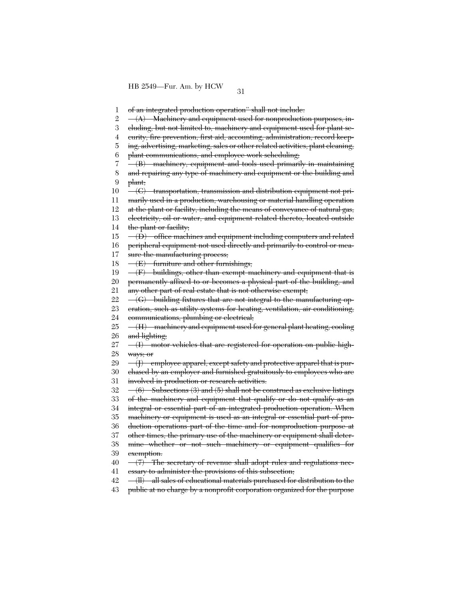1 of an integrated production operation'' shall not include:

2  $-(A)$  Machinery and equipment used for nonproduction purposes, in-

3 cluding, but not limited to, machinery and equipment used for plant se-

4 curity, fire prevention, first aid, accounting, administration, record keep-

5 ing, advertising, marketing, sales or other related activities, plant cleaning,

6 plant communications, and employee work scheduling;

7 8 (B) machinery, equipment and tools used primarily in maintaining and repairing any type of machinery and equipment or the building and

9 plant;

10 (C) transportation, transmission and distribution equipment not pri-

11 marily used in a production, warehousing or material handling operation

12 at the plant or facility, including the means of conveyance of natural gas,

13 14 electricity, oil or water, and equipment related thereto, located outside the plant or facility;

15 16 (D) office machines and equipment including computers and related peripheral equipment not used directly and primarily to control or mea-

17 sure the manufacturing process;

18  $-\left(E\right)$  furniture and other furnishings;

19  $-\langle F \rangle$  buildings, other than exempt machinery and equipment that is

20 21 permanently affixed to or becomes a physical part of the building, and any other part of real estate that is not otherwise exempt;

22 (G) building fixtures that are not integral to the manufacturing op-

23 24 eration, such as utility systems for heating, ventilation, air conditioning, communications, plumbing or electrical;

25 26 (H) machinery and equipment used for general plant heating, cooling and lighting;

27 28  $-(I)$  motor vehicles that are registered for operation on public highways; or

29 (J) employee apparel, except safety and protective apparel that is pur-

30 31 chased by an employer and furnished gratuitously to employees who are involved in production or research activities.

32  $(6)$  Subsections  $(3)$  and  $(5)$  shall not be construed as exclusive listings

33 of the machinery and equipment that qualify or do not qualify as an

34 integral or essential part of an integrated production operation. When

35 machinery or equipment is used as an integral or essential part of pro-

36 duction operations part of the time and for nonproduction purpose at

37 38 other times, the primary use of the machinery or equipment shall determine whether or not such machinery or equipment qualifies for

39 exemption.

40 41  $-(7)$  The secretary of revenue shall adopt rules and regulations necessary to administer the provisions of this subsection;

42 (ll) all sales of educational materials purchased for distribution to the

43 public at no charge by a nonprofit corporation organized for the purpose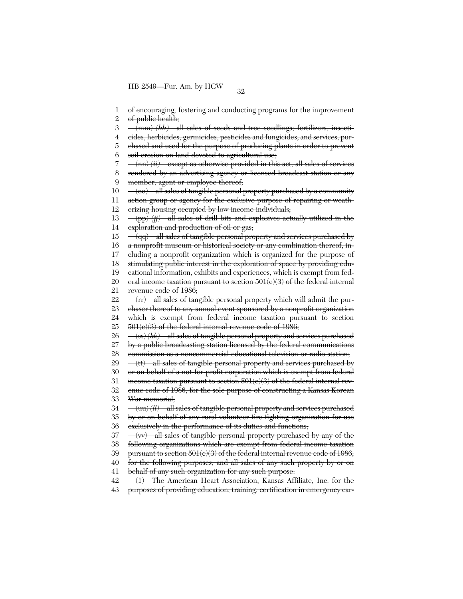1 2 of encouraging, fostering and conducting programs for the improvement of public health;

3 (mm) *(hh)* all sales of seeds and tree seedlings; fertilizers, insecti-

4 cides, herbicides, germicides, pesticides and fungicides; and services, pur-

5 chased and used for the purpose of producing plants in order to prevent

6 soil erosion on land devoted to agricultural use;

7  $\frac{(\text{nn}) (ii)}{\text{except as otherwise provided in this act, all sales of services}}$ 

8 9 rendered by an advertising agency or licensed broadcast station or any member, agent or employee thereof;

10 11 12 (oo) all sales of tangible personal property purchased by a community action group or agency for the exclusive purpose of repairing or weatherizing housing occupied by low income individuals;

13 14 (pp) *(jj)* all sales of drill bits and explosives actually utilized in the exploration and production of oil or gas;

15 16 (qq) all sales of tangible personal property and services purchased by a nonprofit museum or historical society or any combination thereof, in-

17 cluding a nonprofit organization which is organized for the purpose of

18 stimulating public interest in the exploration of space by providing edu-

19 cational information, exhibits and experiences, which is exempt from fed-

20 21 eral income taxation pursuant to section  $501(c)(3)$  of the federal internal revenue code of 1986;

22 (rr) all sales of tangible personal property which will admit the pur-

23 chaser thereof to any annual event sponsored by a nonprofit organization

24 25 which is exempt from federal income taxation pursuant to section 501(c)(3) of the federal internal revenue code of 1986;

26 (ss) *(kk)* all sales of tangible personal property and services purchased

27 by a public broadcasting station licensed by the federal communications

28 commission as a noncommercial educational television or radio station;

29 (tt) all sales of tangible personal property and services purchased by

30 or on behalf of a not-for-profit corporation which is exempt from federal

31 income taxation pursuant to section  $501(e)(3)$  of the federal internal rev-

32 33 enue code of 1986, for the sole purpose of constructing a Kansas Korean War memorial;

34 (uu) *(ll)* all sales of tangible personal property and services purchased

35 by or on behalf of any rural volunteer fire-fighting organization for use

36 exclusively in the performance of its duties and functions;

37  $-(w)$  all sales of tangible personal property purchased by any of the

38 following organizations which are exempt from federal income taxation

39 pursuant to section 501(e)(3) of the federal internal revenue code of 1986,

40 41 for the following purposes, and all sales of any such property by or on

behalf of any such organization for any such purpose:

42 (1) The American Heart Association, Kansas Affiliate, Inc. for the

43 purposes of providing education, training, certification in emergency car-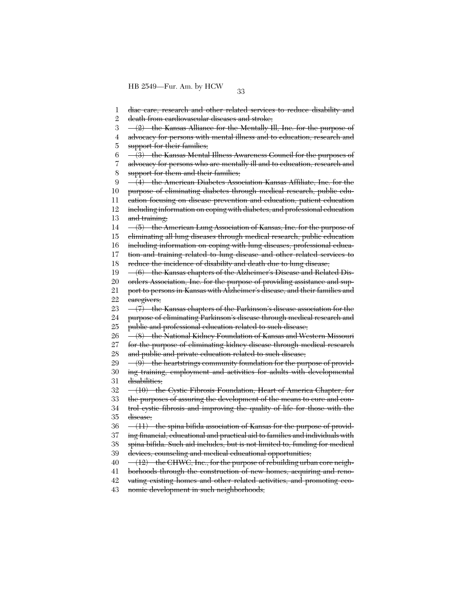1 2 3 4 5 6 7 8  $\overline{Q}$ 10 11 12 13 14 15 16 17 18 19 20 21 22 23 24 25 26 27 28 29 30 31 32 33 34 35 36 37 38 39 40 41 42 43 diac care, research and other related services to reduce disability and death from cardiovascular diseases and stroke;  $-(2)$  the Kansas Alliance for the Mentally Ill, Inc. for the purpose of advocacy for persons with mental illness and to education, research and support for their families; (3) the Kansas Mental Illness Awareness Council for the purposes of advocacy for persons who are mentally ill and to education, research and support for them and their families; (4) the American Diabetes Association Kansas Affiliate, Inc. for the purpose of eliminating diabetes through medical research, public education focusing on disease prevention and education, patient education including information on coping with diabetes, and professional education and training; (5) the American Lung Association of Kansas, Inc. for the purpose of eliminating all lung diseases through medical research, public education including information on coping with lung diseases, professional education and training related to lung disease and other related services to reduce the incidence of disability and death due to lung disease; (6) the Kansas chapters of the Alzheimer's Disease and Related Disorders Association, Inc. for the purpose of providing assistance and support to persons in Kansas with Alzheimer's disease, and their families and caregivers;  $-(7)$  the Kansas chapters of the Parkinson's disease association for the purpose of eliminating Parkinson's disease through medical research and public and professional education related to such disease; (8) the National Kidney Foundation of Kansas and Western Missouri for the purpose of eliminating kidney disease through medical research and public and private education related to such disease;  $\frac{1}{(9)}$  the heartstrings community foundation for the purpose of providing training, employment and activities for adults with developmental disabilities; (10) the Cystic Fibrosis Foundation, Heart of America Chapter, for the purposes of assuring the development of the means to cure and control cystic fibrosis and improving the quality of life for those with the disease;  $-(11)$  the spina bifida association of Kansas for the purpose of providing financial, educational and practical aid to families and individuals with spina bifida. Such aid includes, but is not limited to, funding for medical devices, counseling and medical educational opportunities; (12) the CHWC, Inc., for the purpose of rebuilding urban core neighborhoods through the construction of new homes, acquiring and renovating existing homes and other related activities, and promoting economic development in such neighborhoods;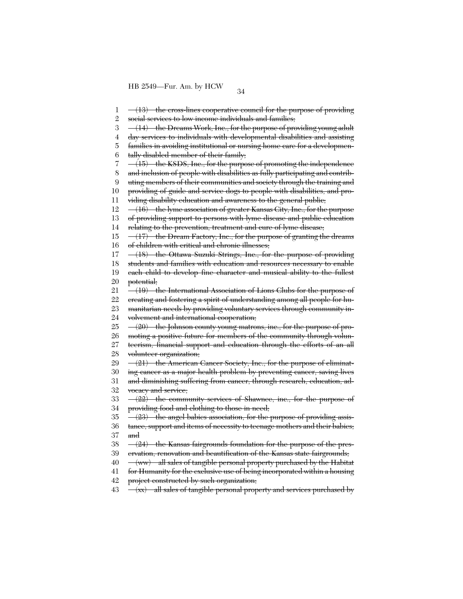1 2 3 4 5 6 7 8 9 10 11 12 13 14 15 16 17 18 19 20 21 22 23 24 25 26 27 28 29 30 31 32 33 34 35 36 37 38 39 40 41 42  $-(13)$  the cross-lines cooperative council for the purpose of providing social services to low income individuals and families; (14) the Dreams Work, Inc., for the purpose of providing young adult day services to individuals with developmental disabilities and assisting families in avoiding institutional or nursing home care for a developmentally disabled member of their family; (15) the KSDS, Inc., for the purpose of promoting the independence and inclusion of people with disabilities as fully participating and contributing members of their communities and society through the training and providing of guide and service dogs to people with disabilities, and providing disability education and awareness to the general public; (16) the lyme association of greater Kansas City, Inc., for the purpose of providing support to persons with lyme disease and public education relating to the prevention, treatment and cure of lyme disease; (17) the Dream Factory, Inc., for the purpose of granting the dreams of children with critical and chronic illnesses; (18) the Ottawa Suzuki Strings, Inc., for the purpose of providing students and families with education and resources necessary to enable each child to develop fine character and musical ability to the fullest potential; (19) the International Association of Lions Clubs for the purpose of creating and fostering a spirit of understanding among all people for humanitarian needs by providing voluntary services through community involvement and international cooperation; (20) the Johnson county young matrons, inc., for the purpose of promoting a positive future for members of the community through volunteerism, financial support and education through the efforts of an all volunteer organization;  $-(21)$  the American Cancer Society, Inc., for the purpose of eliminating cancer as a major health problem by preventing cancer, saving lives and diminishing suffering from cancer, through research, education, advocacy and service; (22) the community services of Shawnee, inc., for the purpose of providing food and clothing to those in need;  $-(23)$  the angel babies association, for the purpose of providing assistance, support and items of necessity to teenage mothers and their babies; and (24) the Kansas fairgrounds foundation for the purpose of the preservation, renovation and beautification of the Kansas state fairgrounds; (ww) all sales of tangible personal property purchased by the Habitat for Humanity for the exclusive use of being incorporated within a housing project constructed by such organization;

43 (xx) all sales of tangible personal property and services purchased by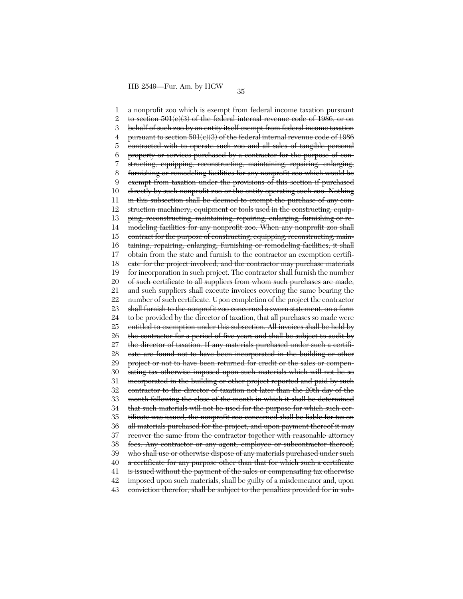1 2 3 4 5 6 7 8 9 10 11 12 13 14 15 16 17 18 19 20 21 22 23 24 25 26 27 28 29 30 31 32 33 34 35 36 37 38 39 40 41 42 43 a nonprofit zoo which is exempt from federal income taxation pursuant to section  $501(c)(3)$  of the federal internal revenue code of 1986, or on behalf of such zoo by an entity itself exempt from federal income taxation pursuant to section 501(c)(3) of the federal internal revenue code of 1986 contracted with to operate such zoo and all sales of tangible personal property or services purchased by a contractor for the purpose of constructing, equipping, reconstructing, maintaining, repairing, enlarging, furnishing or remodeling facilities for any nonprofit zoo which would be exempt from taxation under the provisions of this section if purchased directly by such nonprofit zoo or the entity operating such zoo. Nothing in this subsection shall be deemed to exempt the purchase of any construction machinery, equipment or tools used in the constructing, equipping, reconstructing, maintaining, repairing, enlarging, furnishing or remodeling facilities for any nonprofit zoo. When any nonprofit zoo shall contract for the purpose of constructing, equipping, reconstructing, maintaining, repairing, enlarging, furnishing or remodeling facilities, it shall obtain from the state and furnish to the contractor an exemption certificate for the project involved, and the contractor may purchase materials for incorporation in such project. The contractor shall furnish the number of such certificate to all suppliers from whom such purchases are made, and such suppliers shall execute invoices covering the same bearing the number of such certificate. Upon completion of the project the contractor shall furnish to the nonprofit zoo concerned a sworn statement, on a form to be provided by the director of taxation, that all purchases so made were entitled to exemption under this subsection. All invoices shall be held by the contractor for a period of five years and shall be subject to audit by the director of taxation. If any materials purchased under such a certificate are found not to have been incorporated in the building or other project or not to have been returned for credit or the sales or compensating tax otherwise imposed upon such materials which will not be so incorporated in the building or other project reported and paid by such contractor to the director of taxation not later than the 20th day of the month following the close of the month in which it shall be determined that such materials will not be used for the purpose for which such certificate was issued, the nonprofit zoo concerned shall be liable for tax on all materials purchased for the project, and upon payment thereof it may recover the same from the contractor together with reasonable attorney fees. Any contractor or any agent, employee or subcontractor thereof, who shall use or otherwise dispose of any materials purchased under such a certificate for any purpose other than that for which such a certificate is issued without the payment of the sales or compensating tax otherwise imposed upon such materials, shall be guilty of a misdemeanor and, upon conviction therefor, shall be subject to the penalties provided for in sub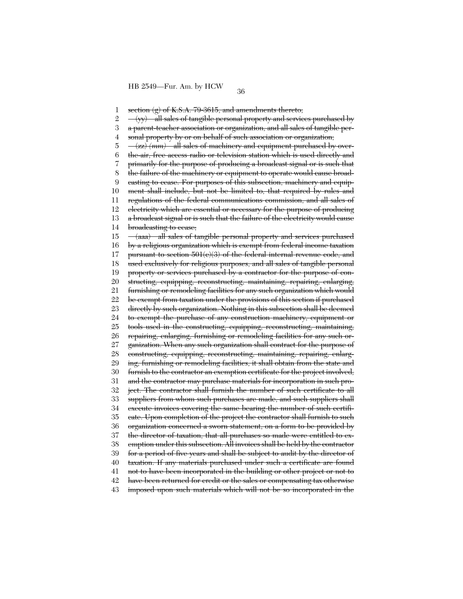1 section  $(g)$  of K.S.A. 79-3615, and amendments thereto;

2  $-(yy)$  all sales of tangible personal property and services purchased by

3 a parent-teacher association or organization, and all sales of tangible per-

4 sonal property by or on behalf of such association or organization;

5 (zz) *(mm)* all sales of machinery and equipment purchased by over-

6 the-air, free access radio or television station which is used directly and

7 primarily for the purpose of producing a broadcast signal or is such that

8 the failure of the machinery or equipment to operate would cause broad-

9 casting to cease. For purposes of this subsection, machinery and equip-

10 11 ment shall include, but not be limited to, that required by rules and

regulations of the federal communications commission, and all sales of

12 13 electricity which are essential or necessary for the purpose of producing a broadcast signal or is such that the failure of the electricity would cause

14 broadcasting to cease;

15 16 17 18 19 20 21 22 23 24 25 26 27 28 29 30 31 32 33 34 35 36 37 38 39 40 41 42 43 (aaa) all sales of tangible personal property and services purchased by a religious organization which is exempt from federal income taxation pursuant to section 501(c)(3) of the federal internal revenue code, and used exclusively for religious purposes, and all sales of tangible personal property or services purchased by a contractor for the purpose of constructing, equipping, reconstructing, maintaining, repairing, enlarging, furnishing or remodeling facilities for any such organization which would be exempt from taxation under the provisions of this section if purchased directly by such organization. Nothing in this subsection shall be deemed to exempt the purchase of any construction machinery, equipment or tools used in the constructing, equipping, reconstructing, maintaining, repairing, enlarging, furnishing or remodeling facilities for any such organization. When any such organization shall contract for the purpose of constructing, equipping, reconstructing, maintaining, repairing, enlarging, furnishing or remodeling facilities, it shall obtain from the state and furnish to the contractor an exemption certificate for the project involved, and the contractor may purchase materials for incorporation in such project. The contractor shall furnish the number of such certificate to all suppliers from whom such purchases are made, and such suppliers shall execute invoices covering the same bearing the number of such certificate. Upon completion of the project the contractor shall furnish to such organization concerned a sworn statement, on a form to be provided by the director of taxation, that all purchases so made were entitled to exemption under this subsection. All invoices shall be held by the contractor for a period of five years and shall be subject to audit by the director of taxation. If any materials purchased under such a certificate are found not to have been incorporated in the building or other project or not to have been returned for credit or the sales or compensating tax otherwise imposed upon such materials which will not be so incorporated in the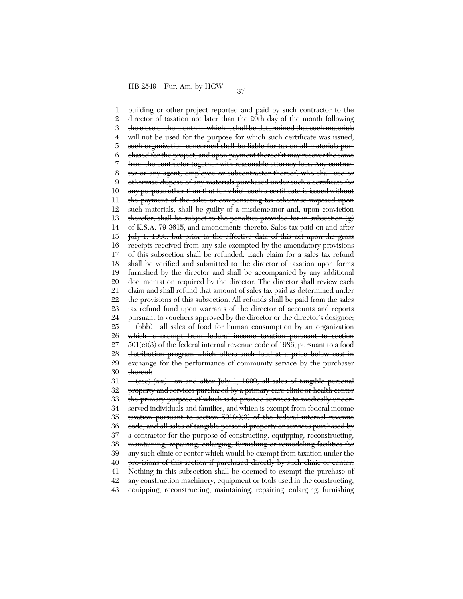1 2 3 4 5 6 7 8 9 10 11 12 13 14 15 16 17 18 19 20 21 22 23 24 25 26 27 28 29 30 31 32 33 34 35 36 37 38 39 40 41 42 43 building or other project reported and paid by such contractor to the director of taxation not later than the 20th day of the month following the close of the month in which it shall be determined that such materials will not be used for the purpose for which such certificate was issued, such organization concerned shall be liable for tax on all materials purchased for the project, and upon payment thereof it may recover the same from the contractor together with reasonable attorney fees. Any contractor or any agent, employee or subcontractor thereof, who shall use or otherwise dispose of any materials purchased under such a certificate for any purpose other than that for which such a certificate is issued without the payment of the sales or compensating tax otherwise imposed upon such materials, shall be guilty of a misdemeanor and, upon conviction therefor, shall be subject to the penalties provided for in subsection (g) of K.S.A. 79-3615, and amendments thereto. Sales tax paid on and after July 1, 1998, but prior to the effective date of this act upon the gross receipts received from any sale exempted by the amendatory provisions of this subsection shall be refunded. Each claim for a sales tax refund shall be verified and submitted to the director of taxation upon forms furnished by the director and shall be accompanied by any additional documentation required by the director. The director shall review each claim and shall refund that amount of sales tax paid as determined under the provisions of this subsection. All refunds shall be paid from the sales tax refund fund upon warrants of the director of accounts and reports pursuant to vouchers approved by the director or the director's designee; (bbb) all sales of food for human consumption by an organization which is exempt from federal income taxation pursuant to section 501(c)(3) of the federal internal revenue code of 1986, pursuant to a food distribution program which offers such food at a price below cost in exchange for the performance of community service by the purchaser thereof; (ccc) *(nn)* on and after July 1, 1999, all sales of tangible personal property and services purchased by a primary care clinic or health center the primary purpose of which is to provide services to medically underserved individuals and families, and which is exempt from federal income taxation pursuant to section 501(c)(3) of the federal internal revenue code, and all sales of tangible personal property or services purchased by a contractor for the purpose of constructing, equipping, reconstructing, maintaining, repairing, enlarging, furnishing or remodeling facilities for any such clinic or center which would be exempt from taxation under the provisions of this section if purchased directly by such clinic or center. Nothing in this subsection shall be deemed to exempt the purchase of any construction machinery, equipment or tools used in the constructing, equipping, reconstructing, maintaining, repairing, enlarging, furnishing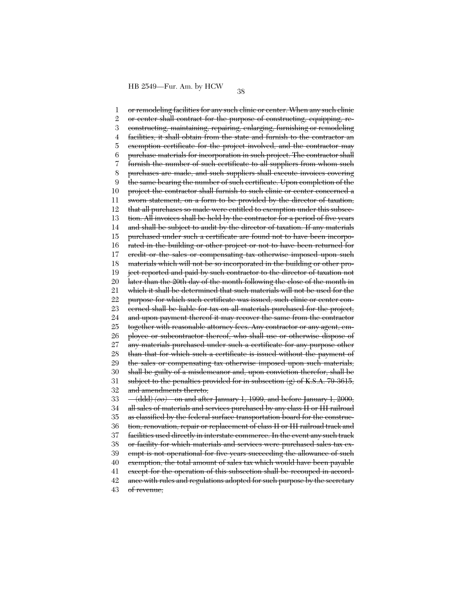1 2 3 4 5 6 7 8 9 10 11 12 13 14 15 16 17 18 19 20 21 22 23 24 25 26 27 28 29 30 31 32 33 34 35 36 37 38 39 40 41 42 43 or remodeling facilities for any such clinic or center. When any such clinic or center shall contract for the purpose of constructing, equipping, reconstructing, maintaining, repairing, enlarging, furnishing or remodeling facilities, it shall obtain from the state and furnish to the contractor an exemption certificate for the project involved, and the contractor may purchase materials for incorporation in such project. The contractor shall furnish the number of such certificate to all suppliers from whom such purchases are made, and such suppliers shall execute invoices covering the same bearing the number of such certificate. Upon completion of the project the contractor shall furnish to such clinic or center concerned a sworn statement, on a form to be provided by the director of taxation, that all purchases so made were entitled to exemption under this subsection. All invoices shall be held by the contractor for a period of five years and shall be subject to audit by the director of taxation. If any materials purchased under such a certificate are found not to have been incorporated in the building or other project or not to have been returned for credit or the sales or compensating tax otherwise imposed upon such materials which will not be so incorporated in the building or other project reported and paid by such contractor to the director of taxation not later than the 20th day of the month following the close of the month in which it shall be determined that such materials will not be used for the purpose for which such certificate was issued, such clinic or center concerned shall be liable for tax on all materials purchased for the project, and upon payment thereof it may recover the same from the contractor together with reasonable attorney fees. Any contractor or any agent, employee or subcontractor thereof, who shall use or otherwise dispose of any materials purchased under such a certificate for any purpose other than that for which such a certificate is issued without the payment of the sales or compensating tax otherwise imposed upon such materials, shall be guilty of a misdemeanor and, upon conviction therefor, shall be subject to the penalties provided for in subsection  $(g)$  of K.S.A. 79-3615, and amendments thereto; (ddd) *(oo)* on and after January 1, 1999, and before January 1, 2000, all sales of materials and services purchased by any class II or III railroad as classified by the federal surface transportation board for the construction, renovation, repair or replacement of class II or III railroad track and facilities used directly in interstate commerce. In the event any such track or facility for which materials and services were purchased sales tax exempt is not operational for five years succeeding the allowance of such exemption, the total amount of sales tax which would have been payable except for the operation of this subsection shall be recouped in accordance with rules and regulations adopted for such purpose by the secretary of revenue;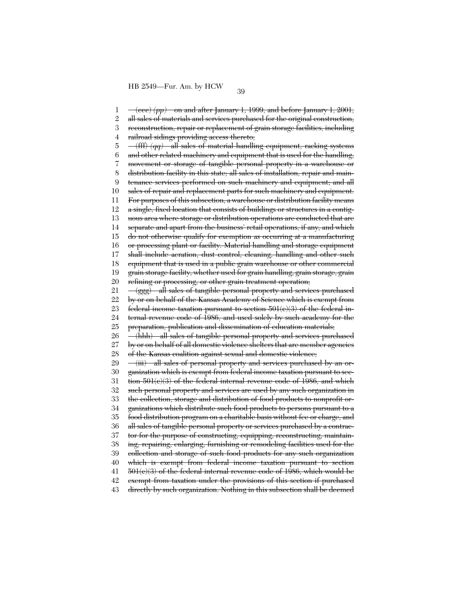1 2 3 4 5 6 7 8 9 10 11 12 13 14 15 16 17 18 19 20 21 22 23 24 25 26 27 28 29 30 31 32 33 34 35 36 37 38 39 40 41 42 43  $-(\text{ece}) (pp)$  on and after January 1, 1999, and before January 1, 2001, all sales of materials and services purchased for the original construction, reconstruction, repair or replacement of grain storage facilities, including railroad sidings providing access thereto; (fff) *(qq)* all sales of material handling equipment, racking systems and other related machinery and equipment that is used for the handling, movement or storage of tangible personal property in a warehouse or distribution facility in this state; all sales of installation, repair and maintenance services performed on such machinery and equipment; and all sales of repair and replacement parts for such machinery and equipment. For purposes of this subsection, a warehouse or distribution facility means a single, fixed location that consists of buildings or structures in a contiguous area where storage or distribution operations are conducted that are separate and apart from the business' retail operations, if any, and which do not otherwise qualify for exemption as occurring at a manufacturing or processing plant or facility. Material handling and storage equipment shall include aeration, dust control, cleaning, handling and other such equipment that is used in a public grain warehouse or other commercial grain storage facility, whether used for grain handling, grain storage, grain refining or processing, or other grain treatment operation; (ggg) all sales of tangible personal property and services purchased by or on behalf of the Kansas Academy of Science which is exempt from federal income taxation pursuant to section 501(c)(3) of the federal internal revenue code of 1986, and used solely by such academy for the preparation, publication and dissemination of education materials; (hhh) all sales of tangible personal property and services purchased by or on behalf of all domestic violence shelters that are member agencies of the Kansas coalition against sexual and domestic violence; (iii) all sales of personal property and services purchased by an organization which is exempt from federal income taxation pursuant to section 501(c)(3) of the federal internal revenue code of 1986, and which such personal property and services are used by any such organization in the collection, storage and distribution of food products to nonprofit organizations which distribute such food products to persons pursuant to a food distribution program on a charitable basis without fee or charge, and all sales of tangible personal property or services purchased by a contractor for the purpose of constructing, equipping, reconstructing, maintaining, repairing, enlarging, furnishing or remodeling facilities used for the collection and storage of such food products for any such organization which is exempt from federal income taxation pursuant to section 501(c)(3) of the federal internal revenue code of 1986, which would be exempt from taxation under the provisions of this section if purchased directly by such organization. Nothing in this subsection shall be deemed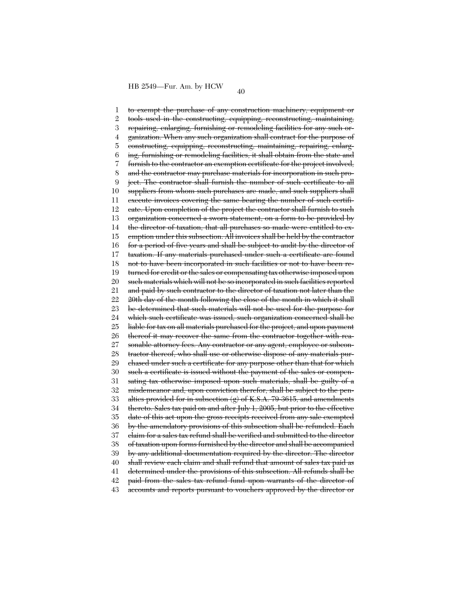1 2 3 4 5 6 7 8  $\mathbf{Q}$ 10 11 12 13 14 15 16 17 18 19 20 21 22 23 24 25 26 27 28 29 30 31 32 33 34 35 36 37 38 39 40 41 42 43 to exempt the purchase of any construction machinery, equipment or tools used in the constructing, equipping, reconstructing, maintaining, repairing, enlarging, furnishing or remodeling facilities for any such organization. When any such organization shall contract for the purpose of constructing, equipping, reconstructing, maintaining, repairing, enlarging, furnishing or remodeling facilities, it shall obtain from the state and furnish to the contractor an exemption certificate for the project involved, and the contractor may purchase materials for incorporation in such project. The contractor shall furnish the number of such certificate to all suppliers from whom such purchases are made, and such suppliers shall execute invoices covering the same bearing the number of such certificate. Upon completion of the project the contractor shall furnish to such organization concerned a sworn statement, on a form to be provided by the director of taxation, that all purchases so made were entitled to exemption under this subsection. All invoices shall be held by the contractor for a period of five years and shall be subject to audit by the director of taxation. If any materials purchased under such a certificate are found not to have been incorporated in such facilities or not to have been returned for credit or the sales or compensating tax otherwise imposed upon such materials which will not be so incorporated in such facilities reported and paid by such contractor to the director of taxation not later than the 20th day of the month following the close of the month in which it shall be determined that such materials will not be used for the purpose for which such certificate was issued, such organization concerned shall be liable for tax on all materials purchased for the project, and upon payment thereof it may recover the same from the contractor together with reasonable attorney fees. Any contractor or any agent, employee or subcontractor thereof, who shall use or otherwise dispose of any materials purchased under such a certificate for any purpose other than that for which such a certificate is issued without the payment of the sales or compensating tax otherwise imposed upon such materials, shall be guilty of a misdemeanor and, upon conviction therefor, shall be subject to the penalties provided for in subsection  $(g)$  of K.S.A. 79-3615, and amendments thereto. Sales tax paid on and after July 1, 2005, but prior to the effective date of this act upon the gross receipts received from any sale exempted by the amendatory provisions of this subsection shall be refunded. Each claim for a sales tax refund shall be verified and submitted to the director of taxation upon forms furnished by the director and shall be accompanied by any additional documentation required by the director. The director shall review each claim and shall refund that amount of sales tax paid as determined under the provisions of this subsection. All refunds shall be paid from the sales tax refund fund upon warrants of the director of accounts and reports pursuant to vouchers approved by the director or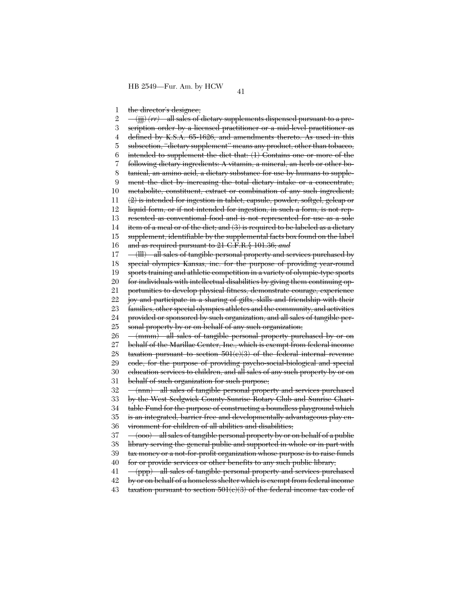1 the director's designee;

2 3 4 5 6 7 8 9 10 11 12 13 14 15 16 17 18 19 20 21 22 23 24 25 26 27 28 29 30 31 32 33 34 35 36 37 38 39 40 41 42 43 (jjj) *(rr)* all sales of dietary supplements dispensed pursuant to a prescription order by a licensed practitioner or a mid-level practitioner as defined by K.S.A. 65-1626, and amendments thereto. As used in this subsection, "dictary supplement" means any product, other than tobacco, intended to supplement the diet that: (1) Contains one or more of the following dietary ingredients: A vitamin, a mineral, an herb or other botanical, an amino acid, a dietary substance for use by humans to supplement the diet by increasing the total dietary intake or a concentrate, metabolite, constituent, extract or combination of any such ingredient;  $(2)$  is intended for ingestion in tablet, capsule, powder, softgel, gelcap or liquid form, or if not intended for ingestion, in such a form, is not represented as conventional food and is not represented for use as a sole item of a meal or of the diet; and (3) is required to be labeled as a dietary supplement, identifiable by the supplemental facts box found on the label and as required pursuant to 21 C.F.R.§ 101.36; *and* (lll) all sales of tangible personal property and services purchased by special olympics Kansas, inc. for the purpose of providing year-round sports training and athletic competition in a variety of olympic-type sports for individuals with intellectual disabilities by giving them continuing opportunities to develop physical fitness, demonstrate courage, experience joy and participate in a sharing of gifts, skills and friendship with their families, other special olympics athletes and the community, and activities provided or sponsored by such organization, and all sales of tangible personal property by or on behalf of any such organization; (mmm) all sales of tangible personal property purchased by or on behalf of the Marillac Center, Inc., which is exempt from federal income taxation pursuant to section  $501(c)(3)$  of the federal internal revenue code, for the purpose of providing psycho-social-biological and special education services to children, and all sales of any such property by or on behalf of such organization for such purpose; (nnn) all sales of tangible personal property and services purchased by the West Sedgwick County-Sunrise Rotary Club and Sunrise Charitable Fund for the purpose of constructing a boundless playground which is an integrated, barrier free and developmentally advantageous play environment for children of all abilities and disabilities; (ooo) all sales of tangible personal property by or on behalf of a public library serving the general public and supported in whole or in part with tax money or a not-for-profit organization whose purpose is to raise funds for or provide services or other benefits to any such public library; (ppp) all sales of tangible personal property and services purchased by or on behalf of a homeless shelter which is exempt from federal income taxation pursuant to section  $501(c)(3)$  of the federal income tax code of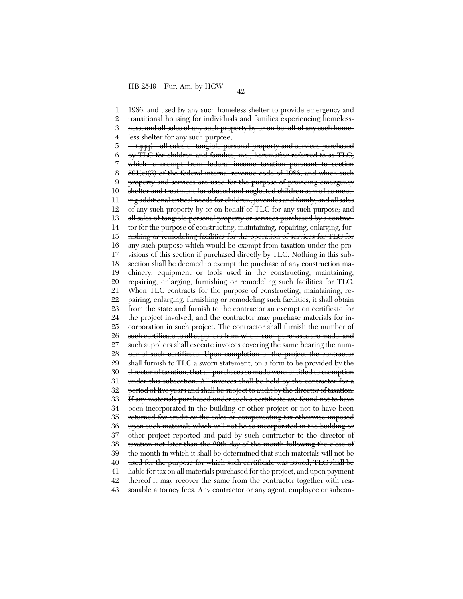1 2 3 4 5 6 7 8 9 10 11 12 13 14 15 16 17 18 19 20 21 22 23 24 25 26 27 28 29 30 31 32 33 34 35 36 37 38 39 40 41 42 43 1986, and used by any such homeless shelter to provide emergency and transitional housing for individuals and families experiencing homelessness, and all sales of any such property by or on behalf of any such homeless shelter for any such purpose; (qqq) all sales of tangible personal property and services purchased by TLC for children and families, inc., hereinafter referred to as TLC, which is exempt from federal income taxation pursuant to section 501(c)(3) of the federal internal revenue code of 1986, and which such property and services are used for the purpose of providing emergency shelter and treatment for abused and neglected children as well as meeting additional critical needs for children, juveniles and family, and all sales of any such property by or on behalf of TLC for any such purpose; and all sales of tangible personal property or services purchased by a contractor for the purpose of constructing, maintaining, repairing, enlarging, furnishing or remodeling facilities for the operation of services for TLC for any such purpose which would be exempt from taxation under the provisions of this section if purchased directly by TLC. Nothing in this subsection shall be deemed to exempt the purchase of any construction machinery, equipment or tools used in the constructing, maintaining, repairing, enlarging, furnishing or remodeling such facilities for TLC. When TLC contracts for the purpose of constructing, maintaining, repairing, enlarging, furnishing or remodeling such facilities, it shall obtain from the state and furnish to the contractor an exemption certificate for the project involved, and the contractor may purchase materials for incorporation in such project. The contractor shall furnish the number of such certificate to all suppliers from whom such purchases are made, and such suppliers shall execute invoices covering the same bearing the number of such certificate. Upon completion of the project the contractor shall furnish to TLC a sworn statement, on a form to be provided by the director of taxation, that all purchases so made were entitled to exemption under this subsection. All invoices shall be held by the contractor for a period of five years and shall be subject to audit by the director of taxation. If any materials purchased under such a certificate are found not to have been incorporated in the building or other project or not to have been returned for credit or the sales or compensating tax otherwise imposed upon such materials which will not be so incorporated in the building or other project reported and paid by such contractor to the director of taxation not later than the 20th day of the month following the close of the month in which it shall be determined that such materials will not be used for the purpose for which such certificate was issued, TLC shall be liable for tax on all materials purchased for the project, and upon payment thereof it may recover the same from the contractor together with reasonable attorney fees. Any contractor or any agent, employee or subcon-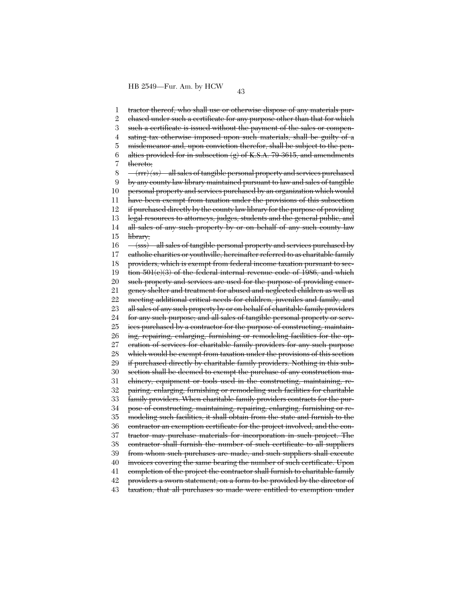1 2 3 4 5 6 7 8 9 10 11 12 13 14 15 16 17 18 19 20 21 22 23 24 25 26 27 28 29 30 31 32 33 34 35 36 37 38 39 40 41 42 43 tractor thereof, who shall use or otherwise dispose of any materials purchased under such a certificate for any purpose other than that for which such a certificate is issued without the payment of the sales or compensating tax otherwise imposed upon such materials, shall be guilty of a misdemeanor and, upon conviction therefor, shall be subject to the penalties provided for in subsection (g) of K.S.A. 79-3615, and amendments thereto; (rrr) *(ss)* all sales of tangible personal property and services purchased by any county law library maintained pursuant to law and sales of tangible personal property and services purchased by an organization which would have been exempt from taxation under the provisions of this subsection if purchased directly by the county law library for the purpose of providing legal resources to attorneys, judges, students and the general public, and all sales of any such property by or on behalf of any such county law library; (sss) all sales of tangible personal property and services purchased by catholic charities or youthville, hereinafter referred to as charitable family providers, which is exempt from federal income taxation pursuant to section 501(c)(3) of the federal internal revenue code of 1986, and which such property and services are used for the purpose of providing emergency shelter and treatment for abused and neglected children as well as meeting additional critical needs for children, juveniles and family, and all sales of any such property by or on behalf of charitable family providers for any such purpose; and all sales of tangible personal property or services purchased by a contractor for the purpose of constructing, maintaining, repairing, enlarging, furnishing or remodeling facilities for the operation of services for charitable family providers for any such purpose which would be exempt from taxation under the provisions of this section if purchased directly by charitable family providers. Nothing in this subsection shall be deemed to exempt the purchase of any construction machinery, equipment or tools used in the constructing, maintaining, repairing, enlarging, furnishing or remodeling such facilities for charitable family providers. When charitable family providers contracts for the purpose of constructing, maintaining, repairing, enlarging, furnishing or remodeling such facilities, it shall obtain from the state and furnish to the contractor an exemption certificate for the project involved, and the contractor may purchase materials for incorporation in such project. The contractor shall furnish the number of such certificate to all suppliers from whom such purchases are made, and such suppliers shall execute invoices covering the same bearing the number of such certificate. Upon completion of the project the contractor shall furnish to charitable family providers a sworn statement, on a form to be provided by the director of taxation, that all purchases so made were entitled to exemption under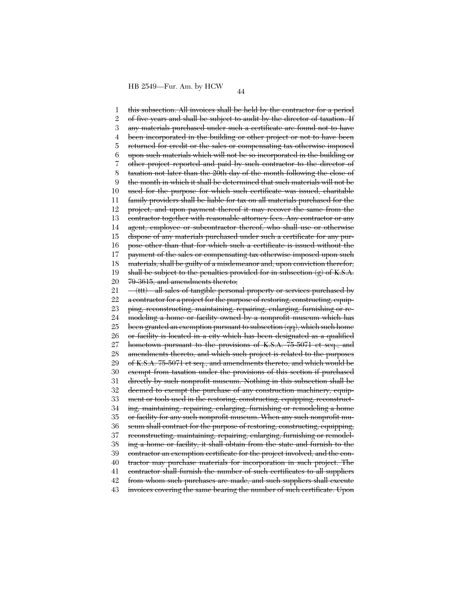1 2 3 4 5 6 7 8  $\mathbf{Q}$ 10 11 12 13 14 15 16 17 18 19 20 21 22 23 24 25 26 27 28 29 30 31 32 33 34 35 36 37 38 39 40 41 42 43 this subsection. All invoices shall be held by the contractor for a period of five years and shall be subject to audit by the director of taxation. If any materials purchased under such a certificate are found not to have been incorporated in the building or other project or not to have been returned for credit or the sales or compensating tax otherwise imposed upon such materials which will not be so incorporated in the building or other project reported and paid by such contractor to the director of taxation not later than the 20th day of the month following the close of the month in which it shall be determined that such materials will not be used for the purpose for which such certificate was issued, charitable family providers shall be liable for tax on all materials purchased for the project, and upon payment thereof it may recover the same from the contractor together with reasonable attorney fees. Any contractor or any agent, employee or subcontractor thereof, who shall use or otherwise dispose of any materials purchased under such a certificate for any purpose other than that for which such a certificate is issued without the payment of the sales or compensating tax otherwise imposed upon such materials, shall be guilty of a misdemeanor and, upon conviction therefor, shall be subject to the penalties provided for in subsection  $(g)$  of K.S.A. 79-3615, and amendments thereto; (ttt) all sales of tangible personal property or services purchased by a contractor for a project for the purpose of restoring, constructing, equipping, reconstructing, maintaining, repairing, enlarging, furnishing or remodeling a home or facility owned by a nonprofit museum which has been granted an exemption pursuant to subsection (qq), which such home or facility is located in a city which has been designated as a qualified hometown pursuant to the provisions of K.S.A. 75-5071 et seq., and amendments thereto, and which such project is related to the purposes of K.S.A. 75-5071 et seq., and amendments thereto, and which would be exempt from taxation under the provisions of this section if purchased directly by such nonprofit museum. Nothing in this subsection shall be deemed to exempt the purchase of any construction machinery, equipment or tools used in the restoring, constructing, equipping, reconstructing, maintaining, repairing, enlarging, furnishing or remodeling a home or facility for any such nonprofit museum. When any such nonprofit museum shall contract for the purpose of restoring, constructing, equipping, reconstructing, maintaining, repairing, enlarging, furnishing or remodeling a home or facility, it shall obtain from the state and furnish to the contractor an exemption certificate for the project involved, and the contractor may purchase materials for incorporation in such project. The contractor shall furnish the number of such certificates to all suppliers from whom such purchases are made, and such suppliers shall execute invoices covering the same bearing the number of such certificate. Upon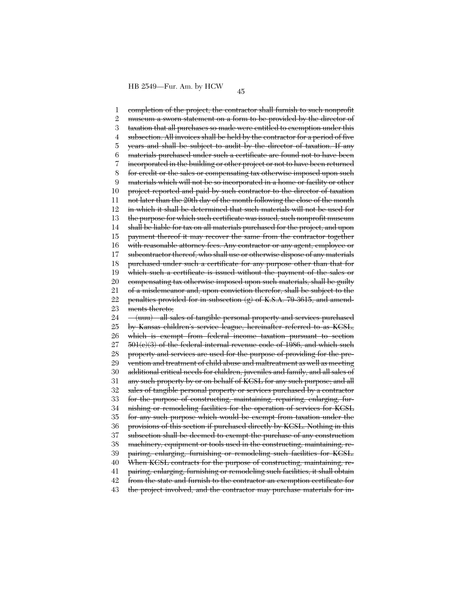1 2 3 4 5 6 7 8 9 10 11 12 13 14 15 16 17 18 19 20 21 22 23 24 25 26 27 28 29 30 31 32 33 34 35 36 37 38 39 40 41 42 43 completion of the project, the contractor shall furnish to such nonprofit museum a sworn statement on a form to be provided by the director of taxation that all purchases so made were entitled to exemption under this subsection. All invoices shall be held by the contractor for a period of five years and shall be subject to audit by the director of taxation. If any materials purchased under such a certificate are found not to have been incorporated in the building or other project or not to have been returned for credit or the sales or compensating tax otherwise imposed upon such materials which will not be so incorporated in a home or facility or other project reported and paid by such contractor to the director of taxation not later than the 20th day of the month following the close of the month in which it shall be determined that such materials will not be used for the purpose for which such certificate was issued, such nonprofit museum shall be liable for tax on all materials purchased for the project, and upon payment thereof it may recover the same from the contractor together with reasonable attorney fees. Any contractor or any agent, employee or subcontractor thereof, who shall use or otherwise dispose of any materials purchased under such a certificate for any purpose other than that for which such a certificate is issued without the payment of the sales or compensating tax otherwise imposed upon such materials, shall be guilty of a misdemeanor and, upon conviction therefor, shall be subject to the penalties provided for in subsection (g) of K.S.A. 79-3615, and amendments thereto; (uuu) all sales of tangible personal property and services purchased by Kansas children's service league, hereinafter referred to as KCSL, which is exempt from federal income taxation pursuant to section 501(c)(3) of the federal internal revenue code of 1986, and which such property and services are used for the purpose of providing for the prevention and treatment of child abuse and maltreatment as well as meeting additional critical needs for children, juveniles and family, and all sales of any such property by or on behalf of KCSL for any such purpose; and all sales of tangible personal property or services purchased by a contractor for the purpose of constructing, maintaining, repairing, enlarging, furnishing or remodeling facilities for the operation of services for KCSL for any such purpose which would be exempt from taxation under the provisions of this section if purchased directly by KCSL. Nothing in this subsection shall be deemed to exempt the purchase of any construction machinery, equipment or tools used in the constructing, maintaining, repairing, enlarging, furnishing or remodeling such facilities for KCSL. When KCSL contracts for the purpose of constructing, maintaining, repairing, enlarging, furnishing or remodeling such facilities, it shall obtain from the state and furnish to the contractor an exemption certificate for the project involved, and the contractor may purchase materials for in-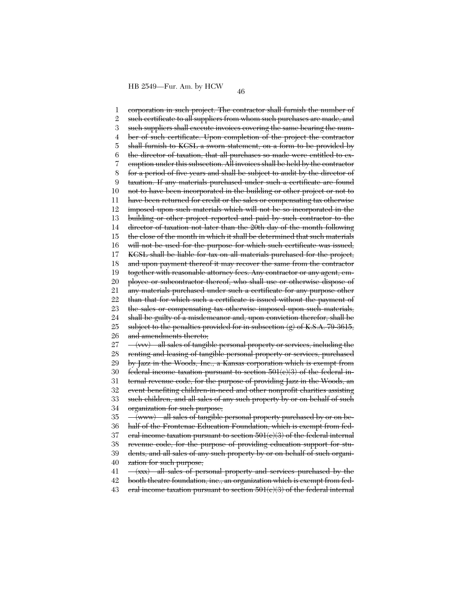1 2 3 4 5 6 7 8 9 10 11 12 13 14 15 16 17 18 19 20 21 22 23 24 25 26 27 28 29 30 31 32 33 34 35 36 37 38 39 40 41 42 corporation in such project. The contractor shall furnish the number of such certificate to all suppliers from whom such purchases are made, and such suppliers shall execute invoices covering the same bearing the number of such certificate. Upon completion of the project the contractor shall furnish to KCSL a sworn statement, on a form to be provided by the director of taxation, that all purchases so made were entitled to exemption under this subsection. All invoices shall be held by the contractor for a period of five years and shall be subject to audit by the director of taxation. If any materials purchased under such a certificate are found not to have been incorporated in the building or other project or not to have been returned for credit or the sales or compensating tax otherwise imposed upon such materials which will not be so incorporated in the building or other project reported and paid by such contractor to the director of taxation not later than the 20th day of the month following the close of the month in which it shall be determined that such materials will not be used for the purpose for which such certificate was issued, KCSL shall be liable for tax on all materials purchased for the project, and upon payment thereof it may recover the same from the contractor together with reasonable attorney fees. Any contractor or any agent, employee or subcontractor thereof, who shall use or otherwise dispose of any materials purchased under such a certificate for any purpose other than that for which such a certificate is issued without the payment of the sales or compensating tax otherwise imposed upon such materials, shall be guilty of a misdemeanor and, upon conviction therefor, shall be subject to the penalties provided for in subsection  $(g)$  of K.S.A. 79-3615, and amendments thereto; (vvv) all sales of tangible personal property or services, including the renting and leasing of tangible personal property or services, purchased by Jazz in the Woods, Inc., a Kansas corporation which is exempt from federal income taxation pursuant to section 501(c)(3) of the federal internal revenue code, for the purpose of providing Jazz in the Woods, an event benefiting children-in-need and other nonprofit charities assisting such children, and all sales of any such property by or on behalf of such organization for such purpose; (www) all sales of tangible personal property purchased by or on behalf of the Frontenac Education Foundation, which is exempt from federal income taxation pursuant to section 501(c)(3) of the federal internal revenue code, for the purpose of providing education support for students, and all sales of any such property by or on behalf of such organization for such purpose; (xxx) all sales of personal property and services purchased by the booth theatre foundation, inc., an organization which is exempt from fed-

43 eral income taxation pursuant to section  $501(c)(3)$  of the federal internal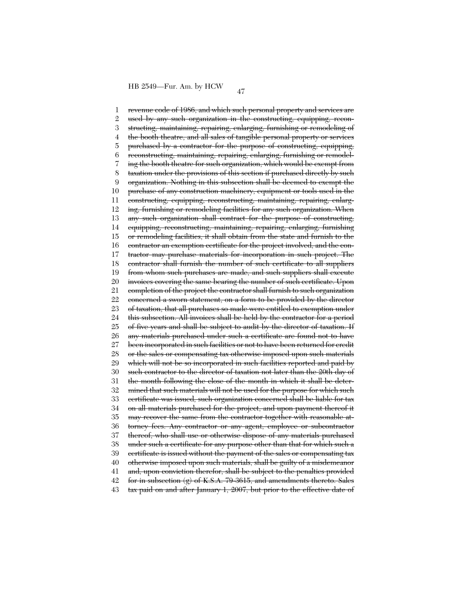1 2 3 4 5 6 7 8 9 10 11 12 13 14 15 16 17 18 19 20 21 22 23 24 25 26 27 28 29 30 31 32 33 34 35 36 37 38 39 40 41 42 43 revenue code of 1986, and which such personal property and services are used by any such organization in the constructing, equipping, reconstructing, maintaining, repairing, enlarging, furnishing or remodeling of the booth theatre, and all sales of tangible personal property or services purchased by a contractor for the purpose of constructing, equipping, reconstructing, maintaining, repairing, enlarging, furnishing or remodeling the booth theatre for such organization, which would be exempt from taxation under the provisions of this section if purchased directly by such organization. Nothing in this subsection shall be deemed to exempt the purchase of any construction machinery, equipment or tools used in the constructing, equipping, reconstructing, maintaining, repairing, enlarging, furnishing or remodeling facilities for any such organization. When any such organization shall contract for the purpose of constructing, equipping, reconstructing, maintaining, repairing, enlarging, furnishing or remodeling facilities, it shall obtain from the state and furnish to the contractor an exemption certificate for the project involved, and the contractor may purchase materials for incorporation in such project. The contractor shall furnish the number of such certificate to all suppliers from whom such purchases are made, and such suppliers shall execute invoices covering the same bearing the number of such certificate. Upon completion of the project the contractor shall furnish to such organization concerned a sworn statement, on a form to be provided by the director of taxation, that all purchases so made were entitled to exemption under this subsection. All invoices shall be held by the contractor for a period of five years and shall be subject to audit by the director of taxation. If any materials purchased under such a certificate are found not to have been incorporated in such facilities or not to have been returned for credit or the sales or compensating tax otherwise imposed upon such materials which will not be so incorporated in such facilities reported and paid by such contractor to the director of taxation not later than the 20th day of the month following the close of the month in which it shall be determined that such materials will not be used for the purpose for which such certificate was issued, such organization concerned shall be liable for tax on all materials purchased for the project, and upon payment thereof it may recover the same from the contractor together with reasonable attorney fees. Any contractor or any agent, employee or subcontractor thereof, who shall use or otherwise dispose of any materials purchased under such a certificate for any purpose other than that for which such a certificate is issued without the payment of the sales or compensating tax otherwise imposed upon such materials, shall be guilty of a misdemeanor and, upon conviction therefor, shall be subject to the penalties provided for in subsection (g) of K.S.A. 79-3615, and amendments thereto. Sales tax paid on and after January 1, 2007, but prior to the effective date of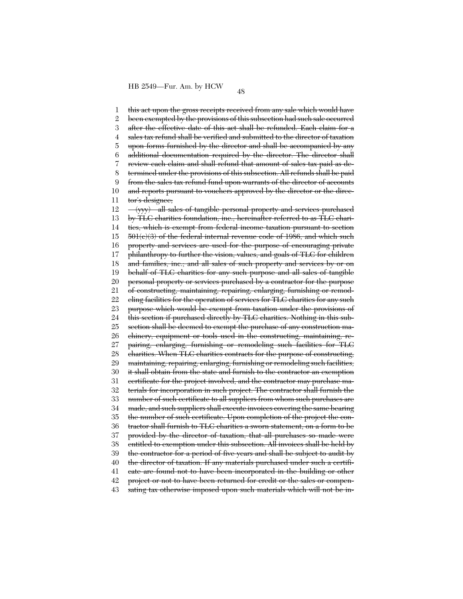1 2 3 4 5 6 7 8 9 10 11 12 13 14 15 16 17 18 19 20 21 22 23 24 25 26 27 28 29 30 31 32 33 34 35 36 37 38 39 40 41 42 43 this act upon the gross receipts received from any sale which would have been exempted by the provisions of this subsection had such sale occurred after the effective date of this act shall be refunded. Each claim for a sales tax refund shall be verified and submitted to the director of taxation upon forms furnished by the director and shall be accompanied by any additional documentation required by the director. The director shall review each claim and shall refund that amount of sales tax paid as determined under the provisions of this subsection. All refunds shall be paid from the sales tax refund fund upon warrants of the director of accounts and reports pursuant to vouchers approved by the director or the director's designee; (yyy) all sales of tangible personal property and services purchased by TLC charities foundation, inc., hereinafter referred to as TLC charities, which is exempt from federal income taxation pursuant to section 501(c)(3) of the federal internal revenue code of 1986, and which such property and services are used for the purpose of encouraging private philanthropy to further the vision, values, and goals of TLC for children and families, inc.; and all sales of such property and services by or on behalf of TLC charities for any such purpose and all sales of tangible personal property or services purchased by a contractor for the purpose of constructing, maintaining, repairing, enlarging, furnishing or remodeling facilities for the operation of services for TLC charities for any such purpose which would be exempt from taxation under the provisions of this section if purchased directly by TLC charities. Nothing in this subsection shall be deemed to exempt the purchase of any construction machinery, equipment or tools used in the constructing, maintaining, repairing, enlarging, furnishing or remodeling such facilities for TLC charities. When TLC charities contracts for the purpose of constructing, maintaining, repairing, enlarging, furnishing or remodeling such facilities, it shall obtain from the state and furnish to the contractor an exemption certificate for the project involved, and the contractor may purchase materials for incorporation in such project. The contractor shall furnish the number of such certificate to all suppliers from whom such purchases are made, and such suppliers shall execute invoices covering the same bearing the number of such certificate. Upon completion of the project the contractor shall furnish to TLC charities a sworn statement, on a form to be provided by the director of taxation, that all purchases so made were entitled to exemption under this subsection. All invoices shall be held by the contractor for a period of five years and shall be subject to audit by the director of taxation. If any materials purchased under such a certificate are found not to have been incorporated in the building or other project or not to have been returned for credit or the sales or compensating tax otherwise imposed upon such materials which will not be in-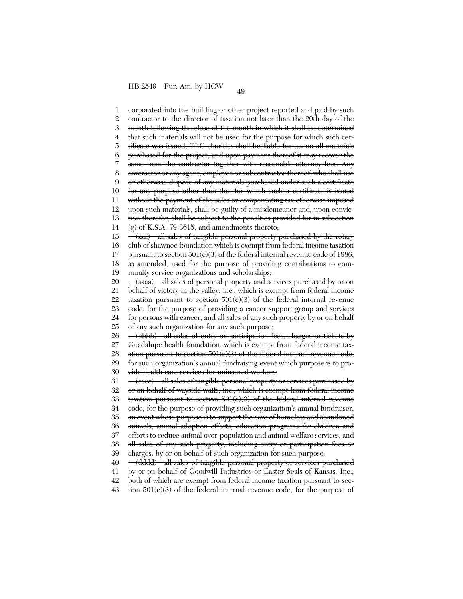1 2 3 4 5 6 7 8 9 10 11 12 13 14 15 16 17 18 19 20 21 22 23 24 25 26 27 28 29 30 31 32 33 34 35 36 37 38 39 40 41 42 corporated into the building or other project reported and paid by such contractor to the director of taxation not later than the 20th day of the month following the close of the month in which it shall be determined that such materials will not be used for the purpose for which such certificate was issued, TLC charities shall be liable for tax on all materials purchased for the project, and upon payment thereof it may recover the same from the contractor together with reasonable attorney fees. Any contractor or any agent, employee or subcontractor thereof, who shall use or otherwise dispose of any materials purchased under such a certificate for any purpose other than that for which such a certificate is issued without the payment of the sales or compensating tax otherwise imposed upon such materials, shall be guilty of a misdemeanor and, upon conviction therefor, shall be subject to the penalties provided for in subsection  $\langle g \rangle$  of K.S.A. 79-3615, and amendments thereto; (zzz) all sales of tangible personal property purchased by the rotary club of shawnee foundation which is exempt from federal income taxation pursuant to section  $501(e)(3)$  of the federal internal revenue code of 1986, as amended, used for the purpose of providing contributions to community service organizations and scholarships; (aaaa) all sales of personal property and services purchased by or on behalf of victory in the valley, inc., which is exempt from federal income taxation pursuant to section  $501(e)(3)$  of the federal internal revenue code, for the purpose of providing a cancer support group and services for persons with cancer, and all sales of any such property by or on behalf of any such organization for any such purpose; (bbbb) all sales of entry or participation fees, charges or tickets by Guadalupe health foundation, which is exempt from federal income taxation pursuant to section  $501(c)(3)$  of the federal internal revenue code, for such organization's annual fundraising event which purpose is to provide health care services for uninsured workers; (cccc) all sales of tangible personal property or services purchased by or on behalf of wayside waifs, inc., which is exempt from federal income taxation pursuant to section  $501(e)(3)$  of the federal internal revenue code, for the purpose of providing such organization's annual fundraiser, an event whose purpose is to support the care of homeless and abandoned animals, animal adoption efforts, education programs for children and efforts to reduce animal over-population and animal welfare services, and all sales of any such property, including entry or participation fees or charges, by or on behalf of such organization for such purpose; (dddd) all sales of tangible personal property or services purchased by or on behalf of Goodwill Industries or Easter Seals of Kansas, Inc., both of which are exempt from federal income taxation pursuant to sec-

43 tion 501(c)(3) of the federal internal revenue code, for the purpose of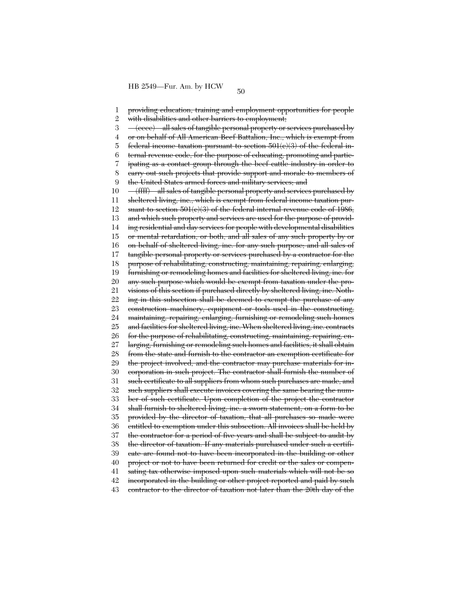1 2 3 4 5 6 7 8  $\mathbf{Q}$ 10 11 12 13 14 15 16 17 18 19 20 21 22 23 24 25 26 27 28 29 30 31 32 33 34 35 36 37 38 39 40 41 42 43 providing education, training and employment opportunities for people with disabilities and other barriers to employment; (eeee) all sales of tangible personal property or services purchased by or on behalf of All American Beef Battalion, Inc., which is exempt from federal income taxation pursuant to section  $501(e)(3)$  of the federal internal revenue code, for the purpose of educating, promoting and participating as a contact group through the beef cattle industry in order to carry out such projects that provide support and morale to members of the United States armed forces and military services; and (ffff) all sales of tangible personal property and services purchased by sheltered living, inc., which is exempt from federal income taxation pursuant to section  $501(e)(3)$  of the federal internal revenue code of 1986, and which such property and services are used for the purpose of providing residential and day services for people with developmental disabilities or mental retardation, or both, and all sales of any such property by or on behalf of sheltered living, inc. for any such purpose; and all sales of tangible personal property or services purchased by a contractor for the purpose of rehabilitating, constructing, maintaining, repairing, enlarging, furnishing or remodeling homes and facilities for sheltered living, inc. for any such purpose which would be exempt from taxation under the provisions of this section if purchased directly by sheltered living, inc. Nothing in this subsection shall be deemed to exempt the purchase of any construction machinery, equipment or tools used in the constructing, maintaining, repairing, enlarging, furnishing or remodeling such homes and facilities for sheltered living, inc. When sheltered living, inc. contracts for the purpose of rehabilitating, constructing, maintaining, repairing, enlarging, furnishing or remodeling such homes and facilities, it shall obtain from the state and furnish to the contractor an exemption certificate for the project involved, and the contractor may purchase materials for incorporation in such project. The contractor shall furnish the number of such certificate to all suppliers from whom such purchases are made, and such suppliers shall execute invoices covering the same bearing the number of such certificate. Upon completion of the project the contractor shall furnish to sheltered living, inc. a sworn statement, on a form to be provided by the director of taxation, that all purchases so made were entitled to exemption under this subsection. All invoices shall be held by the contractor for a period of five years and shall be subject to audit by the director of taxation. If any materials purchased under such a certificate are found not to have been incorporated in the building or other project or not to have been returned for credit or the sales or compensating tax otherwise imposed upon such materials which will not be so incorporated in the building or other project reported and paid by such contractor to the director of taxation not later than the 20th day of the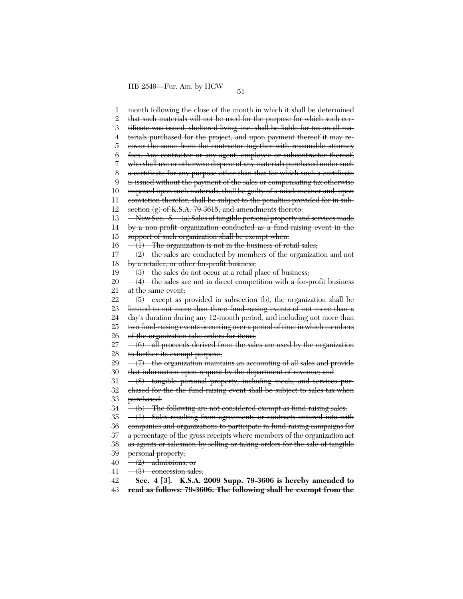1 2 3 4 5 6 7 8 9 10 11 12 13 14 15 16 17 18 19 20 21 22 23 24 25 26 27 28 29 30 31 32 33 34 35 36 37 38 39 40 41 42 month following the close of the month in which it shall be determined that such materials will not be used for the purpose for which such certificate was issued, sheltered living, inc. shall be liable for tax on all materials purchased for the project, and upon payment thereof it may recover the same from the contractor together with reasonable attorney fees. Any contractor or any agent, employee or subcontractor thereof, who shall use or otherwise dispose of any materials purchased under such a certificate for any purpose other than that for which such a certificate is issued without the payment of the sales or compensating tax otherwise imposed upon such materials, shall be guilty of a misdemeanor and, upon conviction therefor, shall be subject to the penalties provided for in subsection  $(g)$  of K.S.A. 79-3615, and amendments thereto. New Sec. 5. (a) Sales of tangible personal property and services made by a non-profit organization conducted as a fund-raising event in the support of such organization shall be exempt when:  $-(1)$  The organization is not in the business of retail sales;  $-(2)$  the sales are conducted by members of the organization and not by a retailer, or other for-profit business;  $\frac{-}{3}$  the sales do not occur at a retail place of business;  $\frac{4}{10}$  the sales are not in direct competition with a for-profit business at the same event; (5) except as provided in subsection (b), the organization shall be limited to not more than three fund-raising events of not more than a day's duration during any 12-month period, and including not more than two fund-raising events occurring over a period of time in which members of the organization take orders for items;  $-(6)$  all proceeds derived from the sales are used by the organization to further its exempt purpose;  $-(7)$  the organization maintains an accounting of all sales and provide that information upon request by the department of revenue; and (8) tangible personal property, including meals, and services purchased for the the fund-raising event shall be subject to sales tax when purchased. (b) The following are not considered exempt as fund-raising sales:  $-(1)$  Sales resulting from agreements or contracts entered into with companies and organizations to participate in fund-raising campaigns for a percentage of the gross receipts where members of the organization act as agents or salesmen by selling or taking orders for the sale of tangible personal property; (2) admissions; or (3) concession sales. **Sec. 4 [3]. K.S.A. 2009 Supp. 79-3606 is hereby amended to**

43 **read as follows: 79-3606. The following shall be exempt from the**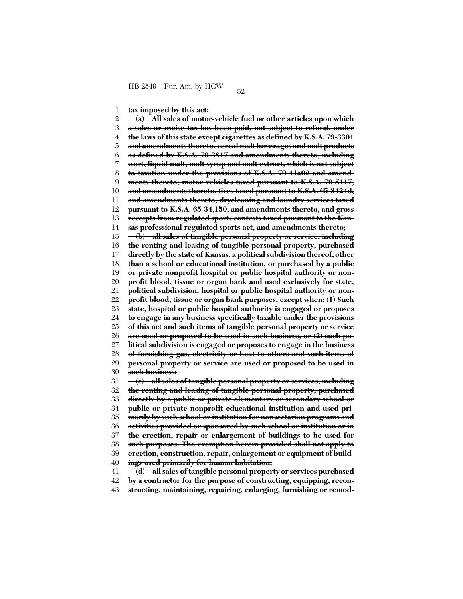1 **tax imposed by this act:**

2 3 4 5 6 7 8 9 10 11 12 13 14 15 16 17 18 19 20 21 22 23 24 25 26 27 28 29 30 31 32 33 34 35 36 37 38 39 40 41 42 **(a) All sales of motor-vehicle fuel or other articles upon which a sales or excise tax has been paid, not subject to refund, under the laws of this state except cigarettes as defined by K.S.A. 79-3301 and amendments thereto, cereal malt beverages and malt products as defined by K.S.A. 79-3817 and amendments thereto, including wort, liquid malt, malt syrup and malt extract, which is not subject to taxation under the provisions of K.S.A. 79-41a02 and amendments thereto, motor vehicles taxed pursuant to K.S.A. 79-5117, and amendments thereto, tires taxed pursuant to K.S.A. 65-3424d, and amendments thereto, drycleaning and laundry services taxed pursuant to K.S.A. 65-34,150, and amendments thereto, and gross receipts from regulated sports contests taxed pursuant to the Kansas professional regulated sports act, and amendments thereto; (b) all sales of tangible personal property or service, including the renting and leasing of tangible personal property, purchased directly by the state of Kansas, a political subdivision thereof, other than a school or educational institution, or purchased by a public or private nonprofit hospital or public hospital authority or nonprofit blood, tissue or organ bank and used exclusively for state, political subdivision, hospital or public hospital authority or nonprofit blood, tissue or organ bank purposes, except when: (1) Such state, hospital or public hospital authority is engaged or proposes to engage in any business specifically taxable under the provisions of this act and such items of tangible personal property or service are used or proposed to be used in such business, or (2) such political subdivision is engaged or proposes to engage in the business of furnishing gas, electricity or heat to others and such items of personal property or service are used or proposed to be used in such business; (c) all sales of tangible personal property or services, including the renting and leasing of tangible personal property, purchased directly by a public or private elementary or secondary school or public or private nonprofit educational institution and used primarily by such school or institution for nonsectarian programs and activities provided or sponsored by such school or institution or in the erection, repair or enlargement of buildings to be used for such purposes. The exemption herein provided shall not apply to erection, construction, repair, enlargement or equipment of buildings used primarily for human habitation; (d) all sales of tangible personal property or services purchased by a contractor for the purpose of constructing, equipping, recon-**

43 **structing, maintaining, repairing, enlarging, furnishing or remod-**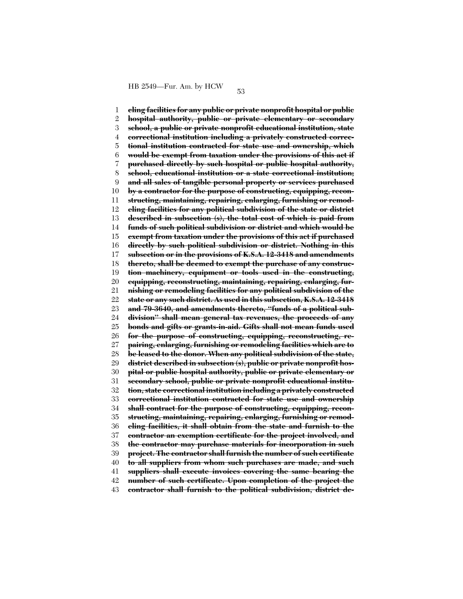1 2 3 4 5 6 7 8 9 10 11 12 13 14 15 16 17 18 19 20 21 22 23 24 25 26 27 28 29 30 31 32 33 34 35 36 37 38 39 40 41 42 43 **eling facilities for any public or private nonprofit hospital or public hospital authority, public or private elementary or secondary school, a public or private nonprofit educational institution, state correctional institution including a privately constructed correctional institution contracted for state use and ownership, which would be exempt from taxation under the provisions of this act if purchased directly by such hospital or public hospital authority, school, educational institution or a state correctional institution; and all sales of tangible personal property or services purchased by a contractor for the purpose of constructing, equipping, reconstructing, maintaining, repairing, enlarging, furnishing or remodeling facilities for any political subdivision of the state or district described in subsection (s), the total cost of which is paid from funds of such political subdivision or district and which would be exempt from taxation under the provisions of this act if purchased directly by such political subdivision or district. Nothing in this subsection or in the provisions of K.S.A. 12-3418 and amendments thereto, shall be deemed to exempt the purchase of any construction machinery, equipment or tools used in the constructing, equipping, reconstructing, maintaining, repairing, enlarging, furnishing or remodeling facilities for any political subdivision of the state or any such district. As used in this subsection, K.S.A. 12-3418 and 79-3640, and amendments thereto, ''funds of a political subdivision'' shall mean general tax revenues, the proceeds of any bonds and gifts or grants-in-aid. Gifts shall not mean funds used for the purpose of constructing, equipping, reconstructing, repairing, enlarging, furnishing or remodeling facilities which are to be leased to the donor. When any political subdivision of the state, district described in subsection (s), public or private nonprofit hospital or public hospital authority, public or private elementary or secondary school, public or private nonprofit educational institution, state correctional institution including a privately constructed correctional institution contracted for state use and ownership shall contract for the purpose of constructing, equipping, reconstructing, maintaining, repairing, enlarging, furnishing or remodeling facilities, it shall obtain from the state and furnish to the contractor an exemption certificate for the project involved, and the contractor may purchase materials for incorporation in such project. The contractor shall furnish the number of such certificate to all suppliers from whom such purchases are made, and such suppliers shall execute invoices covering the same bearing the number of such certificate. Upon completion of the project the contractor shall furnish to the political subdivision, district de-**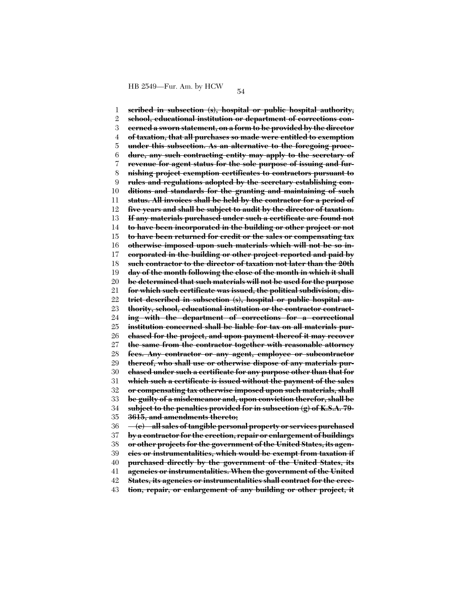1 2 3 4 5 6 7 8 9 10 11 12 13 14 15 16 17 18 19 20 21 22 23 24 25 26 27 28 29 30 31 32 33 34 35 36 37 38 39 40 41 42 **scribed in subsection (s), hospital or public hospital authority, school, educational institution or department of corrections concerned a sworn statement, on a form to be provided by the director of taxation, that all purchases so made were entitled to exemption under this subsection. As an alternative to the foregoing procedure, any such contracting entity may apply to the secretary of revenue for agent status for the sole purpose of issuing and furnishing project exemption certificates to contractors pursuant to rules and regulations adopted by the secretary establishing conditions and standards for the granting and maintaining of such status. All invoices shall be held by the contractor for a period of five years and shall be subject to audit by the director of taxation. If any materials purchased under such a certificate are found not to have been incorporated in the building or other project or not to have been returned for credit or the sales or compensating tax otherwise imposed upon such materials which will not be so incorporated in the building or other project reported and paid by such contractor to the director of taxation not later than the 20th day of the month following the close of the month in which it shall be determined that such materials will not be used for the purpose for which such certificate was issued, the political subdivision, district described in subsection (s), hospital or public hospital authority, school, educational institution or the contractor contracting with the department of corrections for a correctional institution concerned shall be liable for tax on all materials purchased for the project, and upon payment thereof it may recover the same from the contractor together with reasonable attorney fees. Any contractor or any agent, employee or subcontractor thereof, who shall use or otherwise dispose of any materials purchased under such a certificate for any purpose other than that for which such a certificate is issued without the payment of the sales or compensating tax otherwise imposed upon such materials, shall be guilty of a misdemeanor and, upon conviction therefor, shall be subject to the penalties provided for in subsection (g) of K.S.A. 79- 3615, and amendments thereto; (e) all sales of tangible personal property or services purchased by a contractor for the erection, repair or enlargement of buildings or other projects for the government of the United States, its agencies or instrumentalities, which would be exempt from taxation if purchased directly by the government of the United States, its agencies or instrumentalities. When the government of the United States, its agencies or instrumentalities shall contract for the erec-**

43 **tion, repair, or enlargement of any building or other project, it**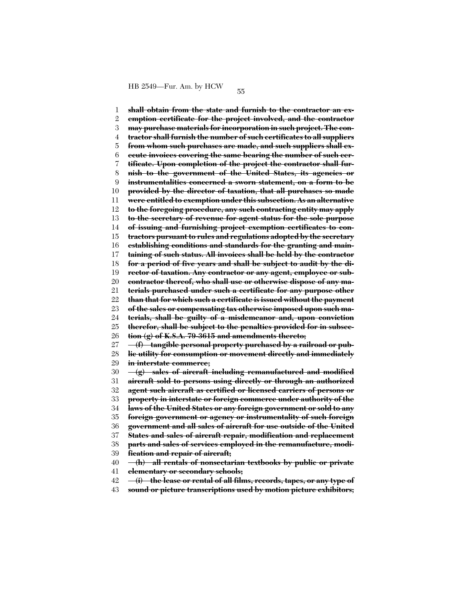1 2 3 4 5 6 7 8 9 10 11 12 13 14 15 16 17 18 19 20 21 22 23 24 25 26 27 28 29 30 31 32 33 34 35 36 37 38 39 40 41 42 43 **shall obtain from the state and furnish to the contractor an exemption certificate for the project involved, and the contractor may purchase materials for incorporation in such project. The contractor shall furnish the number of such certificates to all suppliers from whom such purchases are made, and such suppliers shall execute invoices covering the same bearing the number of such certificate. Upon completion of the project the contractor shall furnish to the government of the United States, its agencies or instrumentalities concerned a sworn statement, on a form to be provided by the director of taxation, that all purchases so made were entitled to exemption under this subsection. As an alternative to the foregoing procedure, any such contracting entity may apply to the secretary of revenue for agent status for the sole purpose of issuing and furnishing project exemption certificates to contractors pursuant to rules and regulations adopted by the secretary establishing conditions and standards for the granting and maintaining of such status. All invoices shall be held by the contractor for a period of five years and shall be subject to audit by the director of taxation. Any contractor or any agent, employee or subcontractor thereof, who shall use or otherwise dispose of any materials purchased under such a certificate for any purpose other than that for which such a certificate is issued without the payment of the sales or compensating tax otherwise imposed upon such materials, shall be guilty of a misdemeanor and, upon conviction therefor, shall be subject to the penalties provided for in subsection (g) of K.S.A. 79-3615 and amendments thereto; (f) tangible personal property purchased by a railroad or public utility for consumption or movement directly and immediately in interstate commerce; (g) sales of aircraft including remanufactured and modified aircraft sold to persons using directly or through an authorized agent such aircraft as certified or licensed carriers of persons or property in interstate or foreign commerce under authority of the laws of the United States or any foreign government or sold to any foreign government or agency or instrumentality of such foreign government and all sales of aircraft for use outside of the United States and sales of aircraft repair, modification and replacement parts and sales of services employed in the remanufacture, modification and repair of aircraft; (h) all rentals of nonsectarian textbooks by public or private elementary or secondary schools; (i) the lease or rental of all films, records, tapes, or any type of sound or picture transcriptions used by motion picture exhibitors;**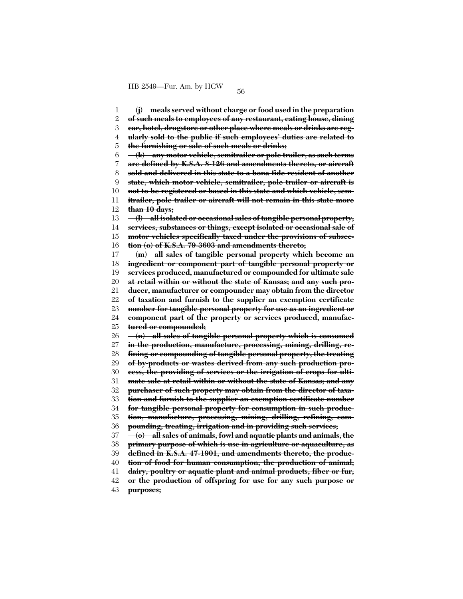1 2 3 4 5 6 7 8 9 10 11 12 13 14 15 16 17 18 19 20 21 22 23 24 25 26 27 28 29 30 31 32 33 34 35 36 37 38 39 40 41 42 **(j) meals served without charge or food used in the preparation of such meals to employees of any restaurant, eating house, dining car, hotel, drugstore or other place where meals or drinks are regularly sold to the public if such employees' duties are related to the furnishing or sale of such meals or drinks; (k) any motor vehicle, semitrailer or pole trailer, as such terms are defined by K.S.A. 8-126 and amendments thereto, or aircraft sold and delivered in this state to a bona fide resident of another state, which motor vehicle, semitrailer, pole trailer or aircraft is not to be registered or based in this state and which vehicle, semitrailer, pole trailer or aircraft will not remain in this state more than 10 days; (l) all isolated or occasional sales of tangible personal property, services, substances or things, except isolated or occasional sale of motor vehicles specifically taxed under the provisions of subsection (o) of K.S.A. 79-3603 and amendments thereto; (m) all sales of tangible personal property which become an ingredient or component part of tangible personal property or services produced, manufactured or compounded for ultimate sale at retail within or without the state of Kansas; and any such producer, manufacturer or compounder may obtain from the director of taxation and furnish to the supplier an exemption certificate number for tangible personal property for use as an ingredient or component part of the property or services produced, manufactured or compounded; (n) all sales of tangible personal property which is consumed in the production, manufacture, processing, mining, drilling, refining or compounding of tangible personal property, the treating of by-products or wastes derived from any such production process, the providing of services or the irrigation of crops for ultimate sale at retail within or without the state of Kansas; and any purchaser of such property may obtain from the director of taxation and furnish to the supplier an exemption certificate number for tangible personal property for consumption in such production, manufacture, processing, mining, drilling, refining, compounding, treating, irrigation and in providing such services; (o) all sales of animals, fowl and aquatic plants and animals, the primary purpose of which is use in agriculture or aquaculture, as defined in K.S.A. 47-1901, and amendments thereto, the production of food for human consumption, the production of animal, dairy, poultry or aquatic plant and animal products, fiber or fur, or the production of offspring for use for any such purpose or**

43 **purposes;**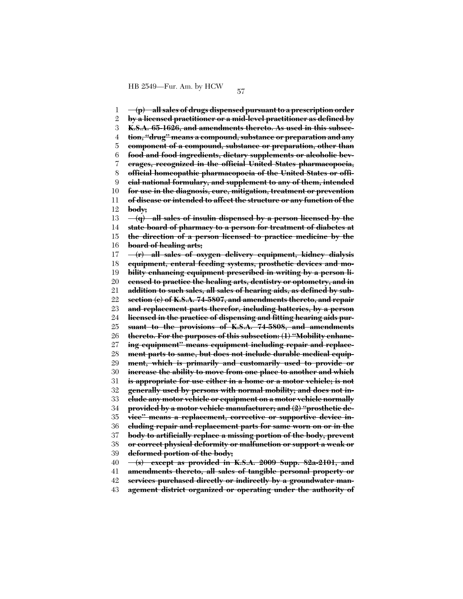1 2 3 4 5 6 7 8 9 10 11 12 13 14 15 16 17 18 19 20 21 22 23 24 25 26 27 28 29 30 31 32 33 34 35 36 37 38 39 40 41 42 **(p) all sales of drugs dispensed pursuant to a prescription order by a licensed practitioner or a mid-level practitioner as defined by K.S.A. 65-1626, and amendments thereto. As used in this subsection, ''drug'' means a compound, substance or preparation and any component of a compound, substance or preparation, other than food and food ingredients, dietary supplements or alcoholic beverages, recognized in the official United States pharmacopoeia, official homeopathic pharmacopoeia of the United States or official national formulary, and supplement to any of them, intended for use in the diagnosis, cure, mitigation, treatment or prevention of disease or intended to affect the structure or any function of the body; (q) all sales of insulin dispensed by a person licensed by the state board of pharmacy to a person for treatment of diabetes at the direction of a person licensed to practice medicine by the board of healing arts; (r) all sales of oxygen delivery equipment, kidney dialysis equipment, enteral feeding systems, prosthetic devices and mobility enhancing equipment prescribed in writing by a person licensed to practice the healing arts, dentistry or optometry, and in addition to such sales, all sales of hearing aids, as defined by subsection (c) of K.S.A. 74-5807, and amendments thereto, and repair and replacement parts therefor, including batteries, by a person licensed in the practice of dispensing and fitting hearing aids pursuant to the provisions of K.S.A. 74-5808, and amendments thereto. For the purposes of this subsection: (1) ''Mobility enhancing equipment'' means equipment including repair and replacement parts to same, but does not include durable medical equipment, which is primarily and customarily used to provide or increase the ability to move from one place to another and which is appropriate for use either in a home or a motor vehicle; is not generally used by persons with normal mobility; and does not include any motor vehicle or equipment on a motor vehicle normally provided by a motor vehicle manufacturer; and (2) ''prosthetic device'' means a replacement, corrective or supportive device including repair and replacement parts for same worn on or in the body to artificially replace a missing portion of the body, prevent or correct physical deformity or malfunction or support a weak or deformed portion of the body; (s) except as provided in K.S.A. 2009 Supp. 82a-2101, and amendments thereto, all sales of tangible personal property or services purchased directly or indirectly by a groundwater man-**

43 **agement district organized or operating under the authority of**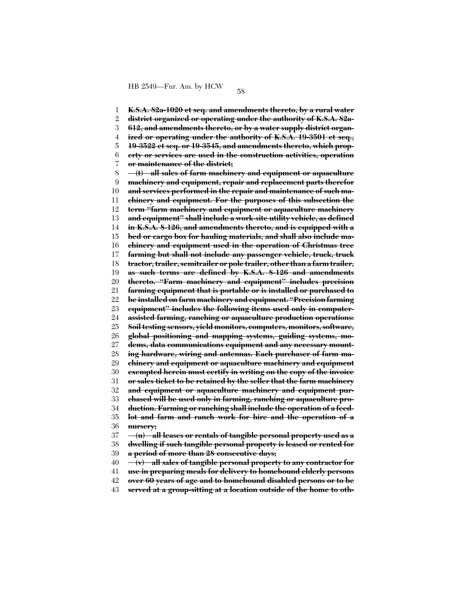1 2 3 4 5 6 7 8 9 10 11 12 13 14 15 16 17 18 19 20 21 22 23 24 25 26 27 28 29 30 31 32 33 34 35 36 37 38 39 40 41 **K.S.A. 82a-1020 et seq. and amendments thereto, by a rural water district organized or operating under the authority of K.S.A. 82a-612, and amendments thereto, or by a water supply district organized or operating under the authority of K.S.A. 19-3501 et seq., 19-3522 et seq. or 19-3545, and amendments thereto, which property or services are used in the construction activities, operation or maintenance of the district; (t) all sales of farm machinery and equipment or aquaculture machinery and equipment, repair and replacement parts therefor and services performed in the repair and maintenance of such machinery and equipment. For the purposes of this subsection the term ''farm machinery and equipment or aquaculture machinery and equipment'' shall include a work-site utility vehicle, as defined in K.S.A. 8-126, and amendments thereto, and is equipped with a bed or cargo box for hauling materials, and shall also include machinery and equipment used in the operation of Christmas tree farming but shall not include any passenger vehicle, truck, truck tractor, trailer, semitrailer or pole trailer, other than a farm trailer, as such terms are defined by K.S.A. 8-126 and amendments thereto. ''Farm machinery and equipment'' includes precision farming equipment that is portable or is installed or purchased to be installed on farm machinery and equipment. ''Precision farming equipment'' includes the following items used only in computerassisted farming, ranching or aquaculture production operations: Soil testing sensors, yield monitors, computers, monitors, software, global positioning and mapping systems, guiding systems, modems, data communications equipment and any necessary mounting hardware, wiring and antennas. Each purchaser of farm machinery and equipment or aquaculture machinery and equipment exempted herein must certify in writing on the copy of the invoice or sales ticket to be retained by the seller that the farm machinery and equipment or aquaculture machinery and equipment purchased will be used only in farming, ranching or aquaculture production. Farming or ranching shall include the operation of a feedlot and farm and ranch work for hire and the operation of a nursery; (u) all leases or rentals of tangible personal property used as a dwelling if such tangible personal property is leased or rented for a period of more than 28 consecutive days; (v) all sales of tangible personal property to any contractor for use in preparing meals for delivery to homebound elderly persons**

42 **over 60 years of age and to homebound disabled persons or to be**

43 **served at a group-sitting at a location outside of the home to oth-**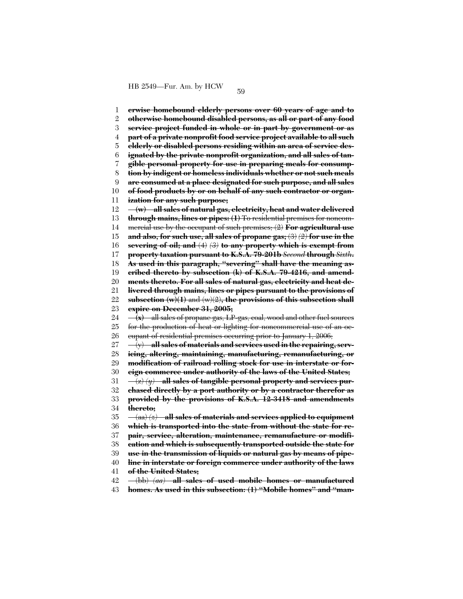1 2 3 4 5 6 7 8 9 10 11 12 13 14 15 16 17 18 19 20 21 22 23 24 25 26 27 28 29 30 31 32 33 34 35 36 37 38 39 40 41 42 43 **erwise homebound elderly persons over 60 years of age and to otherwise homebound disabled persons, as all or part of any food service project funded in whole or in part by government or as part of a private nonprofit food service project available to all such elderly or disabled persons residing within an area of service designated by the private nonprofit organization, and all sales of tangible personal property for use in preparing meals for consumption by indigent or homeless individuals whether or not such meals are consumed at a place designated for such purpose, and all sales of food products by or on behalf of any such contractor or organization for any such purpose; (w) all sales of natural gas, electricity, heat and water delivered through mains, lines or pipes: (1)** To residential premises for noncommercial use by the occupant of such premises; (2) **For agricultural use and also, for such use, all sales of propane gas;** (3) *(2)* **for use in the severing of oil; and** (4) *(3)* **to any property which is exempt from property taxation pursuant to K.S.A. 79-201b** *Second* **through** *Sixth***. As used in this paragraph, ''severing'' shall have the meaning ascribed thereto by subsection (k) of K.S.A. 79-4216, and amendments thereto. For all sales of natural gas, electricity and heat delivered through mains, lines or pipes pursuant to the provisions of subsection (w)(1)** and (w)(2)**, the provisions of this subsection shall expire on December 31, 2005; (x)** all sales of propane gas, LP-gas, coal, wood and other fuel sources for the production of heat or lighting for noncommercial use of an occupant of residential premises occurring prior to January 1, 2006; (y) **all sales of materials and services used in the repairing, servicing, altering, maintaining, manufacturing, remanufacturing, or modification of railroad rolling stock for use in interstate or foreign commerce under authority of the laws of the United States;** (z) *(y)* **all sales of tangible personal property and services purchased directly by a port authority or by a contractor therefor as provided by the provisions of K.S.A. 12-3418 and amendments thereto;** (aa) *(z)* **all sales of materials and services applied to equipment which is transported into the state from without the state for repair, service, alteration, maintenance, remanufacture or modification and which is subsequently transported outside the state for use in the transmission of liquids or natural gas by means of pipeline in interstate or foreign commerce under authority of the laws of the United States;** (bb) *(aa)* **all sales of used mobile homes or manufactured homes. As used in this subsection: (1) ''Mobile homes'' and ''man-**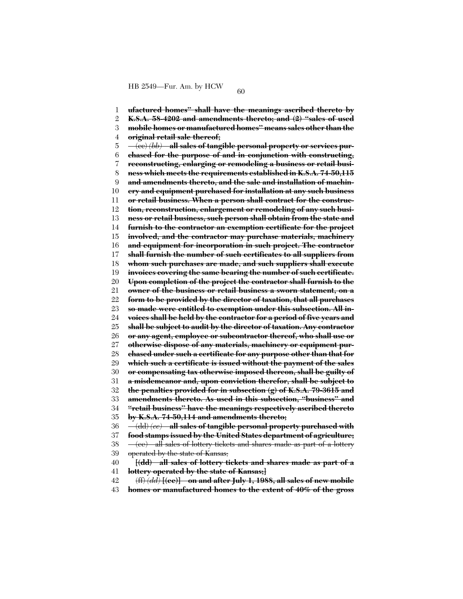1 2 3 4 5 6 7 8  $\mathbf{Q}$ 10 11 12 13 14 15 16 17 18 19 20 21 22 23 24 25 26 27 28 29 30 31 32 33 34 35 36 37 38 39 40 41 42 **ufactured homes'' shall have the meanings ascribed thereto by K.S.A. 58-4202 and amendments thereto; and (2) ''sales of used mobile homes or manufactured homes'' means sales other than the original retail sale thereof;** (cc) *(bb)* **all sales of tangible personal property or services purchased for the purpose of and in conjunction with constructing, reconstructing, enlarging or remodeling a business or retail business which meets the requirements established in K.S.A. 74-50,115 and amendments thereto, and the sale and installation of machinery and equipment purchased for installation at any such business or retail business. When a person shall contract for the construction, reconstruction, enlargement or remodeling of any such business or retail business, such person shall obtain from the state and furnish to the contractor an exemption certificate for the project involved, and the contractor may purchase materials, machinery and equipment for incorporation in such project. The contractor shall furnish the number of such certificates to all suppliers from whom such purchases are made, and such suppliers shall execute invoices covering the same bearing the number of such certificate. Upon completion of the project the contractor shall furnish to the owner of the business or retail business a sworn statement, on a form to be provided by the director of taxation, that all purchases so made were entitled to exemption under this subsection. All invoices shall be held by the contractor for a period of five years and shall be subject to audit by the director of taxation. Any contractor or any agent, employee or subcontractor thereof, who shall use or otherwise dispose of any materials, machinery or equipment purchased under such a certificate for any purpose other than that for which such a certificate is issued without the payment of the sales or compensating tax otherwise imposed thereon, shall be guilty of a misdemeanor and, upon conviction therefor, shall be subject to the penalties provided for in subsection (g) of K.S.A. 79-3615 and amendments thereto. As used in this subsection, ''business'' and ''retail business'' have the meanings respectively ascribed thereto by K.S.A. 74-50,114 and amendments thereto;** (dd) *(cc)* **all sales of tangible personal property purchased with food stamps issued by the United States department of agriculture;** (ee) all sales of lottery tickets and shares made as part of a lottery operated by the state of Kansas; **[(dd) all sales of lottery tickets and shares made as part of a lottery operated by the state of Kansas;]** (ff) *(dd)* **[(ee)] on and after July 1, 1988, all sales of new mobile**

43 **homes or manufactured homes to the extent of 40% of the gross**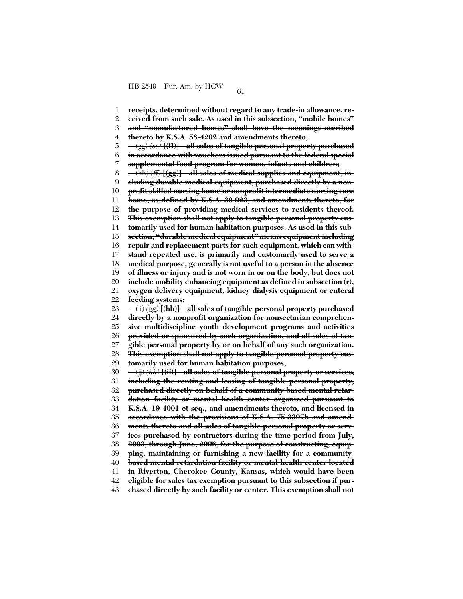1 2 3 4 5 6 7 8 9 10 11 12 13 14 15 16 17 18 19 20 21 22 23 24 25 26 27 28 29 30 31 32 33 34 35 36 37 38 39 40 41 42 **receipts, determined without regard to any trade-in allowance, received from such sale. As used in this subsection, ''mobile homes'' and ''manufactured homes'' shall have the meanings ascribed thereto by K.S.A. 58-4202 and amendments thereto;** (gg) *(ee)* **[(ff)] all sales of tangible personal property purchased in accordance with vouchers issued pursuant to the federal special supplemental food program for women, infants and children;** (hh) *(ff)* **[(gg)] all sales of medical supplies and equipment, including durable medical equipment, purchased directly by a nonprofit skilled nursing home or nonprofit intermediate nursing care home, as defined by K.S.A. 39-923, and amendments thereto, for the purpose of providing medical services to residents thereof. This exemption shall not apply to tangible personal property customarily used for human habitation purposes. As used in this subsection, ''durable medical equipment'' means equipment including repair and replacement parts for such equipment, which can withstand repeated use, is primarily and customarily used to serve a medical purpose, generally is not useful to a person in the absence of illness or injury and is not worn in or on the body, but does not include mobility enhancing equipment as defined in subsection (r), oxygen delivery equipment, kidney dialysis equipment or enteral feeding systems;** (ii) *(gg)* **[(hh)] all sales of tangible personal property purchased directly by a nonprofit organization for nonsectarian comprehensive multidiscipline youth development programs and activities provided or sponsored by such organization, and all sales of tangible personal property by or on behalf of any such organization. This exemption shall not apply to tangible personal property customarily used for human habitation purposes;** (jj) *(hh)* **[(ii)] all sales of tangible personal property or services, including the renting and leasing of tangible personal property, purchased directly on behalf of a community-based mental retardation facility or mental health center organized pursuant to K.S.A. 19-4001 et seq., and amendments thereto, and licensed in accordance with the provisions of K.S.A. 75-3307b and amendments thereto and all sales of tangible personal property or services purchased by contractors during the time period from July, 2003, through June, 2006, for the purpose of constructing, equipping, maintaining or furnishing a new facility for a communitybased mental retardation facility or mental health center located in Riverton, Cherokee County, Kansas, which would have been eligible for sales tax exemption pursuant to this subsection if pur-**

43 **chased directly by such facility or center. This exemption shall not**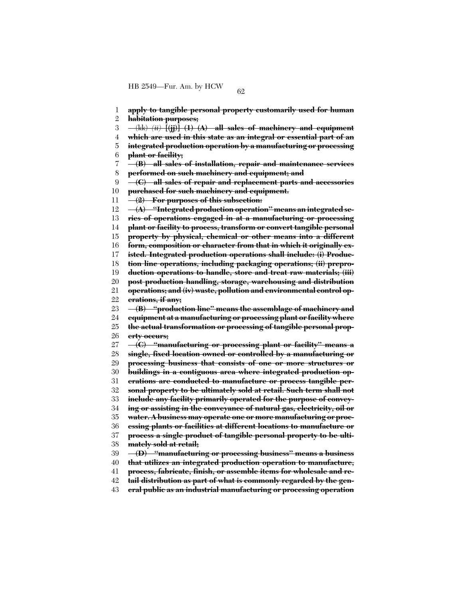1 **apply to tangible personal property customarily used for human**

2 **habitation purposes;**

3 (kk) *(ii)* **[(jj)] (1) (A) all sales of machinery and equipment**

- 4 **which are used in this state as an integral or essential part of an**
- 5 6 **integrated production operation by a manufacturing or processing plant or facility;**
- 7 8 **(B) all sales of installation, repair and maintenance services performed on such machinery and equipment; and**
- $\mathbf{Q}$ **(C) all sales of repair and replacement parts and accessories**
- 10 **purchased for such machinery and equipment.**
- 11 **(2) For purposes of this subsection:**

12 **(A) ''Integrated production operation'' means an integrated se-**

13 **ries of operations engaged in at a manufacturing or processing**

14 **plant or facility to process, transform or convert tangible personal**

15 **property by physical, chemical or other means into a different**

16 **form, composition or character from that in which it originally ex-**

17 **isted. Integrated production operations shall include: (i) Produc-**

18 **tion line operations, including packaging operations; (ii) prepro-**

19 **duction operations to handle, store and treat raw materials; (iii)**

- 20 21 **post production handling, storage, warehousing and distribution**
- 22 **operations; and (iv) waste, pollution and environmental control operations, if any;**

23 **(B) ''production line'' means the assemblage of machinery and**

24 **equipment at a manufacturing or processing plant or facility where**

25 **the actual transformation or processing of tangible personal prop-**

26 **erty occurs;**

27 **(C) ''manufacturing or processing plant or facility'' means a**

28 **single, fixed location owned or controlled by a manufacturing or**

29 **processing business that consists of one or more structures or**

30 **buildings in a contiguous area where integrated production op-**

31 **erations are conducted to manufacture or process tangible per-**

32 33 **sonal property to be ultimately sold at retail. Such term shall not include any facility primarily operated for the purpose of convey-**

34 **ing or assisting in the conveyance of natural gas, electricity, oil or**

35 **water. A business may operate one or more manufacturing or proc-**

36 **essing plants or facilities at different locations to manufacture or**

37 **process a single product of tangible personal property to be ulti-**

38 **mately sold at retail;**

39 **(D) ''manufacturing or processing business'' means a business**

40 **that utilizes an integrated production operation to manufacture,**

41 **process, fabricate, finish, or assemble items for wholesale and re-**

42 **tail distribution as part of what is commonly regarded by the gen-**

43 **eral public as an industrial manufacturing or processing operation**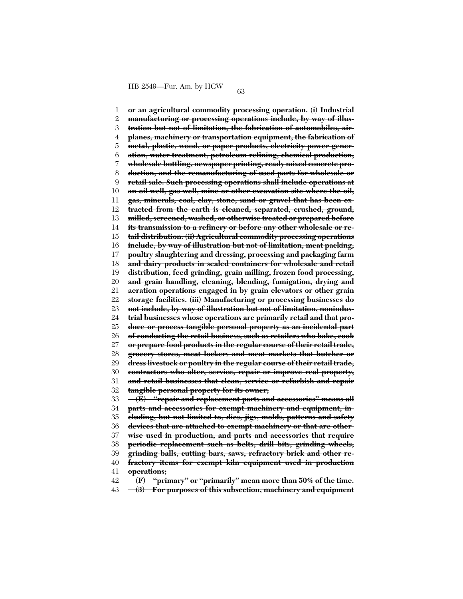1 2 3 4 5 6 7 8 9 10 11 12 13 14 15 16 17 18 19 20 21 22 23 24 25 26 27 28 29 30 31 32 33 34 35 36 37 38 39 40 41 42 **or an agricultural commodity processing operation. (i) Industrial manufacturing or processing operations include, by way of illustration but not of limitation, the fabrication of automobiles, airplanes, machinery or transportation equipment, the fabrication of metal, plastic, wood, or paper products, electricity power generation, water treatment, petroleum refining, chemical production, wholesale bottling, newspaper printing, ready mixed concrete production, and the remanufacturing of used parts for wholesale or retail sale. Such processing operations shall include operations at an oil well, gas well, mine or other excavation site where the oil, gas, minerals, coal, clay, stone, sand or gravel that has been extracted from the earth is cleaned, separated, crushed, ground, milled, screened, washed, or otherwise treated or prepared before its transmission to a refinery or before any other wholesale or retail distribution. (ii) Agricultural commodity processing operations include, by way of illustration but not of limitation, meat packing, poultry slaughtering and dressing, processing and packaging farm and dairy products in sealed containers for wholesale and retail distribution, feed grinding, grain milling, frozen food processing, and grain handling, cleaning, blending, fumigation, drying and aeration operations engaged in by grain elevators or other grain storage facilities. (iii) Manufacturing or processing businesses do not include, by way of illustration but not of limitation, nonindustrial businesses whose operations are primarily retail and that produce or process tangible personal property as an incidental part of conducting the retail business, such as retailers who bake, cook or prepare food products in the regular course of their retail trade, grocery stores, meat lockers and meat markets that butcher or dress livestock or poultry in the regular course of their retail trade, contractors who alter, service, repair or improve real property, and retail businesses that clean, service or refurbish and repair tangible personal property for its owner; (E) ''repair and replacement parts and accessories'' means all parts and accessories for exempt machinery and equipment, including, but not limited to, dies, jigs, molds, patterns and safety devices that are attached to exempt machinery or that are otherwise used in production, and parts and accessories that require periodic replacement such as belts, drill bits, grinding wheels, grinding balls, cutting bars, saws, refractory brick and other refractory items for exempt kiln equipment used in production operations; (F) ''primary'' or ''primarily'' mean more than 50% of the time.**

43 **(3) For purposes of this subsection, machinery and equipment**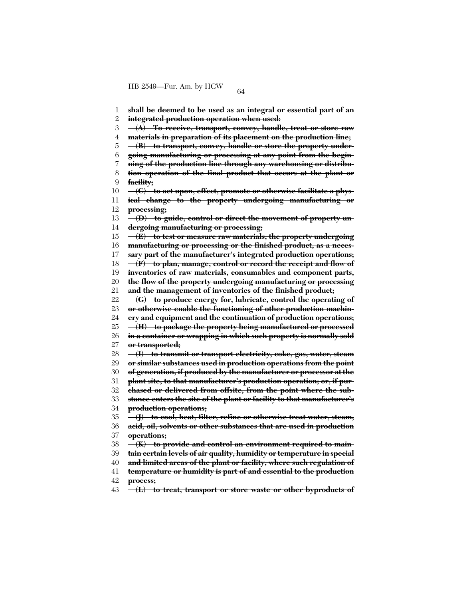1 2 3 4 5 6 7 8 9 10 11 12 13 14 15 16 17 18 19 20 21 22 23 24 25 26 27 28 29 30 31 32 33 34 35 36 37 38 39 40 41 42 43 **shall be deemed to be used as an integral or essential part of an integrated production operation when used: (A) To receive, transport, convey, handle, treat or store raw materials in preparation of its placement on the production line; (B) to transport, convey, handle or store the property undergoing manufacturing or processing at any point from the beginning of the production line through any warehousing or distribution operation of the final product that occurs at the plant or facility; (C) to act upon, effect, promote or otherwise facilitate a physical change to the property undergoing manufacturing or processing; (D) to guide, control or direct the movement of property undergoing manufacturing or processing; (E) to test or measure raw materials, the property undergoing manufacturing or processing or the finished product, as a necessary part of the manufacturer's integrated production operations; (F) to plan, manage, control or record the receipt and flow of inventories of raw materials, consumables and component parts, the flow of the property undergoing manufacturing or processing and the management of inventories of the finished product; (G) to produce energy for, lubricate, control the operating of or otherwise enable the functioning of other production machinery and equipment and the continuation of production operations; (H) to package the property being manufactured or processed in a container or wrapping in which such property is normally sold or transported; (I) to transmit or transport electricity, coke, gas, water, steam or similar substances used in production operations from the point of generation, if produced by the manufacturer or processor at the plant site, to that manufacturer's production operation; or, if purchased or delivered from offsite, from the point where the substance enters the site of the plant or facility to that manufacturer's production operations; (J) to cool, heat, filter, refine or otherwise treat water, steam, acid, oil, solvents or other substances that are used in production operations; (K) to provide and control an environment required to maintain certain levels of air quality, humidity or temperature in special and limited areas of the plant or facility, where such regulation of temperature or humidity is part of and essential to the production process; (L) to treat, transport or store waste or other byproducts of**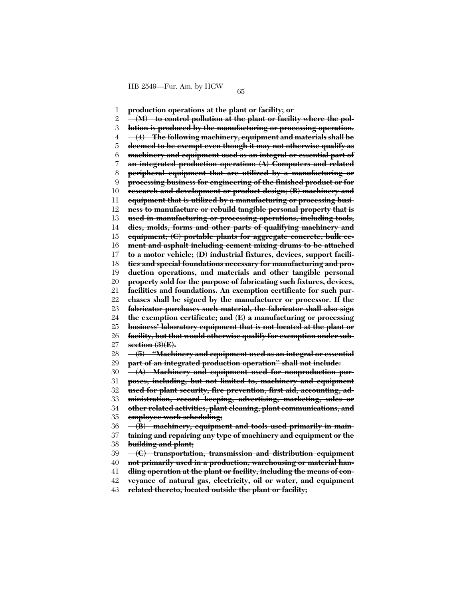1 2 3 4 5 6 7 8 9 10 11 12 13 14 15 16 17 18 19 20 21 22 23 24 25 26 27 28 29 30 31 32 33 34 35 36 37 38 39 40 41 42 **production operations at the plant or facility; or (M) to control pollution at the plant or facility where the pollution is produced by the manufacturing or processing operation. (4) The following machinery, equipment and materials shall be deemed to be exempt even though it may not otherwise qualify as machinery and equipment used as an integral or essential part of an integrated production operation: (A) Computers and related peripheral equipment that are utilized by a manufacturing or processing business for engineering of the finished product or for research and development or product design; (B) machinery and equipment that is utilized by a manufacturing or processing business to manufacture or rebuild tangible personal property that is used in manufacturing or processing operations, including tools, dies, molds, forms and other parts of qualifying machinery and equipment; (C) portable plants for aggregate concrete, bulk cement and asphalt including cement mixing drums to be attached to a motor vehicle; (D) industrial fixtures, devices, support facilities and special foundations necessary for manufacturing and production operations, and materials and other tangible personal property sold for the purpose of fabricating such fixtures, devices, facilities and foundations. An exemption certificate for such purchases shall be signed by the manufacturer or processor. If the fabricator purchases such material, the fabricator shall also sign the exemption certificate; and (E) a manufacturing or processing business' laboratory equipment that is not located at the plant or facility, but that would otherwise qualify for exemption under subsection (3)(E). (5) ''Machinery and equipment used as an integral or essential part of an integrated production operation'' shall not include: (A) Machinery and equipment used for nonproduction purposes, including, but not limited to, machinery and equipment used for plant security, fire prevention, first aid, accounting, administration, record keeping, advertising, marketing, sales or other related activities, plant cleaning, plant communications, and employee work scheduling; (B) machinery, equipment and tools used primarily in maintaining and repairing any type of machinery and equipment or the building and plant; (C) transportation, transmission and distribution equipment not primarily used in a production, warehousing or material handling operation at the plant or facility, including the means of conveyance of natural gas, electricity, oil or water, and equipment**

43 **related thereto, located outside the plant or facility;**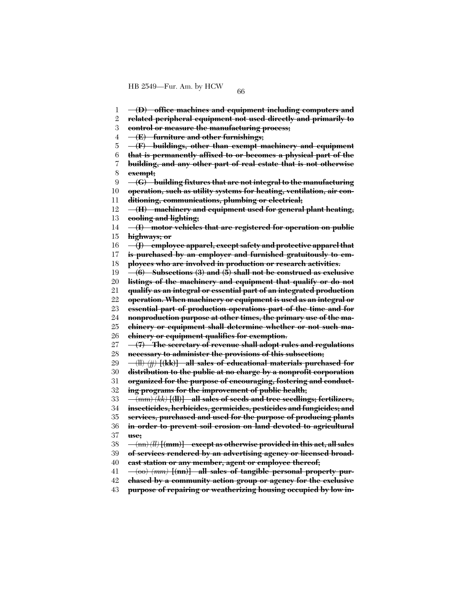1 **(D) office machines and equipment including computers and**

2 **related peripheral equipment not used directly and primarily to**

3 **control or measure the manufacturing process;**

4 **(E) furniture and other furnishings;**

5 **(F) buildings, other than exempt machinery and equipment**

6 **that is permanently affixed to or becomes a physical part of the**

7 8 **building, and any other part of real estate that is not otherwise exempt;**

9 **(G) building fixtures that are not integral to the manufacturing**

10 **operation, such as utility systems for heating, ventilation, air con-**

11 **ditioning, communications, plumbing or electrical;**

12 13 **(H) machinery and equipment used for general plant heating, cooling and lighting;**

14 15 **(I) motor vehicles that are registered for operation on public highways; or**

16 **(J) employee apparel, except safety and protective apparel that**

17 **is purchased by an employer and furnished gratuitously to em-**

18 **ployees who are involved in production or research activities.**

19 **(6) Subsections (3) and (5) shall not be construed as exclusive**

20 **listings of the machinery and equipment that qualify or do not**

21 **qualify as an integral or essential part of an integrated production**

22 **operation. When machinery or equipment is used as an integral or**

23 **essential part of production operations part of the time and for**

24 **nonproduction purpose at other times, the primary use of the ma-**

25 **chinery or equipment shall determine whether or not such ma-**

26 **chinery or equipment qualifies for exemption.**

27 28 **(7) The secretary of revenue shall adopt rules and regulations necessary to administer the provisions of this subsection;**

29 (ll) *(jj)* **[(kk)] all sales of educational materials purchased for**

30 **distribution to the public at no charge by a nonprofit corporation**

31 32 **organized for the purpose of encouraging, fostering and conducting programs for the improvement of public health;**

33 (mm) *(kk)* **[(ll)] all sales of seeds and tree seedlings; fertilizers,**

34 **insecticides, herbicides, germicides, pesticides and fungicides; and**

35 **services, purchased and used for the purpose of producing plants**

36 37 **in order to prevent soil erosion on land devoted to agricultural use;**

38 (nn) *(ll)* **[(mm)] except as otherwise provided in this act, all sales**

39 **of services rendered by an advertising agency or licensed broad-**

40 **cast station or any member, agent or employee thereof;**

41 (oo) *(mm)* **[(nn)] all sales of tangible personal property pur-**

42 **chased by a community action group or agency for the exclusive**

43 **purpose of repairing or weatherizing housing occupied by low in-**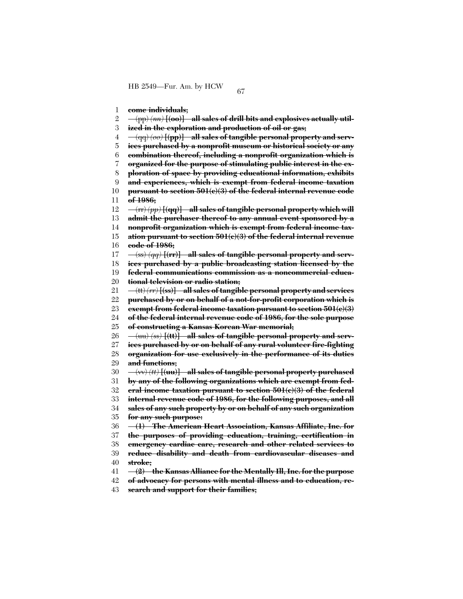1 **come individuals;**

2 (pp) *(nn)* **[(oo)] all sales of drill bits and explosives actually util-**

3 **ized in the exploration and production of oil or gas;**

4 (qq) *(oo)* **[(pp)] all sales of tangible personal property and serv-**

5 **ices purchased by a nonprofit museum or historical society or any**

6 **combination thereof, including a nonprofit organization which is**

7 **organized for the purpose of stimulating public interest in the ex-**

8 **ploration of space by providing educational information, exhibits**

 $\overline{Q}$ **and experiences, which is exempt from federal income taxation**

10 **pursuant to section 501(c)(3) of the federal internal revenue code**

11 **of 1986;**

12 (rr) *(pp)* **[(qq)] all sales of tangible personal property which will**

13 **admit the purchaser thereof to any annual event sponsored by a**

14 **nonprofit organization which is exempt from federal income tax-**

15 16 **ation pursuant to section 501(c)(3) of the federal internal revenue code of 1986;**

17 (ss) *(qq)* **[(rr)] all sales of tangible personal property and serv-**

18 **ices purchased by a public broadcasting station licensed by the**

19 **federal communications commission as a noncommercial educa-**

20 **tional television or radio station;**

21 (tt) *(rr)* **[(ss)] all sales of tangible personal property and services**

22 **purchased by or on behalf of a not-for-profit corporation which is**

23 **exempt from federal income taxation pursuant to section 501(c)(3)**

24 **of the federal internal revenue code of 1986, for the sole purpose**

25 **of constructing a Kansas Korean War memorial;**

26 (uu) *(ss)* **[(tt)] all sales of tangible personal property and serv-**

27 28 29 **ices purchased by or on behalf of any rural volunteer fire-fighting organization for use exclusively in the performance of its duties**

**and functions;**

30 (vv) *(tt)* **[(uu)] all sales of tangible personal property purchased**

31 **by any of the following organizations which are exempt from fed-**

32 **eral income taxation pursuant to section 501(c)(3) of the federal**

33 **internal revenue code of 1986, for the following purposes, and all**

34 35 **sales of any such property by or on behalf of any such organization for any such purpose:**

36 **(1) The American Heart Association, Kansas Affiliate, Inc. for**

37 **the purposes of providing education, training, certification in**

38 **emergency cardiac care, research and other related services to**

39 40 **reduce disability and death from cardiovascular diseases and stroke;**

41 **(2) the Kansas Alliance for the Mentally Ill, Inc. for the purpose**

42 **of advocacy for persons with mental illness and to education, re-**

43 **search and support for their families;**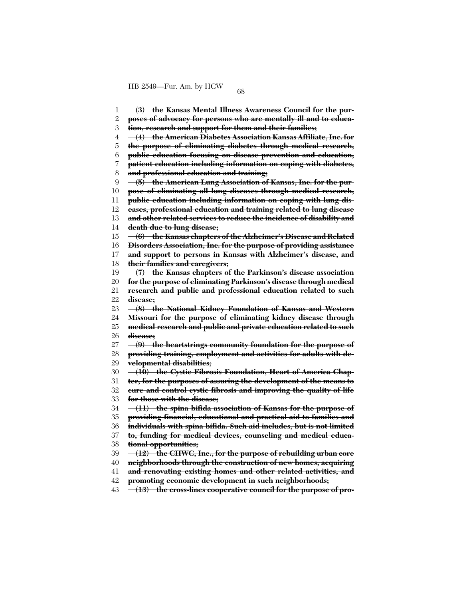1 2 3 4 5 6 7 8  $\mathbf{Q}$ 10 11 12 13 14 15 16 17 18 19 20 21 22 23 24 25 26 27 28 29 30 31 32 33 34 35 36 37 38 39 40 41 42 43 **(3) the Kansas Mental Illness Awareness Council for the purposes of advocacy for persons who are mentally ill and to education, research and support for them and their families; (4) the American Diabetes Association Kansas Affiliate, Inc. for the purpose of eliminating diabetes through medical research, public education focusing on disease prevention and education, patient education including information on coping with diabetes, and professional education and training; (5) the American Lung Association of Kansas, Inc. for the purpose of eliminating all lung diseases through medical research, public education including information on coping with lung diseases, professional education and training related to lung disease and other related services to reduce the incidence of disability and death due to lung disease; (6) the Kansas chapters of the Alzheimer's Disease and Related Disorders Association, Inc. for the purpose of providing assistance and support to persons in Kansas with Alzheimer's disease, and their families and caregivers; (7) the Kansas chapters of the Parkinson's disease association for the purpose of eliminating Parkinson's disease through medical research and public and professional education related to such disease; (8) the National Kidney Foundation of Kansas and Western Missouri for the purpose of eliminating kidney disease through medical research and public and private education related to such disease; (9) the heartstrings community foundation for the purpose of providing training, employment and activities for adults with developmental disabilities; (10) the Cystic Fibrosis Foundation, Heart of America Chapter, for the purposes of assuring the development of the means to cure and control cystic fibrosis and improving the quality of life for those with the disease; (11) the spina bifida association of Kansas for the purpose of providing financial, educational and practical aid to families and individuals with spina bifida. Such aid includes, but is not limited to, funding for medical devices, counseling and medical educational opportunities; (12) the CHWC, Inc., for the purpose of rebuilding urban core neighborhoods through the construction of new homes, acquiring and renovating existing homes and other related activities, and promoting economic development in such neighborhoods; (13) the cross-lines cooperative council for the purpose of pro-**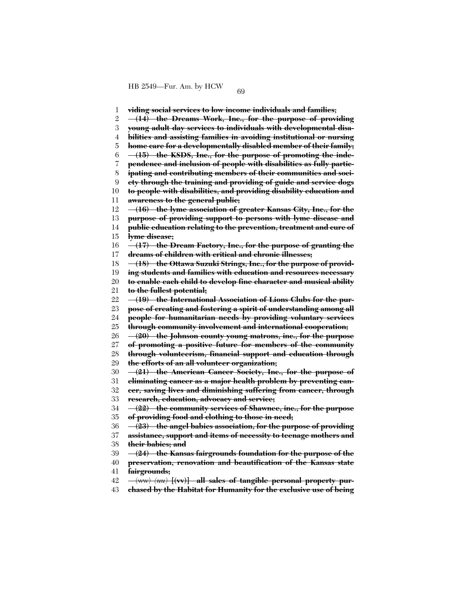1 2 3 4 5 6 7 8 9 10 11 12 13 14 15 16 17 18 19 20 21 22 23 24 25 26 27 28 29 30 31 32 33 34 35 36 37 38 39 40 41 42 43 **viding social services to low income individuals and families; (14) the Dreams Work, Inc., for the purpose of providing young adult day services to individuals with developmental disabilities and assisting families in avoiding institutional or nursing home care for a developmentally disabled member of their family; (15) the KSDS, Inc., for the purpose of promoting the independence and inclusion of people with disabilities as fully participating and contributing members of their communities and society through the training and providing of guide and service dogs to people with disabilities, and providing disability education and awareness to the general public; (16) the lyme association of greater Kansas City, Inc., for the purpose of providing support to persons with lyme disease and public education relating to the prevention, treatment and cure of lyme disease; (17) the Dream Factory, Inc., for the purpose of granting the dreams of children with critical and chronic illnesses; (18) the Ottawa Suzuki Strings, Inc., for the purpose of providing students and families with education and resources necessary to enable each child to develop fine character and musical ability to the fullest potential; (19) the International Association of Lions Clubs for the purpose of creating and fostering a spirit of understanding among all people for humanitarian needs by providing voluntary services through community involvement and international cooperation; (20) the Johnson county young matrons, inc., for the purpose of promoting a positive future for members of the community through volunteerism, financial support and education through the efforts of an all volunteer organization; (21) the American Cancer Society, Inc., for the purpose of eliminating cancer as a major health problem by preventing cancer, saving lives and diminishing suffering from cancer, through research, education, advocacy and service; (22) the community services of Shawnee, inc., for the purpose of providing food and clothing to those in need; (23) the angel babies association, for the purpose of providing assistance, support and items of necessity to teenage mothers and their babies; and (24) the Kansas fairgrounds foundation for the purpose of the preservation, renovation and beautification of the Kansas state fairgrounds;** (ww) *(uu)* **[(vv)] all sales of tangible personal property purchased by the Habitat for Humanity for the exclusive use of being**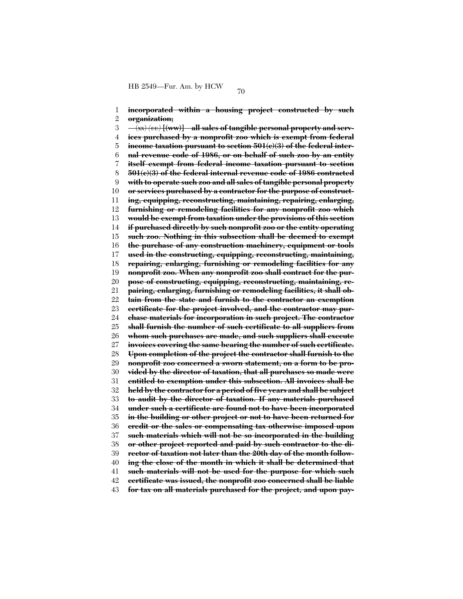1 2 3 4 5 6 7 8 9 10 11 12 13 14 15 16 17 18 19 20 21 22 23 24 25 26 27 28 29 30 31 32 33 34 35 36 37 38 39 40 41 42 43 **incorporated within a housing project constructed by such organization;** (xx) *(vv)* **[(ww)] all sales of tangible personal property and services purchased by a nonprofit zoo which is exempt from federal income taxation pursuant to section 501(c)(3) of the federal internal revenue code of 1986, or on behalf of such zoo by an entity itself exempt from federal income taxation pursuant to section 501(c)(3) of the federal internal revenue code of 1986 contracted with to operate such zoo and all sales of tangible personal property or services purchased by a contractor for the purpose of constructing, equipping, reconstructing, maintaining, repairing, enlarging, furnishing or remodeling facilities for any nonprofit zoo which would be exempt from taxation under the provisions of this section if purchased directly by such nonprofit zoo or the entity operating such zoo. Nothing in this subsection shall be deemed to exempt the purchase of any construction machinery, equipment or tools used in the constructing, equipping, reconstructing, maintaining, repairing, enlarging, furnishing or remodeling facilities for any nonprofit zoo. When any nonprofit zoo shall contract for the purpose of constructing, equipping, reconstructing, maintaining, repairing, enlarging, furnishing or remodeling facilities, it shall obtain from the state and furnish to the contractor an exemption certificate for the project involved, and the contractor may purchase materials for incorporation in such project. The contractor shall furnish the number of such certificate to all suppliers from whom such purchases are made, and such suppliers shall execute invoices covering the same bearing the number of such certificate. Upon completion of the project the contractor shall furnish to the nonprofit zoo concerned a sworn statement, on a form to be provided by the director of taxation, that all purchases so made were entitled to exemption under this subsection. All invoices shall be held by the contractor for a period of five years and shall be subject to audit by the director of taxation. If any materials purchased under such a certificate are found not to have been incorporated in the building or other project or not to have been returned for credit or the sales or compensating tax otherwise imposed upon such materials which will not be so incorporated in the building or other project reported and paid by such contractor to the director of taxation not later than the 20th day of the month following the close of the month in which it shall be determined that such materials will not be used for the purpose for which such certificate was issued, the nonprofit zoo concerned shall be liable for tax on all materials purchased for the project, and upon pay-**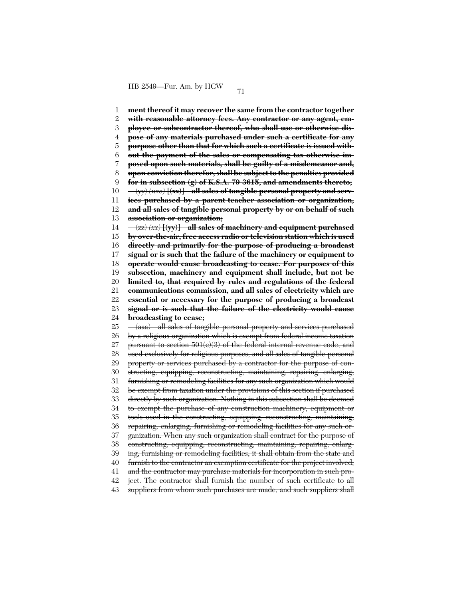1 2 3 4 5 6 7 8  $\mathbf{Q}$ 10 11 12 13 14 15 16 17 18 19 20 21 22 23 24 25 26 27 28 29 30 31 32 33 34 35 36 37 38 39 40 41 42 43 **ment thereof it may recover the same from the contractor together with reasonable attorney fees. Any contractor or any agent, employee or subcontractor thereof, who shall use or otherwise dispose of any materials purchased under such a certificate for any purpose other than that for which such a certificate is issued without the payment of the sales or compensating tax otherwise imposed upon such materials, shall be guilty of a misdemeanor and, upon conviction therefor, shall be subject to the penalties provided for in subsection (g) of K.S.A. 79-3615, and amendments thereto;** (yy) *(ww)* **[(xx)] all sales of tangible personal property and services purchased by a parent-teacher association or organization, and all sales of tangible personal property by or on behalf of such association or organization;** (zz) *(xx)* **[(yy)] all sales of machinery and equipment purchased by over-the-air, free access radio or television station which is used directly and primarily for the purpose of producing a broadcast signal or is such that the failure of the machinery or equipment to operate would cause broadcasting to cease. For purposes of this subsection, machinery and equipment shall include, but not be limited to, that required by rules and regulations of the federal communications commission, and all sales of electricity which are essential or necessary for the purpose of producing a broadcast signal or is such that the failure of the electricity would cause broadcasting to cease;** (aaa) all sales of tangible personal property and services purchased by a religious organization which is exempt from federal income taxation pursuant to section  $501(c)(3)$  of the federal internal revenue code, and used exclusively for religious purposes, and all sales of tangible personal property or services purchased by a contractor for the purpose of constructing, equipping, reconstructing, maintaining, repairing, enlarging, furnishing or remodeling facilities for any such organization which would be exempt from taxation under the provisions of this section if purchased directly by such organization. Nothing in this subsection shall be deemed to exempt the purchase of any construction machinery, equipment or tools used in the constructing, equipping, reconstructing, maintaining, repairing, enlarging, furnishing or remodeling facilities for any such organization. When any such organization shall contract for the purpose of constructing, equipping, reconstructing, maintaining, repairing, enlarging, furnishing or remodeling facilities, it shall obtain from the state and furnish to the contractor an exemption certificate for the project involved, and the contractor may purchase materials for incorporation in such project. The contractor shall furnish the number of such certificate to all suppliers from whom such purchases are made, and such suppliers shall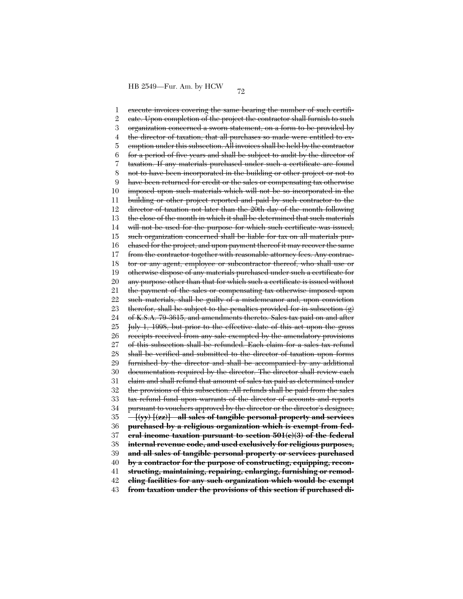1 2 3 4 5 6 7 8 9 10 11 12 13 14 15 16 17 18 19 20 21 22 23 24 25 26 27 28 29 30 31 32 33 34 35 36 37 38 39 40 41 42 43 execute invoices covering the same bearing the number of such certificate. Upon completion of the project the contractor shall furnish to such organization concerned a sworn statement, on a form to be provided by the director of taxation, that all purchases so made were entitled to exemption under this subsection. All invoices shall be held by the contractor for a period of five years and shall be subject to audit by the director of taxation. If any materials purchased under such a certificate are found not to have been incorporated in the building or other project or not to have been returned for credit or the sales or compensating tax otherwise imposed upon such materials which will not be so incorporated in the building or other project reported and paid by such contractor to the director of taxation not later than the 20th day of the month following the close of the month in which it shall be determined that such materials will not be used for the purpose for which such certificate was issued, such organization concerned shall be liable for tax on all materials purchased for the project, and upon payment thereof it may recover the same from the contractor together with reasonable attorney fees. Any contractor or any agent, employee or subcontractor thereof, who shall use or otherwise dispose of any materials purchased under such a certificate for any purpose other than that for which such a certificate is issued without the payment of the sales or compensating tax otherwise imposed upon such materials, shall be guilty of a misdemeanor and, upon conviction therefor, shall be subject to the penalties provided for in subsection (g) of K.S.A. 79-3615, and amendments thereto. Sales tax paid on and after July 1, 1998, but prior to the effective date of this act upon the gross receipts received from any sale exempted by the amendatory provisions of this subsection shall be refunded. Each claim for a sales tax refund shall be verified and submitted to the director of taxation upon forms furnished by the director and shall be accompanied by any additional documentation required by the director. The director shall review each claim and shall refund that amount of sales tax paid as determined under the provisions of this subsection. All refunds shall be paid from the sales tax refund fund upon warrants of the director of accounts and reports pursuant to vouchers approved by the director or the director's designee; **[(yy) [(zz)] all sales of tangible personal property and services purchased by a religious organization which is exempt from federal income taxation pursuant to section 501(c)(3) of the federal internal revenue code, and used exclusively for religious purposes, and all sales of tangible personal property or services purchased by a contractor for the purpose of constructing, equipping, reconstructing, maintaining, repairing, enlarging, furnishing or remodeling facilities for any such organization which would be exempt from taxation under the provisions of this section if purchased di-**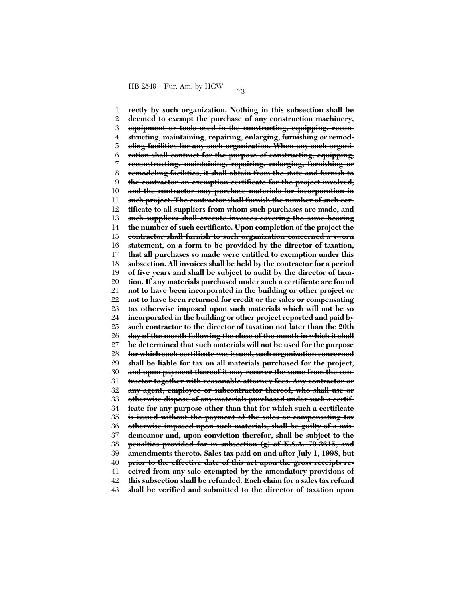1 2 3 4 5 6 7 8 9 10 11 12 13 14 15 16 17 18 19 20 21 22 23 24 25 26 27 28 29 30 31 32 33 34 35 36 37 38 39 40 41 42 43 **rectly by such organization. Nothing in this subsection shall be deemed to exempt the purchase of any construction machinery, equipment or tools used in the constructing, equipping, reconstructing, maintaining, repairing, enlarging, furnishing or remodeling facilities for any such organization. When any such organization shall contract for the purpose of constructing, equipping, reconstructing, maintaining, repairing, enlarging, furnishing or remodeling facilities, it shall obtain from the state and furnish to the contractor an exemption certificate for the project involved, and the contractor may purchase materials for incorporation in such project. The contractor shall furnish the number of such certificate to all suppliers from whom such purchases are made, and such suppliers shall execute invoices covering the same bearing the number of such certificate. Upon completion of the project the contractor shall furnish to such organization concerned a sworn statement, on a form to be provided by the director of taxation, that all purchases so made were entitled to exemption under this subsection. All invoices shall be held by the contractor for a period of five years and shall be subject to audit by the director of taxation. If any materials purchased under such a certificate are found not to have been incorporated in the building or other project or not to have been returned for credit or the sales or compensating tax otherwise imposed upon such materials which will not be so incorporated in the building or other project reported and paid by such contractor to the director of taxation not later than the 20th day of the month following the close of the month in which it shall be determined that such materials will not be used for the purpose for which such certificate was issued, such organization concerned shall be liable for tax on all materials purchased for the project, and upon payment thereof it may recover the same from the contractor together with reasonable attorney fees. Any contractor or any agent, employee or subcontractor thereof, who shall use or otherwise dispose of any materials purchased under such a certificate for any purpose other than that for which such a certificate is issued without the payment of the sales or compensating tax otherwise imposed upon such materials, shall be guilty of a misdemeanor and, upon conviction therefor, shall be subject to the penalties provided for in subsection (g) of K.S.A. 79-3615, and amendments thereto. Sales tax paid on and after July 1, 1998, but prior to the effective date of this act upon the gross receipts received from any sale exempted by the amendatory provisions of this subsection shall be refunded. Each claim for a sales tax refund shall be verified and submitted to the director of taxation upon**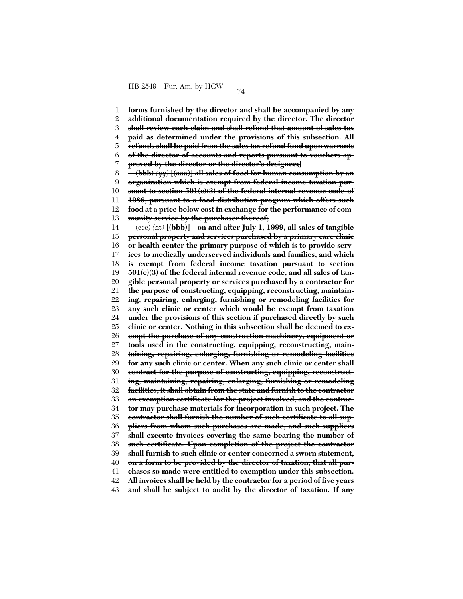1 2 3 4 5 6 7 8 9 10 11 12 13 14 15 16 17 18 19 20 21 22 23 24 25 26 27 28 29 30 31 32 33 34 35 36 37 38 39 40 41 42 **forms furnished by the director and shall be accompanied by any additional documentation required by the director. The director shall review each claim and shall refund that amount of sales tax paid as determined under the provisions of this subsection. All refunds shall be paid from the sales tax refund fund upon warrants of the director of accounts and reports pursuant to vouchers approved by the director or the director's designee;] (bbb)** *(yy)* **[(aaa)] all sales of food for human consumption by an organization which is exempt from federal income taxation pursuant to section 501(c)(3) of the federal internal revenue code of 1986, pursuant to a food distribution program which offers such food at a price below cost in exchange for the performance of community service by the purchaser thereof;** (ccc) *(zz)* **[(bbb)] on and after July 1, 1999, all sales of tangible personal property and services purchased by a primary care clinic or health center the primary purpose of which is to provide services to medically underserved individuals and families, and which is exempt from federal income taxation pursuant to section 501(c)(3) of the federal internal revenue code, and all sales of tangible personal property or services purchased by a contractor for the purpose of constructing, equipping, reconstructing, maintaining, repairing, enlarging, furnishing or remodeling facilities for any such clinic or center which would be exempt from taxation under the provisions of this section if purchased directly by such clinic or center. Nothing in this subsection shall be deemed to exempt the purchase of any construction machinery, equipment or tools used in the constructing, equipping, reconstructing, maintaining, repairing, enlarging, furnishing or remodeling facilities for any such clinic or center. When any such clinic or center shall contract for the purpose of constructing, equipping, reconstructing, maintaining, repairing, enlarging, furnishing or remodeling facilities, it shall obtain from the state and furnish to the contractor an exemption certificate for the project involved, and the contractor may purchase materials for incorporation in such project. The contractor shall furnish the number of such certificate to all suppliers from whom such purchases are made, and such suppliers shall execute invoices covering the same bearing the number of such certificate. Upon completion of the project the contractor shall furnish to such clinic or center concerned a sworn statement, on a form to be provided by the director of taxation, that all purchases so made were entitled to exemption under this subsection. All invoices shall be held by the contractor for a period of five years**

43 **and shall be subject to audit by the director of taxation. If any**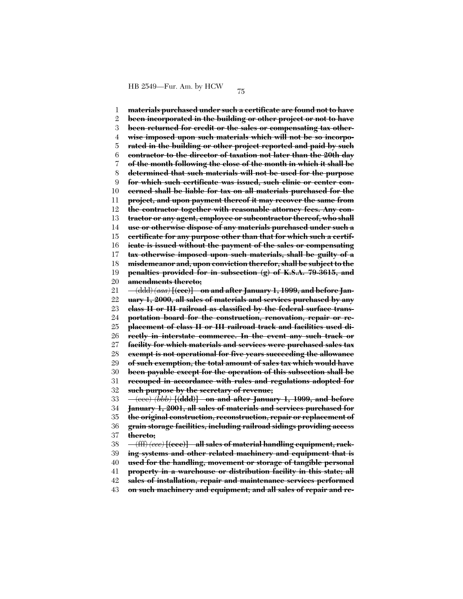1 2 3 4 5 6 7 8  $\mathbf{Q}$ 10 11 12 13 14 15 16 17 18 19 20 21 22 23 24 25 26 27 28 29 30 31 32 33 34 35 36 37 38 39 40 41 **materials purchased under such a certificate are found not to have been incorporated in the building or other project or not to have been returned for credit or the sales or compensating tax otherwise imposed upon such materials which will not be so incorporated in the building or other project reported and paid by such contractor to the director of taxation not later than the 20th day of the month following the close of the month in which it shall be determined that such materials will not be used for the purpose for which such certificate was issued, such clinic or center concerned shall be liable for tax on all materials purchased for the project, and upon payment thereof it may recover the same from the contractor together with reasonable attorney fees. Any contractor or any agent, employee or subcontractor thereof, who shall use or otherwise dispose of any materials purchased under such a certificate for any purpose other than that for which such a certificate is issued without the payment of the sales or compensating tax otherwise imposed upon such materials, shall be guilty of a misdemeanor and, upon conviction therefor, shall be subject to the penalties provided for in subsection (g) of K.S.A. 79-3615, and amendments thereto;** (ddd) *(aaa)* **[(ccc)] on and after January 1, 1999, and before January 1, 2000, all sales of materials and services purchased by any class II or III railroad as classified by the federal surface transportation board for the construction, renovation, repair or replacement of class II or III railroad track and facilities used directly in interstate commerce. In the event any such track or facility for which materials and services were purchased sales tax exempt is not operational for five years succeeding the allowance of such exemption, the total amount of sales tax which would have been payable except for the operation of this subsection shall be recouped in accordance with rules and regulations adopted for such purpose by the secretary of revenue;** (eee) *(bbb)* **[(ddd)] on and after January 1, 1999, and before January 1, 2001, all sales of materials and services purchased for the original construction, reconstruction, repair or replacement of grain storage facilities, including railroad sidings providing access thereto;** (fff) *(ccc)* **[(eee)] all sales of material handling equipment, racking systems and other related machinery and equipment that is used for the handling, movement or storage of tangible personal property in a warehouse or distribution facility in this state; all**

42 **sales of installation, repair and maintenance services performed**

43 **on such machinery and equipment; and all sales of repair and re-**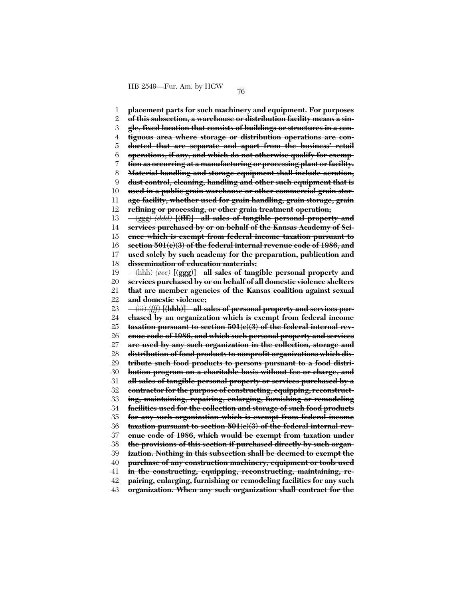1 2 3 4 5 6 7 8 9 10 11 12 13 14 15 16 17 18 19 20 21 22 23 24 25 26 27 28 29 30 31 32 33 34 35 36 37 38 39 40 41 42 **placement parts for such machinery and equipment. For purposes of this subsection, a warehouse or distribution facility means a single, fixed location that consists of buildings or structures in a contiguous area where storage or distribution operations are conducted that are separate and apart from the business' retail operations, if any, and which do not otherwise qualify for exemption as occurring at a manufacturing or processing plant or facility. Material handling and storage equipment shall include aeration, dust control, cleaning, handling and other such equipment that is used in a public grain warehouse or other commercial grain storage facility, whether used for grain handling, grain storage, grain refining or processing, or other grain treatment operation;** (ggg) *(ddd)* **[(fff)] all sales of tangible personal property and services purchased by or on behalf of the Kansas Academy of Science which is exempt from federal income taxation pursuant to section 501(c)(3) of the federal internal revenue code of 1986, and used solely by such academy for the preparation, publication and dissemination of education materials;** (hhh) *(eee)* **[(ggg)] all sales of tangible personal property and services purchased by or on behalf of all domestic violence shelters that are member agencies of the Kansas coalition against sexual and domestic violence;** (iii) *(fff)* **[(hhh)] all sales of personal property and services purchased by an organization which is exempt from federal income taxation pursuant to section 501(c)(3) of the federal internal revenue code of 1986, and which such personal property and services are used by any such organization in the collection, storage and distribution of food products to nonprofit organizations which distribute such food products to persons pursuant to a food distribution program on a charitable basis without fee or charge, and all sales of tangible personal property or services purchased by a contractor for the purpose of constructing, equipping, reconstructing, maintaining, repairing, enlarging, furnishing or remodeling facilities used for the collection and storage of such food products for any such organization which is exempt from federal income taxation pursuant to section 501(c)(3) of the federal internal revenue code of 1986, which would be exempt from taxation under the provisions of this section if purchased directly by such organization. Nothing in this subsection shall be deemed to exempt the purchase of any construction machinery, equipment or tools used in the constructing, equipping, reconstructing, maintaining, repairing, enlarging, furnishing or remodeling facilities for any such**

43 **organization. When any such organization shall contract for the**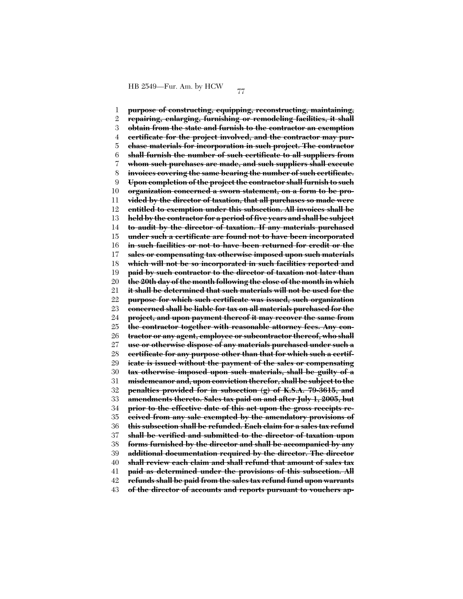1 2 3 4 5 6 7 8 9 10 11 12 13 14 15 16 17 18 19 20 21 22 23 24 25 26 27 28 29 30 31 32 33 34 35 36 37 38 39 40 41 42 43 **purpose of constructing, equipping, reconstructing, maintaining, repairing, enlarging, furnishing or remodeling facilities, it shall obtain from the state and furnish to the contractor an exemption certificate for the project involved, and the contractor may purchase materials for incorporation in such project. The contractor shall furnish the number of such certificate to all suppliers from whom such purchases are made, and such suppliers shall execute invoices covering the same bearing the number of such certificate. Upon completion of the project the contractor shall furnish to such organization concerned a sworn statement, on a form to be provided by the director of taxation, that all purchases so made were entitled to exemption under this subsection. All invoices shall be held by the contractor for a period of five years and shall be subject to audit by the director of taxation. If any materials purchased under such a certificate are found not to have been incorporated in such facilities or not to have been returned for credit or the sales or compensating tax otherwise imposed upon such materials which will not be so incorporated in such facilities reported and paid by such contractor to the director of taxation not later than the 20th day of the month following the close of the month in which it shall be determined that such materials will not be used for the purpose for which such certificate was issued, such organization concerned shall be liable for tax on all materials purchased for the project, and upon payment thereof it may recover the same from the contractor together with reasonable attorney fees. Any contractor or any agent, employee or subcontractor thereof, who shall use or otherwise dispose of any materials purchased under such a certificate for any purpose other than that for which such a certificate is issued without the payment of the sales or compensating tax otherwise imposed upon such materials, shall be guilty of a misdemeanor and, upon conviction therefor, shall be subject to the penalties provided for in subsection (g) of K.S.A. 79-3615, and amendments thereto. Sales tax paid on and after July 1, 2005, but prior to the effective date of this act upon the gross receipts received from any sale exempted by the amendatory provisions of this subsection shall be refunded. Each claim for a sales tax refund shall be verified and submitted to the director of taxation upon forms furnished by the director and shall be accompanied by any additional documentation required by the director. The director shall review each claim and shall refund that amount of sales tax paid as determined under the provisions of this subsection. All refunds shall be paid from the sales tax refund fund upon warrants of the director of accounts and reports pursuant to vouchers ap-**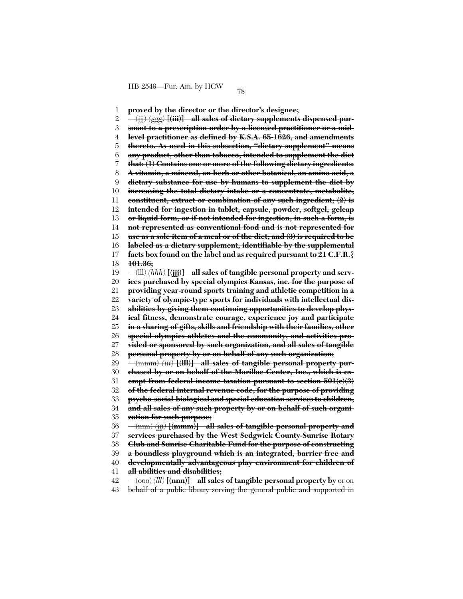1 2 3 4 5 6 7 8 9 10 11 12 13 14 15 16 17 18 19 20 21 22 23 24 25 26 27 28 29 30 31 32 33 34 35 36 37 38 39 40 41 42 **proved by the director or the director's designee;** (jjj) *(ggg)* **[(iii)] all sales of dietary supplements dispensed pursuant to a prescription order by a licensed practitioner or a midlevel practitioner as defined by K.S.A. 65-1626, and amendments thereto. As used in this subsection, ''dietary supplement'' means any product, other than tobacco, intended to supplement the diet that: (1) Contains one or more of the following dietary ingredients: A vitamin, a mineral, an herb or other botanical, an amino acid, a dietary substance for use by humans to supplement the diet by increasing the total dietary intake or a concentrate, metabolite, constituent, extract or combination of any such ingredient; (2) is intended for ingestion in tablet, capsule, powder, softgel, gelcap or liquid form, or if not intended for ingestion, in such a form, is not represented as conventional food and is not represented for use as a sole item of a meal or of the diet; and (3) is required to be labeled as a dietary supplement, identifiable by the supplemental facts box found on the label and as required pursuant to 21 C.F.R.§ 101.36;** (lll) *(hhh)* **[(jjj)] all sales of tangible personal property and services purchased by special olympics Kansas, inc. for the purpose of providing year-round sports training and athletic competition in a variety of olympic-type sports for individuals with intellectual disabilities by giving them continuing opportunities to develop physical fitness, demonstrate courage, experience joy and participate in a sharing of gifts, skills and friendship with their families, other special olympics athletes and the community, and activities provided or sponsored by such organization, and all sales of tangible personal property by or on behalf of any such organization;** (mmm) *(iii)* **[(lll)] all sales of tangible personal property purchased by or on behalf of the Marillac Center, Inc., which is exempt from federal income taxation pursuant to section 501(c)(3) of the federal internal revenue code, for the purpose of providing psycho-social-biological and special education services to children, and all sales of any such property by or on behalf of such organization for such purpose;** (nnn) *(jjj)* **[(mmm)] all sales of tangible personal property and services purchased by the West Sedgwick County-Sunrise Rotary Club and Sunrise Charitable Fund for the purpose of constructing a boundless playground which is an integrated, barrier free and developmentally advantageous play environment for children of all abilities and disabilities;** (ooo) *(lll)* **[(nnn)] all sales of tangible personal property by** or on

43 behalf of a public library serving the general public and supported in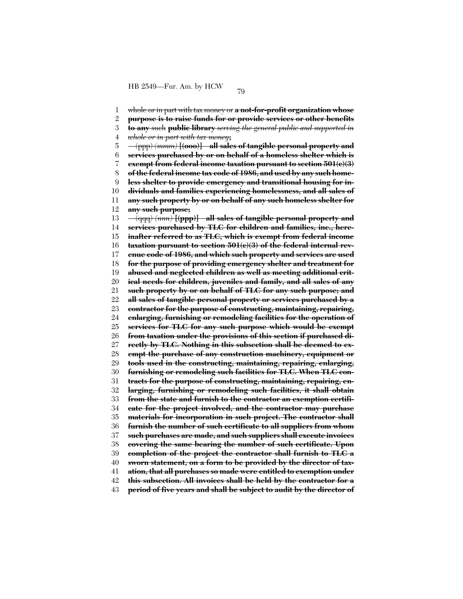1 2 3 4 5 6 7 8 9 10 11 12 13 14 15 16 17 18 19 20 21 22 23 24 25 26 27 28 29 30 31 32 33 34 35 36 37 38 39 40 41 42 43 whole or in part with tax money or **a not-for-profit organization whose purpose is to raise funds for or provide services or other benefits to any** such **public library** *serving the general public and supported in whole or in part with tax money***;** (ppp) *(mmm)* **[(ooo)] all sales of tangible personal property and services purchased by or on behalf of a homeless shelter which is exempt from federal income taxation pursuant to section 501(c)(3) of the federal income tax code of 1986, and used by any such homeless shelter to provide emergency and transitional housing for individuals and families experiencing homelessness, and all sales of any such property by or on behalf of any such homeless shelter for any such purpose;** (qqq) *(nnn)* **[(ppp)] all sales of tangible personal property and services purchased by TLC for children and families, inc., hereinafter referred to as TLC, which is exempt from federal income taxation pursuant to section 501(c)(3) of the federal internal revenue code of 1986, and which such property and services are used for the purpose of providing emergency shelter and treatment for abused and neglected children as well as meeting additional critical needs for children, juveniles and family, and all sales of any such property by or on behalf of TLC for any such purpose; and all sales of tangible personal property or services purchased by a contractor for the purpose of constructing, maintaining, repairing, enlarging, furnishing or remodeling facilities for the operation of services for TLC for any such purpose which would be exempt from taxation under the provisions of this section if purchased directly by TLC. Nothing in this subsection shall be deemed to exempt the purchase of any construction machinery, equipment or tools used in the constructing, maintaining, repairing, enlarging, furnishing or remodeling such facilities for TLC. When TLC contracts for the purpose of constructing, maintaining, repairing, enlarging, furnishing or remodeling such facilities, it shall obtain from the state and furnish to the contractor an exemption certificate for the project involved, and the contractor may purchase materials for incorporation in such project. The contractor shall furnish the number of such certificate to all suppliers from whom such purchases are made, and such suppliers shall execute invoices covering the same bearing the number of such certificate. Upon completion of the project the contractor shall furnish to TLC a sworn statement, on a form to be provided by the director of taxation, that all purchases so made were entitled to exemption under this subsection. All invoices shall be held by the contractor for a period of five years and shall be subject to audit by the director of**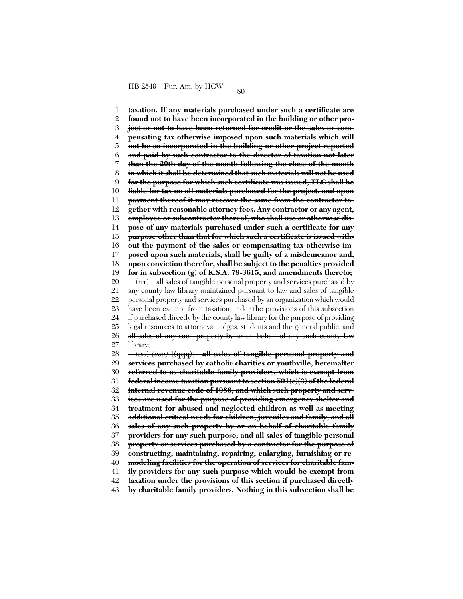1 2 3 4 5 6 7 8 9 10 11 12 13 14 15 16 17 18 19 20 21 22 23 24 25 26 27 28 29 30 31 32 33 34 35 36 37 38 39 40 41 42 43 **taxation. If any materials purchased under such a certificate are found not to have been incorporated in the building or other project or not to have been returned for credit or the sales or compensating tax otherwise imposed upon such materials which will not be so incorporated in the building or other project reported and paid by such contractor to the director of taxation not later than the 20th day of the month following the close of the month in which it shall be determined that such materials will not be used for the purpose for which such certificate was issued, TLC shall be liable for tax on all materials purchased for the project, and upon payment thereof it may recover the same from the contractor together with reasonable attorney fees. Any contractor or any agent, employee or subcontractor thereof, who shall use or otherwise dispose of any materials purchased under such a certificate for any purpose other than that for which such a certificate is issued without the payment of the sales or compensating tax otherwise imposed upon such materials, shall be guilty of a misdemeanor and, upon conviction therefor, shall be subject to the penalties provided for in subsection (g) of K.S.A. 79-3615, and amendments thereto;** (rrr) all sales of tangible personal property and services purchased by any county law library maintained pursuant to law and sales of tangible personal property and services purchased by an organization which would have been exempt from taxation under the provisions of this subsection if purchased directly by the county law library for the purpose of providing legal resources to attorneys, judges, students and the general public, and all sales of any such property by or on behalf of any such county law library; (sss) *(ooo)* **[(qqq)] all sales of tangible personal property and services purchased by catholic charities or youthville, hereinafter referred to as charitable family providers, which is exempt from federal income taxation pursuant to section 501(c)(3) of the federal internal revenue code of 1986, and which such property and services are used for the purpose of providing emergency shelter and treatment for abused and neglected children as well as meeting additional critical needs for children, juveniles and family, and all sales of any such property by or on behalf of charitable family providers for any such purpose; and all sales of tangible personal property or services purchased by a contractor for the purpose of constructing, maintaining, repairing, enlarging, furnishing or remodeling facilities for the operation of services for charitable family providers for any such purpose which would be exempt from taxation under the provisions of this section if purchased directly by charitable family providers. Nothing in this subsection shall be**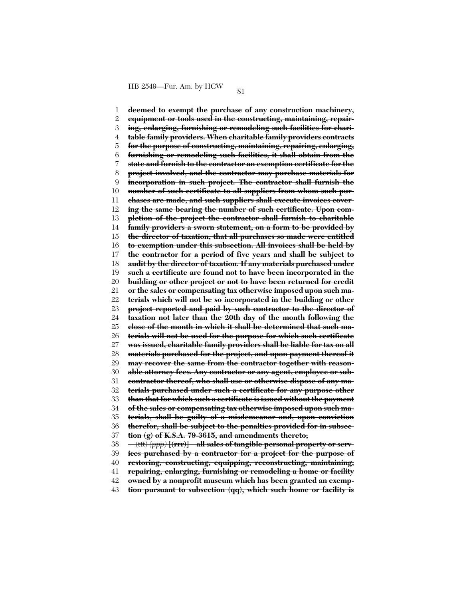1 2 3 4 5 6 7 8 9 10 11 12 13 14 15 16 17 18 19 20 21 22 23 24 25 26 27 28 29 30 31 32 33 34 35 36 37 38 39 40 41 **deemed to exempt the purchase of any construction machinery, equipment or tools used in the constructing, maintaining, repairing, enlarging, furnishing or remodeling such facilities for charitable family providers. When charitable family providers contracts for the purpose of constructing, maintaining, repairing, enlarging, furnishing or remodeling such facilities, it shall obtain from the state and furnish to the contractor an exemption certificate for the project involved, and the contractor may purchase materials for incorporation in such project. The contractor shall furnish the number of such certificate to all suppliers from whom such purchases are made, and such suppliers shall execute invoices covering the same bearing the number of such certificate. Upon completion of the project the contractor shall furnish to charitable family providers a sworn statement, on a form to be provided by the director of taxation, that all purchases so made were entitled to exemption under this subsection. All invoices shall be held by the contractor for a period of five years and shall be subject to audit by the director of taxation. If any materials purchased under such a certificate are found not to have been incorporated in the building or other project or not to have been returned for credit or the sales or compensating tax otherwise imposed upon such materials which will not be so incorporated in the building or other project reported and paid by such contractor to the director of taxation not later than the 20th day of the month following the close of the month in which it shall be determined that such materials will not be used for the purpose for which such certificate was issued, charitable family providers shall be liable for tax on all materials purchased for the project, and upon payment thereof it may recover the same from the contractor together with reasonable attorney fees. Any contractor or any agent, employee or subcontractor thereof, who shall use or otherwise dispose of any materials purchased under such a certificate for any purpose other than that for which such a certificate is issued without the payment of the sales or compensating tax otherwise imposed upon such materials, shall be guilty of a misdemeanor and, upon conviction therefor, shall be subject to the penalties provided for in subsection (g) of K.S.A. 79-3615, and amendments thereto;** (ttt) *(ppp)* **[(rrr)] all sales of tangible personal property or services purchased by a contractor for a project for the purpose of restoring, constructing, equipping, reconstructing, maintaining, repairing, enlarging, furnishing or remodeling a home or facility**

42 **owned by a nonprofit museum which has been granted an exemp-**

43 **tion pursuant to subsection (qq), which such home or facility is**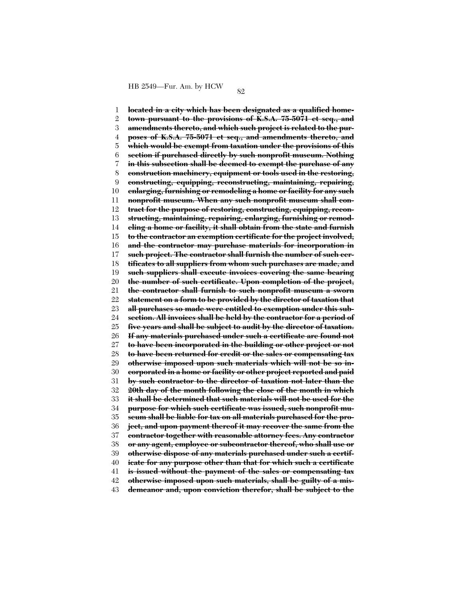1 2 3 4 5 6 7 8 9 10 11 12 13 14 15 16 17 18 19 20 21 22 23 24 25 26 27 28 29 30 31 32 33 34 35 36 37 38 39 40 41 42 43 **located in a city which has been designated as a qualified hometown pursuant to the provisions of K.S.A. 75-5071 et seq., and amendments thereto, and which such project is related to the purposes of K.S.A. 75-5071 et seq., and amendments thereto, and which would be exempt from taxation under the provisions of this section if purchased directly by such nonprofit museum. Nothing in this subsection shall be deemed to exempt the purchase of any construction machinery, equipment or tools used in the restoring, constructing, equipping, reconstructing, maintaining, repairing, enlarging, furnishing or remodeling a home or facility for any such nonprofit museum. When any such nonprofit museum shall contract for the purpose of restoring, constructing, equipping, reconstructing, maintaining, repairing, enlarging, furnishing or remodeling a home or facility, it shall obtain from the state and furnish to the contractor an exemption certificate for the project involved, and the contractor may purchase materials for incorporation in such project. The contractor shall furnish the number of such certificates to all suppliers from whom such purchases are made, and such suppliers shall execute invoices covering the same bearing the number of such certificate. Upon completion of the project, the contractor shall furnish to such nonprofit museum a sworn statement on a form to be provided by the director of taxation that all purchases so made were entitled to exemption under this subsection. All invoices shall be held by the contractor for a period of five years and shall be subject to audit by the director of taxation. If any materials purchased under such a certificate are found not to have been incorporated in the building or other project or not to have been returned for credit or the sales or compensating tax otherwise imposed upon such materials which will not be so incorporated in a home or facility or other project reported and paid by such contractor to the director of taxation not later than the 20th day of the month following the close of the month in which it shall be determined that such materials will not be used for the purpose for which such certificate was issued, such nonprofit museum shall be liable for tax on all materials purchased for the project, and upon payment thereof it may recover the same from the contractor together with reasonable attorney fees. Any contractor or any agent, employee or subcontractor thereof, who shall use or otherwise dispose of any materials purchased under such a certificate for any purpose other than that for which such a certificate is issued without the payment of the sales or compensating tax otherwise imposed upon such materials, shall be guilty of a misdemeanor and, upon conviction therefor, shall be subject to the**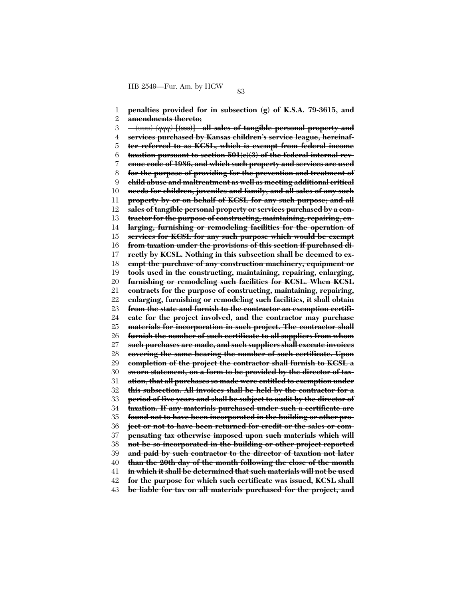1 2 3 4 5 6 7 8 9 10 11 12 13 14 15 16 17 18 19 20 21 22 23 24 25 26 27 28 29 30 31 32 33 34 35 36 37 38 39 40 41 42 43 **penalties provided for in subsection (g) of K.S.A. 79-3615, and amendments thereto;** (uuu) *(qqq)* **[(sss)] all sales of tangible personal property and services purchased by Kansas children's service league, hereinafter referred to as KCSL, which is exempt from federal income taxation pursuant to section 501(c)(3) of the federal internal revenue code of 1986, and which such property and services are used for the purpose of providing for the prevention and treatment of child abuse and maltreatment as well as meeting additional critical needs for children, juveniles and family, and all sales of any such property by or on behalf of KCSL for any such purpose; and all sales of tangible personal property or services purchased by a contractor for the purpose of constructing, maintaining, repairing, enlarging, furnishing or remodeling facilities for the operation of services for KCSL for any such purpose which would be exempt from taxation under the provisions of this section if purchased directly by KCSL. Nothing in this subsection shall be deemed to exempt the purchase of any construction machinery, equipment or tools used in the constructing, maintaining, repairing, enlarging, furnishing or remodeling such facilities for KCSL. When KCSL contracts for the purpose of constructing, maintaining, repairing, enlarging, furnishing or remodeling such facilities, it shall obtain from the state and furnish to the contractor an exemption certificate for the project involved, and the contractor may purchase materials for incorporation in such project. The contractor shall furnish the number of such certificate to all suppliers from whom such purchases are made, and such suppliers shall execute invoices covering the same bearing the number of such certificate. Upon completion of the project the contractor shall furnish to KCSL a sworn statement, on a form to be provided by the director of taxation, that all purchases so made were entitled to exemption under this subsection. All invoices shall be held by the contractor for a period of five years and shall be subject to audit by the director of taxation. If any materials purchased under such a certificate are found not to have been incorporated in the building or other project or not to have been returned for credit or the sales or compensating tax otherwise imposed upon such materials which will not be so incorporated in the building or other project reported and paid by such contractor to the director of taxation not later than the 20th day of the month following the close of the month in which it shall be determined that such materials will not be used for the purpose for which such certificate was issued, KCSL shall be liable for tax on all materials purchased for the project, and**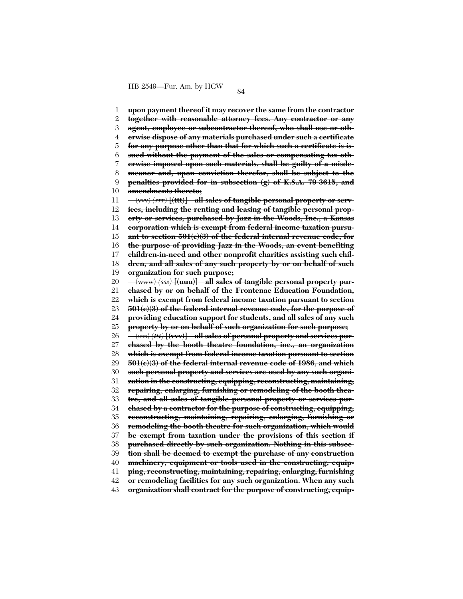1 2 3 4 5 6 7 8 9 10 11 12 13 14 15 16 17 18 19 20 21 22 23 24 25 26 27 28 29 30 31 32 33 34 35 36 37 38 39 40 41 42 **upon payment thereof it may recover the same from the contractor together with reasonable attorney fees. Any contractor or any agent, employee or subcontractor thereof, who shall use or otherwise dispose of any materials purchased under such a certificate for any purpose other than that for which such a certificate is issued without the payment of the sales or compensating tax otherwise imposed upon such materials, shall be guilty of a misdemeanor and, upon conviction therefor, shall be subject to the penalties provided for in subsection (g) of K.S.A. 79-3615, and amendments thereto;** (vvv) *(rrr)* **[(ttt)] all sales of tangible personal property or services, including the renting and leasing of tangible personal property or services, purchased by Jazz in the Woods, Inc., a Kansas corporation which is exempt from federal income taxation pursuant to section 501(c)(3) of the federal internal revenue code, for the purpose of providing Jazz in the Woods, an event benefiting children-in-need and other nonprofit charities assisting such children, and all sales of any such property by or on behalf of such organization for such purpose;** (www) *(sss)* **[(uuu)] all sales of tangible personal property purchased by or on behalf of the Frontenac Education Foundation, which is exempt from federal income taxation pursuant to section 501(c)(3) of the federal internal revenue code, for the purpose of providing education support for students, and all sales of any such property by or on behalf of such organization for such purpose;** (xxx) *(ttt)* **[(vvv)] all sales of personal property and services purchased by the booth theatre foundation, inc., an organization which is exempt from federal income taxation pursuant to section 501(c)(3) of the federal internal revenue code of 1986, and which such personal property and services are used by any such organization in the constructing, equipping, reconstructing, maintaining, repairing, enlarging, furnishing or remodeling of the booth theatre, and all sales of tangible personal property or services purchased by a contractor for the purpose of constructing, equipping, reconstructing, maintaining, repairing, enlarging, furnishing or remodeling the booth theatre for such organization, which would be exempt from taxation under the provisions of this section if purchased directly by such organization. Nothing in this subsection shall be deemed to exempt the purchase of any construction machinery, equipment or tools used in the constructing, equipping, reconstructing, maintaining, repairing, enlarging, furnishing or remodeling facilities for any such organization. When any such**

43 **organization shall contract for the purpose of constructing, equip-**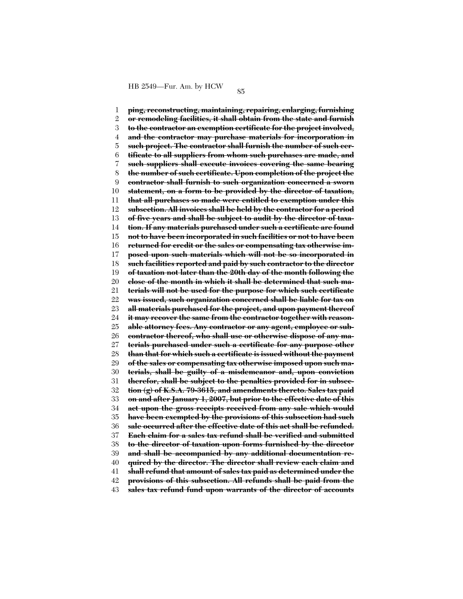1 2 3 4 5 6 7 8 9 10 11 12 13 14 15 16 17 18 19 20 21 22 23 24 25 26 27 28 29 30 31 32 33 34 35 36 37 38 39 40 41 42 43 **ping, reconstructing, maintaining, repairing, enlarging, furnishing or remodeling facilities, it shall obtain from the state and furnish to the contractor an exemption certificate for the project involved, and the contractor may purchase materials for incorporation in such project. The contractor shall furnish the number of such certificate to all suppliers from whom such purchases are made, and such suppliers shall execute invoices covering the same bearing the number of such certificate. Upon completion of the project the contractor shall furnish to such organization concerned a sworn statement, on a form to be provided by the director of taxation, that all purchases so made were entitled to exemption under this subsection. All invoices shall be held by the contractor for a period of five years and shall be subject to audit by the director of taxation. If any materials purchased under such a certificate are found not to have been incorporated in such facilities or not to have been returned for credit or the sales or compensating tax otherwise imposed upon such materials which will not be so incorporated in such facilities reported and paid by such contractor to the director of taxation not later than the 20th day of the month following the close of the month in which it shall be determined that such materials will not be used for the purpose for which such certificate was issued, such organization concerned shall be liable for tax on all materials purchased for the project, and upon payment thereof it may recover the same from the contractor together with reasonable attorney fees. Any contractor or any agent, employee or subcontractor thereof, who shall use or otherwise dispose of any materials purchased under such a certificate for any purpose other than that for which such a certificate is issued without the payment of the sales or compensating tax otherwise imposed upon such materials, shall be guilty of a misdemeanor and, upon conviction therefor, shall be subject to the penalties provided for in subsection (g) of K.S.A. 79-3615, and amendments thereto. Sales tax paid on and after January 1, 2007, but prior to the effective date of this act upon the gross receipts received from any sale which would have been exempted by the provisions of this subsection had such sale occurred after the effective date of this act shall be refunded. Each claim for a sales tax refund shall be verified and submitted to the director of taxation upon forms furnished by the director and shall be accompanied by any additional documentation required by the director. The director shall review each claim and shall refund that amount of sales tax paid as determined under the provisions of this subsection. All refunds shall be paid from the sales tax refund fund upon warrants of the director of accounts**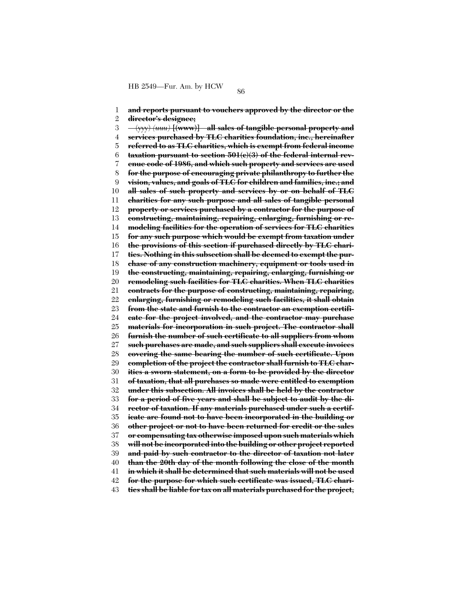1 2 3 4 5 6 7 8 9 10 11 12 13 14 15 16 17 18 19 20 21 22 23 24 25 26 27 28 29 30 31 32 33 34 35 36 37 38 39 40 41 42 43 **and reports pursuant to vouchers approved by the director or the director's designee;** (yyy) *(uuu)* **[(www)] all sales of tangible personal property and services purchased by TLC charities foundation, inc., hereinafter referred to as TLC charities, which is exempt from federal income taxation pursuant to section 501(c)(3) of the federal internal revenue code of 1986, and which such property and services are used for the purpose of encouraging private philanthropy to further the vision, values, and goals of TLC for children and families, inc.; and all sales of such property and services by or on behalf of TLC charities for any such purpose and all sales of tangible personal property or services purchased by a contractor for the purpose of constructing, maintaining, repairing, enlarging, furnishing or remodeling facilities for the operation of services for TLC charities for any such purpose which would be exempt from taxation under the provisions of this section if purchased directly by TLC charities. Nothing in this subsection shall be deemed to exempt the purchase of any construction machinery, equipment or tools used in the constructing, maintaining, repairing, enlarging, furnishing or remodeling such facilities for TLC charities. When TLC charities contracts for the purpose of constructing, maintaining, repairing, enlarging, furnishing or remodeling such facilities, it shall obtain from the state and furnish to the contractor an exemption certificate for the project involved, and the contractor may purchase materials for incorporation in such project. The contractor shall furnish the number of such certificate to all suppliers from whom such purchases are made, and such suppliers shall execute invoices covering the same bearing the number of such certificate. Upon completion of the project the contractor shall furnish to TLC charities a sworn statement, on a form to be provided by the director of taxation, that all purchases so made were entitled to exemption under this subsection. All invoices shall be held by the contractor for a period of five years and shall be subject to audit by the director of taxation. If any materials purchased under such a certificate are found not to have been incorporated in the building or other project or not to have been returned for credit or the sales or compensating tax otherwise imposed upon such materials which will not be incorporated into the building or other project reported and paid by such contractor to the director of taxation not later than the 20th day of the month following the close of the month in which it shall be determined that such materials will not be used for the purpose for which such certificate was issued, TLC charities shall be liable for tax on all materials purchased for the project,**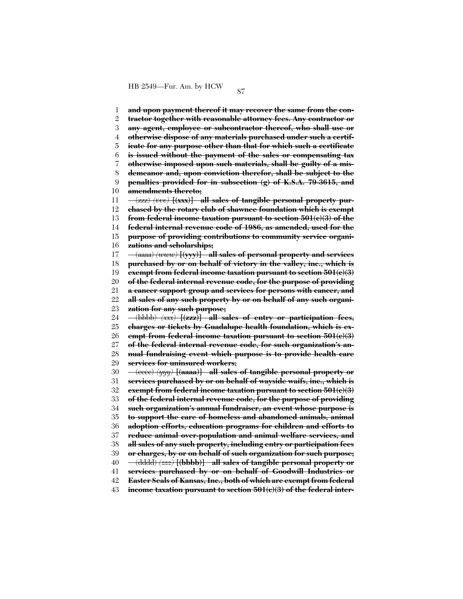1 2 3 4 5 6 7 8 9 10 11 12 13 14 15 16 17 18 19 20 21 22 23 24 25 26 27 28 29 30 31 32 33 34 35 36 37 38 39 40 41 42 43 **and upon payment thereof it may recover the same from the contractor together with reasonable attorney fees. Any contractor or any agent, employee or subcontractor thereof, who shall use or otherwise dispose of any materials purchased under such a certificate for any purpose other than that for which such a certificate is issued without the payment of the sales or compensating tax otherwise imposed upon such materials, shall be guilty of a misdemeanor and, upon conviction therefor, shall be subject to the penalties provided for in subsection (g) of K.S.A. 79-3615, and amendments thereto;** (zzz) *(vvv)* **[(xxx)] all sales of tangible personal property purchased by the rotary club of shawnee foundation which is exempt from federal income taxation pursuant to section 501(c)(3) of the federal internal revenue code of 1986, as amended, used for the purpose of providing contributions to community service organizations and scholarships;** (aaaa) *(www)* **[(yyy)] all sales of personal property and services purchased by or on behalf of victory in the valley, inc., which is exempt from federal income taxation pursuant to section 501(c)(3) of the federal internal revenue code, for the purpose of providing a cancer support group and services for persons with cancer, and all sales of any such property by or on behalf of any such organization for any such purpose;** (bbbb) *(xxx)* **[(zzz)] all sales of entry or participation fees, charges or tickets by Guadalupe health foundation, which is exempt from federal income taxation pursuant to section 501(c)(3) of the federal internal revenue code, for such organization's annual fundraising event which purpose is to provide health care services for uninsured workers;** (cccc) *(yyy)* **[(aaaa)] all sales of tangible personal property or services purchased by or on behalf of wayside waifs, inc., which is exempt from federal income taxation pursuant to section 501(c)(3) of the federal internal revenue code, for the purpose of providing such organization's annual fundraiser, an event whose purpose is to support the care of homeless and abandoned animals, animal adoption efforts, education programs for children and efforts to reduce animal over-population and animal welfare services, and all sales of any such property, including entry or participation fees or charges, by or on behalf of such organization for such purpose;** (dddd) *(zzz)* **[(bbbb)] all sales of tangible personal property or services purchased by or on behalf of Goodwill Industries or Easter Seals of Kansas, Inc., both of which are exempt from federal income taxation pursuant to section 501(c)(3) of the federal inter-**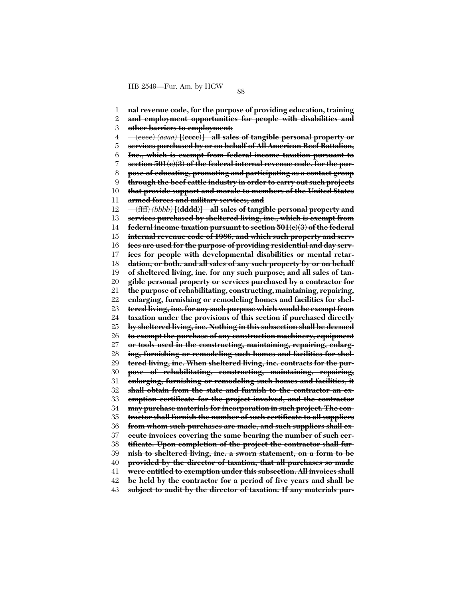1 2 3 4 5 6 7 8 9 10 11 12 13 14 15 16 17 18 19 20 21 22 23 24 25 26 27 28 29 30 31 32 33 34 35 36 37 38 39 40 41 42 43 **nal revenue code, for the purpose of providing education, training and employment opportunities for people with disabilities and other barriers to employment;** (eeee) *(aaaa)* **[(cccc)] all sales of tangible personal property or services purchased by or on behalf of All American Beef Battalion, Inc., which is exempt from federal income taxation pursuant to section 501(c)(3) of the federal internal revenue code, for the purpose of educating, promoting and participating as a contact group through the beef cattle industry in order to carry out such projects that provide support and morale to members of the United States armed forces and military services; and** (ffff) *(bbbb)* **[(dddd)] all sales of tangible personal property and services purchased by sheltered living, inc., which is exempt from federal income taxation pursuant to section 501(c)(3) of the federal internal revenue code of 1986, and which such property and services are used for the purpose of providing residential and day services for people with developmental disabilities or mental retardation, or both, and all sales of any such property by or on behalf of sheltered living, inc. for any such purpose; and all sales of tangible personal property or services purchased by a contractor for the purpose of rehabilitating, constructing, maintaining, repairing, enlarging, furnishing or remodeling homes and facilities for sheltered living, inc. for any such purpose which would be exempt from taxation under the provisions of this section if purchased directly by sheltered living, inc. Nothing in this subsection shall be deemed to exempt the purchase of any construction machinery, equipment or tools used in the constructing, maintaining, repairing, enlarging, furnishing or remodeling such homes and facilities for sheltered living, inc. When sheltered living, inc. contracts for the purpose of rehabilitating, constructing, maintaining, repairing, enlarging, furnishing or remodeling such homes and facilities, it shall obtain from the state and furnish to the contractor an exemption certificate for the project involved, and the contractor may purchase materials for incorporation in such project. The contractor shall furnish the number of such certificate to all suppliers from whom such purchases are made, and such suppliers shall execute invoices covering the same bearing the number of such certificate. Upon completion of the project the contractor shall furnish to sheltered living, inc. a sworn statement, on a form to be provided by the director of taxation, that all purchases so made were entitled to exemption under this subsection. All invoices shall be held by the contractor for a period of five years and shall be subject to audit by the director of taxation. If any materials pur-**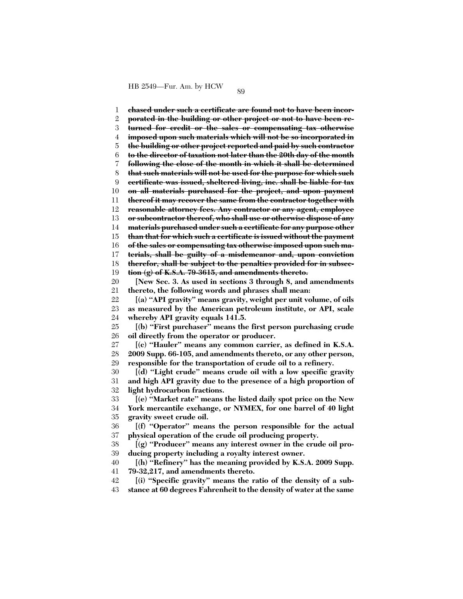1 2 3 4 5 6 7 8 9 10 11 12 13 14 15 16 17 18 19  $20$ 21 22 23 24 25 26 27 28 29 30 31 32 33 34 35 36 37 38 39 40 41 42 43 **chased under such a certificate are found not to have been incorporated in the building or other project or not to have been returned for credit or the sales or compensating tax otherwise imposed upon such materials which will not be so incorporated in the building or other project reported and paid by such contractor to the director of taxation not later than the 20th day of the month following the close of the month in which it shall be determined that such materials will not be used for the purpose for which such certificate was issued, sheltered living, inc. shall be liable for tax on all materials purchased for the project, and upon payment thereof it may recover the same from the contractor together with reasonable attorney fees. Any contractor or any agent, employee or subcontractor thereof, who shall use or otherwise dispose of any materials purchased under such a certificate for any purpose other than that for which such a certificate is issued without the payment of the sales or compensating tax otherwise imposed upon such materials, shall be guilty of a misdemeanor and, upon conviction therefor, shall be subject to the penalties provided for in subsection (g) of K.S.A. 79-3615, and amendments thereto. [New Sec. 3. As used in sections 3 through 8, and amendments thereto, the following words and phrases shall mean: [(a) ''API gravity'' means gravity, weight per unit volume, of oils as measured by the American petroleum institute, or API, scale whereby API gravity equals 141.5. [(b) ''First purchaser'' means the first person purchasing crude oil directly from the operator or producer. [(c) ''Hauler'' means any common carrier, as defined in K.S.A. 2009 Supp. 66-105, and amendments thereto, or any other person, responsible for the transportation of crude oil to a refinery. [(d) ''Light crude'' means crude oil with a low specific gravity and high API gravity due to the presence of a high proportion of light hydrocarbon fractions. [(e) ''Market rate'' means the listed daily spot price on the New York mercantile exchange, or NYMEX, for one barrel of 40 light gravity sweet crude oil. [(f) ''Operator'' means the person responsible for the actual physical operation of the crude oil producing property. [(g) ''Producer'' means any interest owner in the crude oil producing property including a royalty interest owner. [(h) ''Refinery'' has the meaning provided by K.S.A. 2009 Supp. 79-32,217, and amendments thereto. [(i) ''Specific gravity'' means the ratio of the density of a substance at 60 degrees Fahrenheit to the density of water at the same**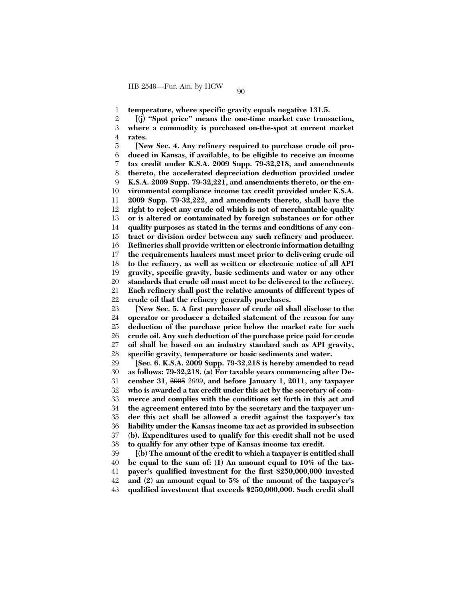1 **temperature, where specific gravity equals negative 131.5.**

2 3 4 **[(j) ''Spot price'' means the one-time market case transaction, where a commodity is purchased on-the-spot at current market rates.**

5 6 7 8 9 10 11 12 13 14 15 16 17 18 19 20 21 22 **[New Sec. 4. Any refinery required to purchase crude oil produced in Kansas, if available, to be eligible to receive an income tax credit under K.S.A. 2009 Supp. 79-32,218, and amendments thereto, the accelerated depreciation deduction provided under K.S.A. 2009 Supp. 79-32,221, and amendments thereto, or the environmental compliance income tax credit provided under K.S.A. 2009 Supp. 79-32,222, and amendments thereto, shall have the right to reject any crude oil which is not of merchantable quality or is altered or contaminated by foreign substances or for other quality purposes as stated in the terms and conditions of any contract or division order between any such refinery and producer. Refineries shall provide written or electronic information detailing the requirements haulers must meet prior to delivering crude oil to the refinery, as well as written or electronic notice of all API gravity, specific gravity, basic sediments and water or any other standards that crude oil must meet to be delivered to the refinery. Each refinery shall post the relative amounts of different types of crude oil that the refinery generally purchases.**

23 24 25 26 27 28 **[New Sec. 5. A first purchaser of crude oil shall disclose to the operator or producer a detailed statement of the reason for any deduction of the purchase price below the market rate for such crude oil. Any such deduction of the purchase price paid for crude oil shall be based on an industry standard such as API gravity, specific gravity, temperature or basic sediments and water.**

29 30 31 32 33 34 35 36 37 38 **[Sec. 6. K.S.A. 2009 Supp. 79-32,218 is hereby amended to read as follows: 79-32,218. (a) For taxable years commencing after December 31,** 2005 *2009***, and before January 1, 2011, any taxpayer who is awarded a tax credit under this act by the secretary of commerce and complies with the conditions set forth in this act and the agreement entered into by the secretary and the taxpayer under this act shall be allowed a credit against the taxpayer's tax liability under the Kansas income tax act as provided in subsection (b). Expenditures used to qualify for this credit shall not be used to qualify for any other type of Kansas income tax credit.**

39 40 41 42 43 **[(b) The amount of the credit to which a taxpayer is entitled shall be equal to the sum of: (1) An amount equal to 10% of the taxpayer's qualified investment for the first \$250,000,000 invested and (2) an amount equal to 5% of the amount of the taxpayer's qualified investment that exceeds \$250,000,000. Such credit shall**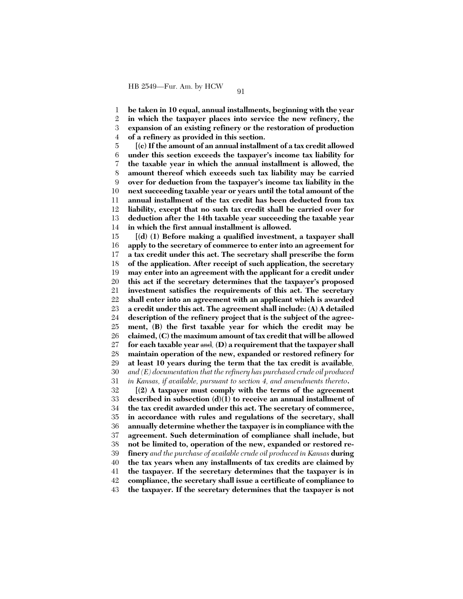1 **be taken in 10 equal, annual installments, beginning with the year**

2 3 4 **in which the taxpayer places into service the new refinery, the expansion of an existing refinery or the restoration of production of a refinery as provided in this section.**

5 6 7 8 9 10 11 12 13 14 **[(c) If the amount of an annual installment of a tax credit allowed under this section exceeds the taxpayer's income tax liability for the taxable year in which the annual installment is allowed, the amount thereof which exceeds such tax liability may be carried over for deduction from the taxpayer's income tax liability in the next succeeding taxable year or years until the total amount of the annual installment of the tax credit has been deducted from tax liability, except that no such tax credit shall be carried over for deduction after the 14th taxable year succeeding the taxable year in which the first annual installment is allowed.**

15 16 17 18 19 20 21 22 23 24 25 26 27 28 29 30 31 **[(d) (1) Before making a qualified investment, a taxpayer shall apply to the secretary of commerce to enter into an agreement for a tax credit under this act. The secretary shall prescribe the form of the application. After receipt of such application, the secretary may enter into an agreement with the applicant for a credit under this act if the secretary determines that the taxpayer's proposed investment satisfies the requirements of this act. The secretary shall enter into an agreement with an applicant which is awarded a credit under this act. The agreement shall include: (A) A detailed description of the refinery project that is the subject of the agreement, (B) the first taxable year for which the credit may be claimed, (C) the maximum amount of tax credit that will be allowed for each taxable year** and*,* **(D) a requirement that the taxpayer shall maintain operation of the new, expanded or restored refinery for at least 10 years during the term that the tax credit is available***, and (E) documentation that the refinery has purchased crude oil produced in Kansas, if available, pursuant to section 4, and amendments thereto***.**

32 33 34 35 36 37 38 39 40 41 42 43 **[(2) A taxpayer must comply with the terms of the agreement described in subsection (d)(1) to receive an annual installment of the tax credit awarded under this act. The secretary of commerce, in accordance with rules and regulations of the secretary, shall annually determine whether the taxpayer is in compliance with the agreement. Such determination of compliance shall include, but not be limited to, operation of the new, expanded or restored refinery** *and the purchase of available crude oil produced in Kansas* **during the tax years when any installments of tax credits are claimed by the taxpayer. If the secretary determines that the taxpayer is in compliance, the secretary shall issue a certificate of compliance to the taxpayer. If the secretary determines that the taxpayer is not**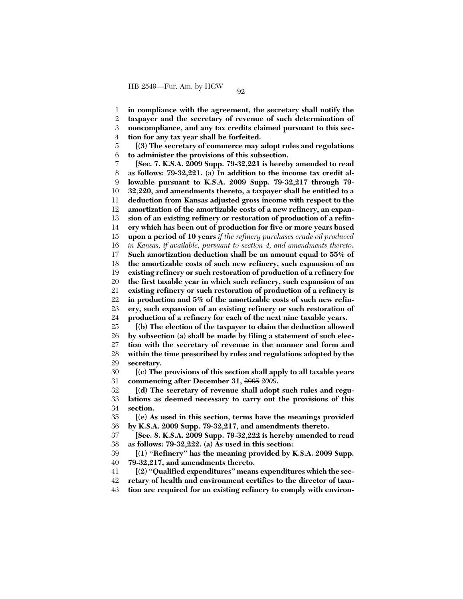1 **in compliance with the agreement, the secretary shall notify the**

2 3 **taxpayer and the secretary of revenue of such determination of noncompliance, and any tax credits claimed pursuant to this sec-**

4 **tion for any tax year shall be forfeited.**

5 6 **[(3) The secretary of commerce may adopt rules and regulations to administer the provisions of this subsection.**

7 8 9 10 11 12 13 14 15 16 17 18 19 20 21 22 23 24 **[Sec. 7. K.S.A. 2009 Supp. 79-32,221 is hereby amended to read as follows: 79-32,221. (a) In addition to the income tax credit allowable pursuant to K.S.A. 2009 Supp. 79-32,217 through 79- 32,220, and amendments thereto, a taxpayer shall be entitled to a deduction from Kansas adjusted gross income with respect to the amortization of the amortizable costs of a new refinery, an expansion of an existing refinery or restoration of production of a refinery which has been out of production for five or more years based upon a period of 10 years** *if the refinery purchases crude oil produced in Kansas, if available, pursuant to section 4, and amendments thereto***. Such amortization deduction shall be an amount equal to 55% of the amortizable costs of such new refinery, such expansion of an existing refinery or such restoration of production of a refinery for the first taxable year in which such refinery, such expansion of an existing refinery or such restoration of production of a refinery is in production and 5% of the amortizable costs of such new refinery, such expansion of an existing refinery or such restoration of production of a refinery for each of the next nine taxable years.**

25 26 27 28 29 **[(b) The election of the taxpayer to claim the deduction allowed by subsection (a) shall be made by filing a statement of such election with the secretary of revenue in the manner and form and within the time prescribed by rules and regulations adopted by the secretary.**

30 31 **[(c) The provisions of this section shall apply to all taxable years commencing after December 31,** 2005 *2009***.**

32 33 34 **[(d) The secretary of revenue shall adopt such rules and regulations as deemed necessary to carry out the provisions of this section.**

35 36 **[(e) As used in this section, terms have the meanings provided by K.S.A. 2009 Supp. 79-32,217, and amendments thereto.**

37 38 **[Sec. 8. K.S.A. 2009 Supp. 79-32,222 is hereby amended to read as follows: 79-32,222. (a) As used in this section:**

39 40 **[(1) ''Refinery'' has the meaning provided by K.S.A. 2009 Supp. 79-32,217, and amendments thereto.**

41 **[(2) ''Qualified expenditures'' means expenditures which the sec-**

42 **retary of health and environment certifies to the director of taxa-**

43 **tion are required for an existing refinery to comply with environ-**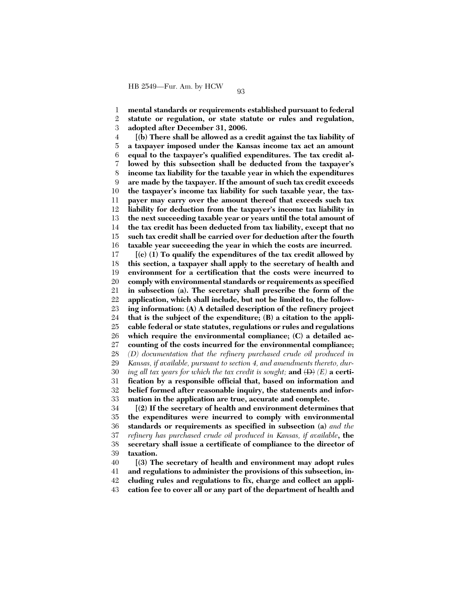1 2 3 **mental standards or requirements established pursuant to federal statute or regulation, or state statute or rules and regulation, adopted after December 31, 2006.**

4 5 6 7 8 9 10 11 12 13 14 15 16 **[(b) There shall be allowed as a credit against the tax liability of a taxpayer imposed under the Kansas income tax act an amount equal to the taxpayer's qualified expenditures. The tax credit allowed by this subsection shall be deducted from the taxpayer's income tax liability for the taxable year in which the expenditures are made by the taxpayer. If the amount of such tax credit exceeds the taxpayer's income tax liability for such taxable year, the taxpayer may carry over the amount thereof that exceeds such tax liability for deduction from the taxpayer's income tax liability in the next succeeding taxable year or years until the total amount of the tax credit has been deducted from tax liability, except that no such tax credit shall be carried over for deduction after the fourth taxable year succeeding the year in which the costs are incurred.**

17 18 19 20 21 22 23 24 25 26 27 28 29 30 31 32 33 34 35 36 37 38 **[(c) (1) To qualify the expenditures of the tax credit allowed by this section, a taxpayer shall apply to the secretary of health and environment for a certification that the costs were incurred to comply with environmental standards or requirements as specified in subsection (a). The secretary shall prescribe the form of the application, which shall include, but not be limited to, the following information: (A) A detailed description of the refinery project that is the subject of the expenditure; (B) a citation to the applicable federal or state statutes, regulations or rules and regulations which require the environmental compliance; (C) a detailed accounting of the costs incurred for the environmental compliance;** *(D) documentation that the refinery purchased crude oil produced in Kansas, if available, pursuant to section 4, and amendments thereto, during all tax years for which the tax credit is sought;* **and** (D) *(E)* **a certification by a responsible official that, based on information and belief formed after reasonable inquiry, the statements and information in the application are true, accurate and complete. [(2) If the secretary of health and environment determines that the expenditures were incurred to comply with environmental standards or requirements as specified in subsection (a)** *and the refinery has purchased crude oil produced in Kansas, if available***, the secretary shall issue a certificate of compliance to the director of**

39 **taxation.**

40 41 42 43 **[(3) The secretary of health and environment may adopt rules and regulations to administer the provisions of this subsection, including rules and regulations to fix, charge and collect an application fee to cover all or any part of the department of health and**